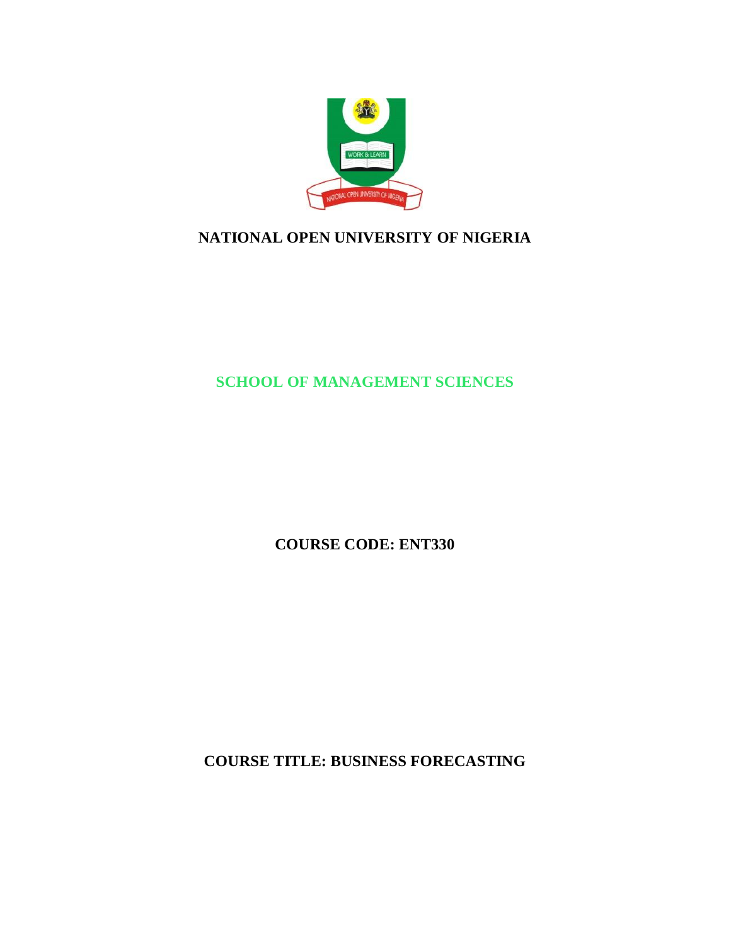

# **NATIONAL OPEN UNIVERSITY OF NIGERIA**

**SCHOOL OF MANAGEMENT SCIENCES**

**COURSE CODE: ENT330**

**COURSE TITLE: BUSINESS FORECASTING**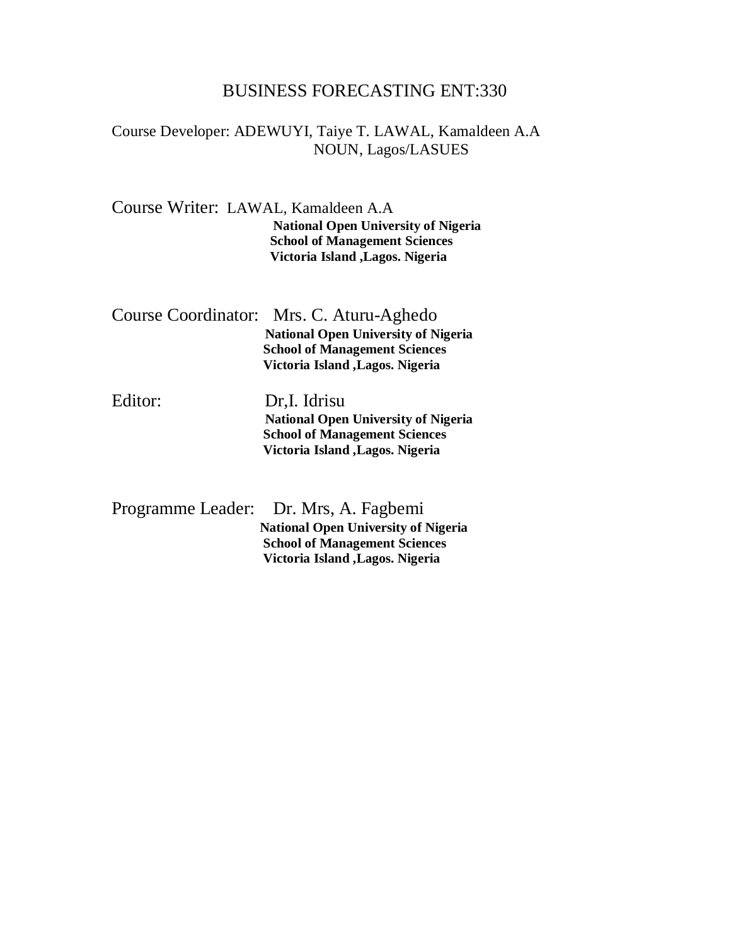# BUSINESS FORECASTING ENT:330

### Course Developer: ADEWUYI, Taiye T. LAWAL, Kamaldeen A.A NOUN, Lagos/LASUES

Course Writer: LAWAL, Kamaldeen A.A

**National Open University of Nigeria School of Management Sciences Victoria Island ,Lagos. Nigeria**

| Course Coordinator: Mrs. C. Aturu-Aghedo   |
|--------------------------------------------|
| <b>National Open University of Nigeria</b> |
| <b>School of Management Sciences</b>       |
| <b>Victoria Island , Lagos. Nigeria</b>    |
|                                            |

Editor: Dr,I. Idrisu **National Open University of Nigeria School of Management Sciences Victoria Island ,Lagos. Nigeria**

| Programme Leader: Dr. Mrs, A. Fagbemi      |
|--------------------------------------------|
| <b>National Open University of Nigeria</b> |
| <b>School of Management Sciences</b>       |
| Victoria Island, Lagos. Nigeria            |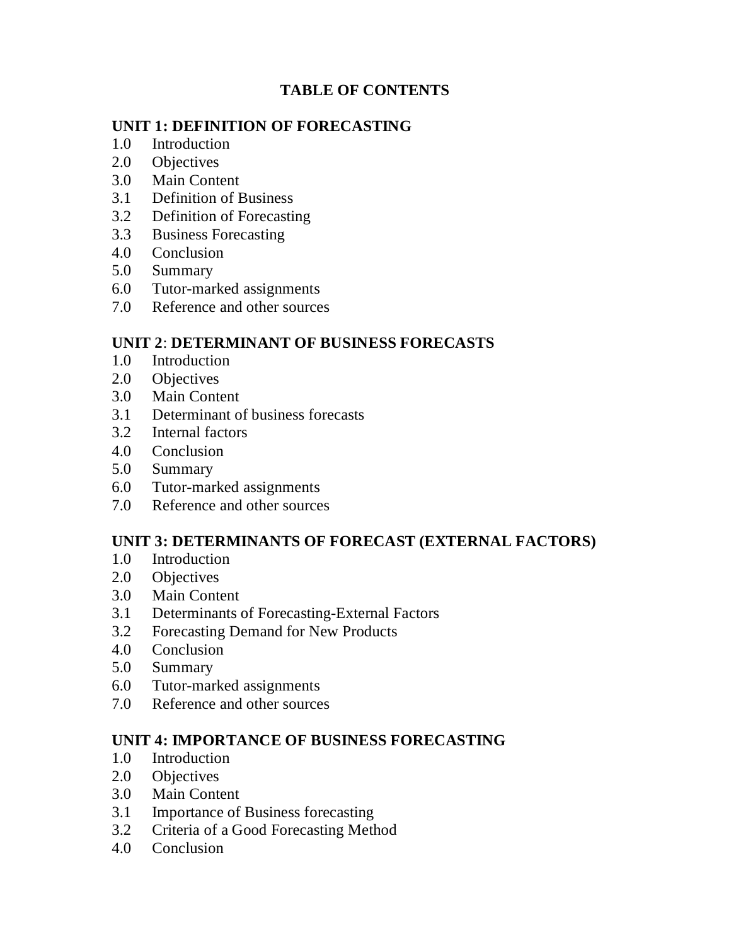# **TABLE OF CONTENTS**

## **UNIT 1: DEFINITION OF FORECASTING**

- 1.0 Introduction
- 2.0 Objectives
- 3.0 Main Content
- 3.1 Definition of Business
- 3.2 Definition of Forecasting
- 3.3 Business Forecasting
- 4.0 Conclusion
- 5.0 Summary
- 6.0 Tutor-marked assignments
- 7.0 Reference and other sources

## **UNIT 2**: **DETERMINANT OF BUSINESS FORECASTS**

- 1.0 Introduction
- 2.0 Objectives
- 3.0 Main Content
- 3.1 Determinant of business forecasts
- 3.2 Internal factors
- 4.0 Conclusion
- 5.0 Summary
- 6.0 Tutor-marked assignments
- 7.0 Reference and other sources

## **UNIT 3: DETERMINANTS OF FORECAST (EXTERNAL FACTORS)**

- 1.0 Introduction
- 2.0 Objectives
- 3.0 Main Content
- 3.1 Determinants of Forecasting-External Factors
- 3.2 Forecasting Demand for New Products
- 4.0 Conclusion
- 5.0 Summary
- 6.0 Tutor-marked assignments
- 7.0 Reference and other sources

## **UNIT 4: IMPORTANCE OF BUSINESS FORECASTING**

- 1.0 Introduction
- 2.0 Objectives
- 3.0 Main Content
- 3.1 Importance of Business forecasting
- 3.2 Criteria of a Good Forecasting Method
- 4.0 Conclusion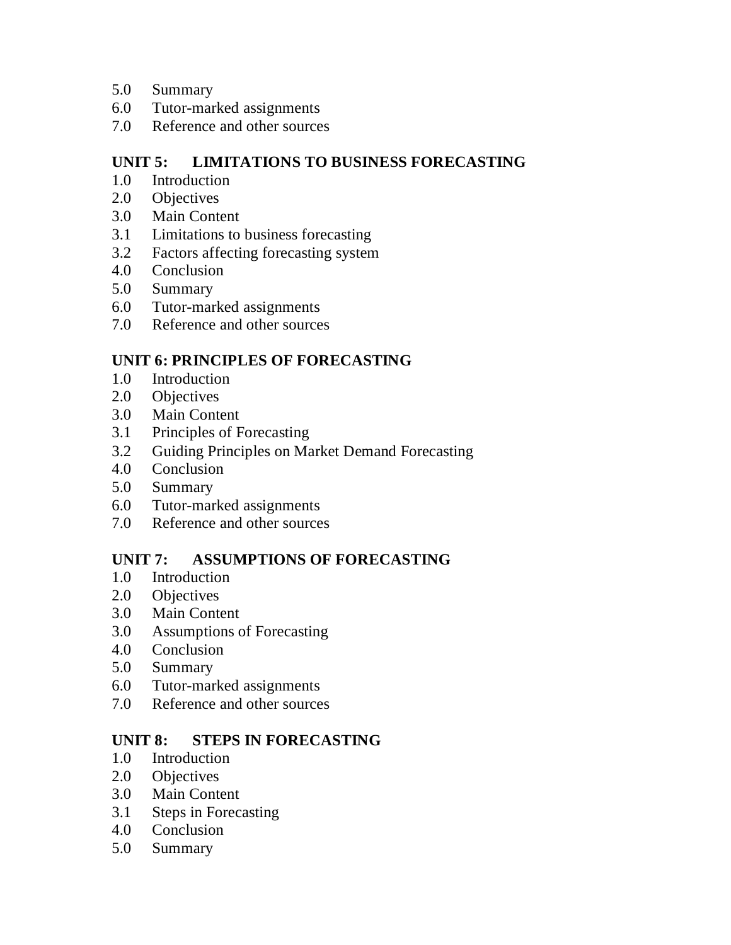- 5.0 Summary
- 6.0 Tutor-marked assignments
- 7.0 Reference and other sources

# **UNIT 5: LIMITATIONS TO BUSINESS FORECASTING**

- 1.0 Introduction
- 2.0 Objectives
- 3.0 Main Content
- 3.1 Limitations to business forecasting
- 3.2 Factors affecting forecasting system
- 4.0 Conclusion
- 5.0 Summary
- 6.0 Tutor-marked assignments
- 7.0 Reference and other sources

# **UNIT 6: PRINCIPLES OF FORECASTING**

- 1.0 Introduction
- 2.0 Objectives
- 3.0 Main Content
- 3.1 Principles of Forecasting
- 3.2 Guiding Principles on Market Demand Forecasting
- 4.0 Conclusion
- 5.0 Summary
- 6.0 Tutor-marked assignments
- 7.0 Reference and other sources

# **UNIT 7: ASSUMPTIONS OF FORECASTING**

- 1.0 Introduction
- 2.0 Objectives
- 3.0 Main Content
- 3.0 Assumptions of Forecasting
- 4.0 Conclusion
- 5.0 Summary
- 6.0 Tutor-marked assignments
- 7.0 Reference and other sources

# **UNIT 8: STEPS IN FORECASTING**

- 1.0 Introduction
- 2.0 Objectives
- 3.0 Main Content
- 3.1 Steps in Forecasting
- 4.0 Conclusion
- 5.0 Summary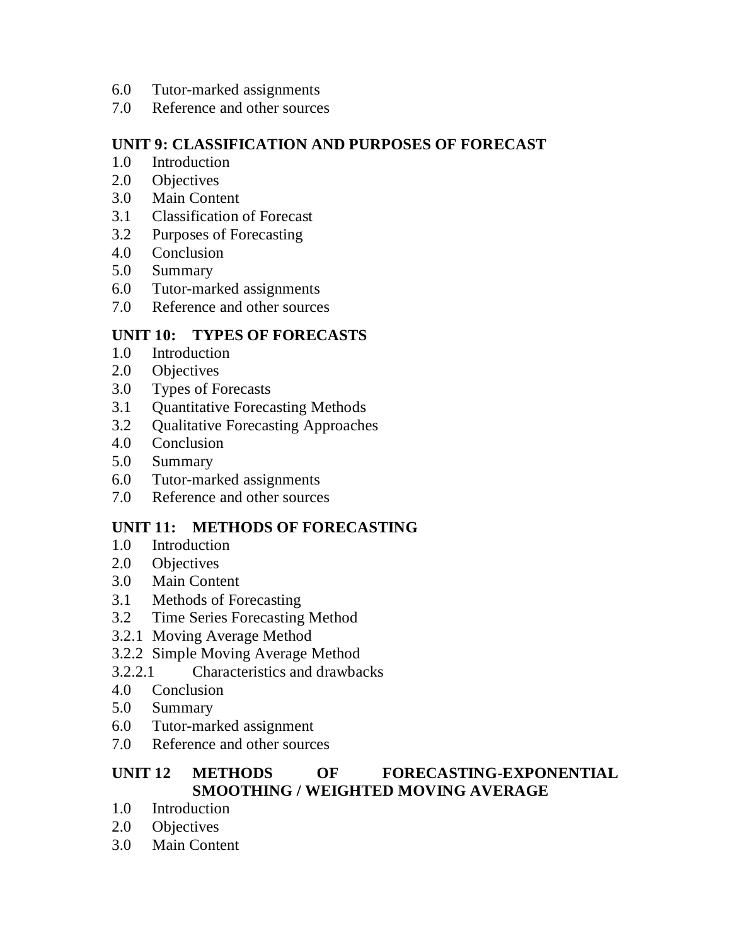- 6.0 Tutor-marked assignments
- 7.0 Reference and other sources

## **UNIT 9: CLASSIFICATION AND PURPOSES OF FORECAST**

- 1.0 Introduction
- 2.0 Objectives
- 3.0 Main Content
- 3.1 Classification of Forecast
- 3.2 Purposes of Forecasting
- 4.0 Conclusion
- 5.0 Summary
- 6.0 Tutor-marked assignments
- 7.0 Reference and other sources

## **UNIT 10: TYPES OF FORECASTS**

- 1.0 Introduction
- 2.0 Objectives
- 3.0 Types of Forecasts
- 3.1 Quantitative Forecasting Methods
- 3.2 Qualitative Forecasting Approaches
- 4.0 Conclusion
- 5.0 Summary
- 6.0 Tutor-marked assignments
- 7.0 Reference and other sources

# **UNIT 11: METHODS OF FORECASTING**

- 1.0 Introduction
- 2.0 Objectives
- 3.0 Main Content
- 3.1 Methods of Forecasting
- 3.2 Time Series Forecasting Method
- 3.2.1 Moving Average Method
- 3.2.2 Simple Moving Average Method
- 3.2.2.1 Characteristics and drawbacks
- 4.0 Conclusion
- 5.0 Summary
- 6.0 Tutor-marked assignment
- 7.0 Reference and other sources

# **UNIT 12 METHODS OF FORECASTING-EXPONENTIAL SMOOTHING / WEIGHTED MOVING AVERAGE**

- 1.0 Introduction
- 2.0 Objectives
- 3.0 Main Content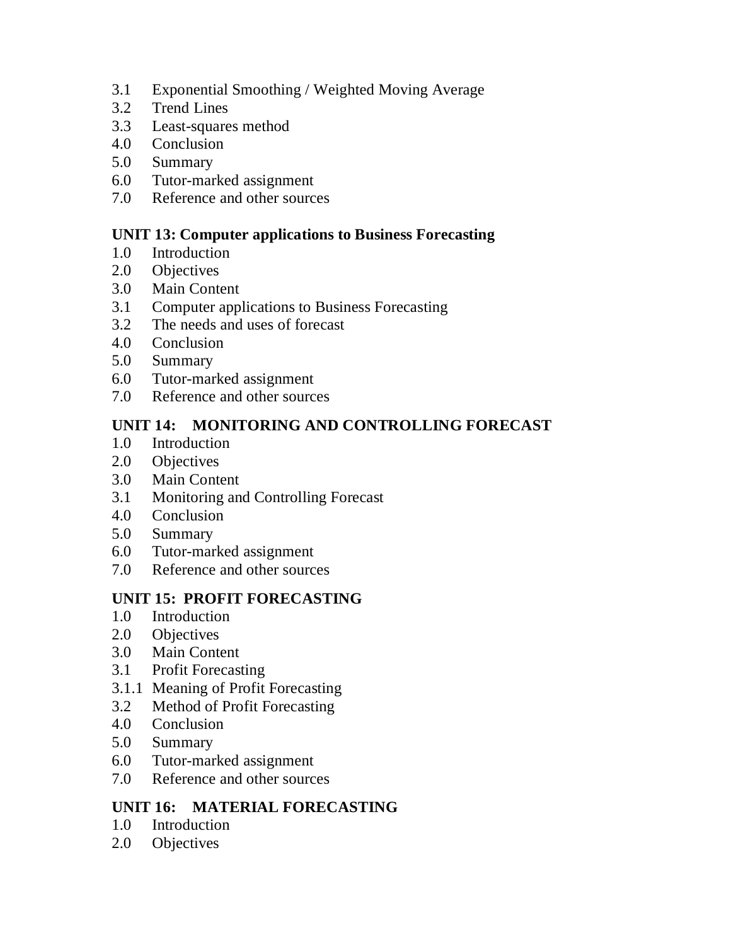- 3.1 Exponential Smoothing / Weighted Moving Average
- 3.2 Trend Lines
- 3.3 Least-squares method
- 4.0 Conclusion
- 5.0 Summary
- 6.0 Tutor-marked assignment
- 7.0 Reference and other sources

## **UNIT 13: Computer applications to Business Forecasting**

- 1.0 Introduction
- 2.0 Objectives
- 3.0 Main Content
- 3.1 Computer applications to Business Forecasting
- 3.2 The needs and uses of forecast
- 4.0 Conclusion
- 5.0 Summary
- 6.0 Tutor-marked assignment
- 7.0 Reference and other sources

# **UNIT 14: MONITORING AND CONTROLLING FORECAST**

- 1.0 Introduction
- 2.0 Objectives
- 3.0 Main Content
- 3.1 Monitoring and Controlling Forecast
- 4.0 Conclusion
- 5.0 Summary
- 6.0 Tutor-marked assignment
- 7.0 Reference and other sources

# **UNIT 15: PROFIT FORECASTING**

- 1.0 Introduction
- 2.0 Objectives
- 3.0 Main Content
- 3.1 Profit Forecasting
- 3.1.1 Meaning of Profit Forecasting
- 3.2 Method of Profit Forecasting
- 4.0 Conclusion
- 5.0 Summary
- 6.0 Tutor-marked assignment
- 7.0 Reference and other sources

# **UNIT 16: MATERIAL FORECASTING**

- 1.0 Introduction
- 2.0 Objectives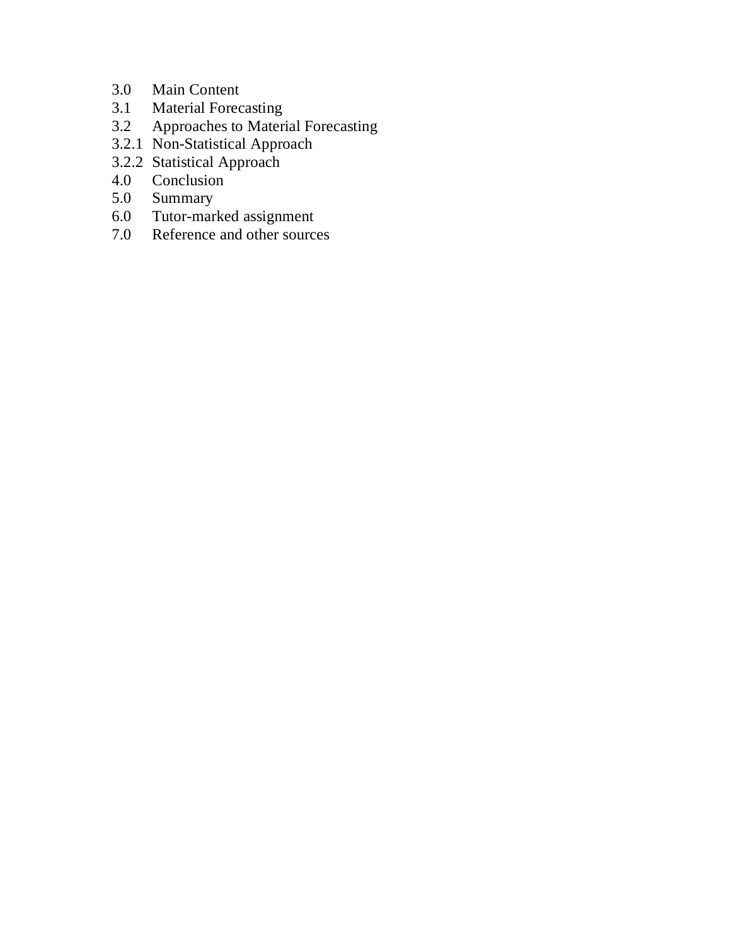- 3.0 Main Content<br>3.1 Material Forec
- 3.1 Material Forecasting<br>3.2 Approaches to Mater
- Approaches to Material Forecasting
- 3.2.1 Non-Statistical Approach
- 3.2.2 Statistical Approach
- 4.0 Conclusion<br>5.0 Summary
- 5.0 Summary<br>6.0 Tutor-marl
- 6.0 Tutor-marked assignment<br>7.0 Reference and other source
- Reference and other sources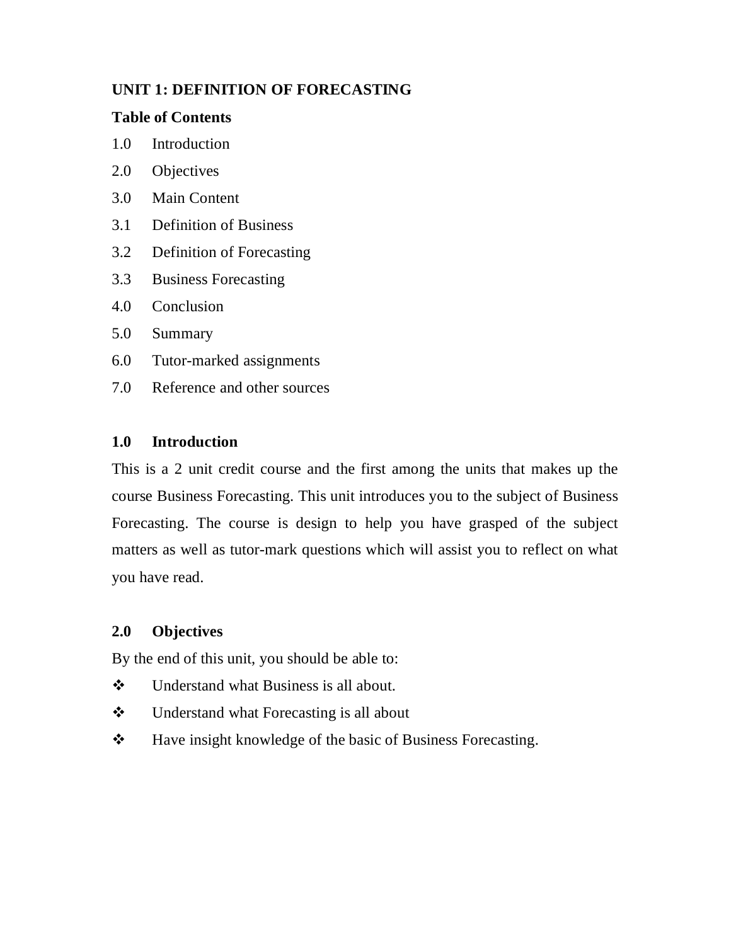# **UNIT 1: DEFINITION OF FORECASTING**

### **Table of Contents**

- 1.0 Introduction
- 2.0 Objectives
- 3.0 Main Content
- 3.1 Definition of Business
- 3.2 Definition of Forecasting
- 3.3 Business Forecasting
- 4.0 Conclusion
- 5.0 Summary
- 6.0 Tutor-marked assignments
- 7.0 Reference and other sources

### **1.0 Introduction**

This is a 2 unit credit course and the first among the units that makes up the course Business Forecasting. This unit introduces you to the subject of Business Forecasting. The course is design to help you have grasped of the subject matters as well as tutor-mark questions which will assist you to reflect on what you have read.

## **2.0 Objectives**

By the end of this unit, you should be able to:

- Understand what Business is all about.
- Understand what Forecasting is all about
- Have insight knowledge of the basic of Business Forecasting.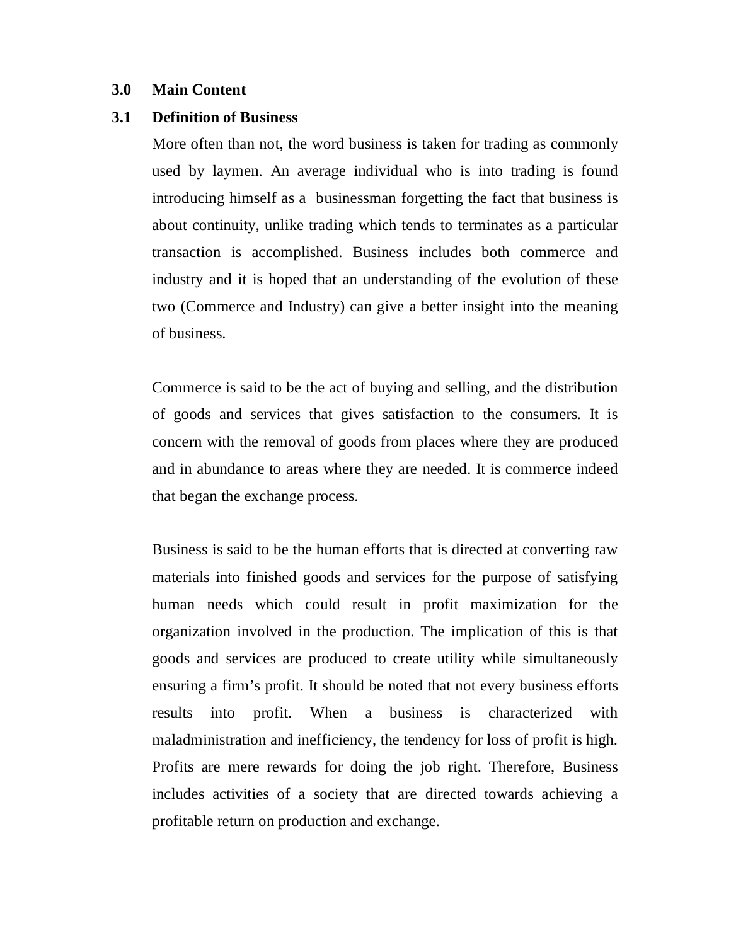#### **3.0 Main Content**

#### **3.1 Definition of Business**

More often than not, the word business is taken for trading as commonly used by laymen. An average individual who is into trading is found introducing himself as a businessman forgetting the fact that business is about continuity, unlike trading which tends to terminates as a particular transaction is accomplished. Business includes both commerce and industry and it is hoped that an understanding of the evolution of these two (Commerce and Industry) can give a better insight into the meaning of business.

Commerce is said to be the act of buying and selling, and the distribution of goods and services that gives satisfaction to the consumers. It is concern with the removal of goods from places where they are produced and in abundance to areas where they are needed. It is commerce indeed that began the exchange process.

Business is said to be the human efforts that is directed at converting raw materials into finished goods and services for the purpose of satisfying human needs which could result in profit maximization for the organization involved in the production. The implication of this is that goods and services are produced to create utility while simultaneously ensuring a firm's profit. It should be noted that not every business efforts results into profit. When a business is characterized with maladministration and inefficiency, the tendency for loss of profit is high. Profits are mere rewards for doing the job right. Therefore, Business includes activities of a society that are directed towards achieving a profitable return on production and exchange.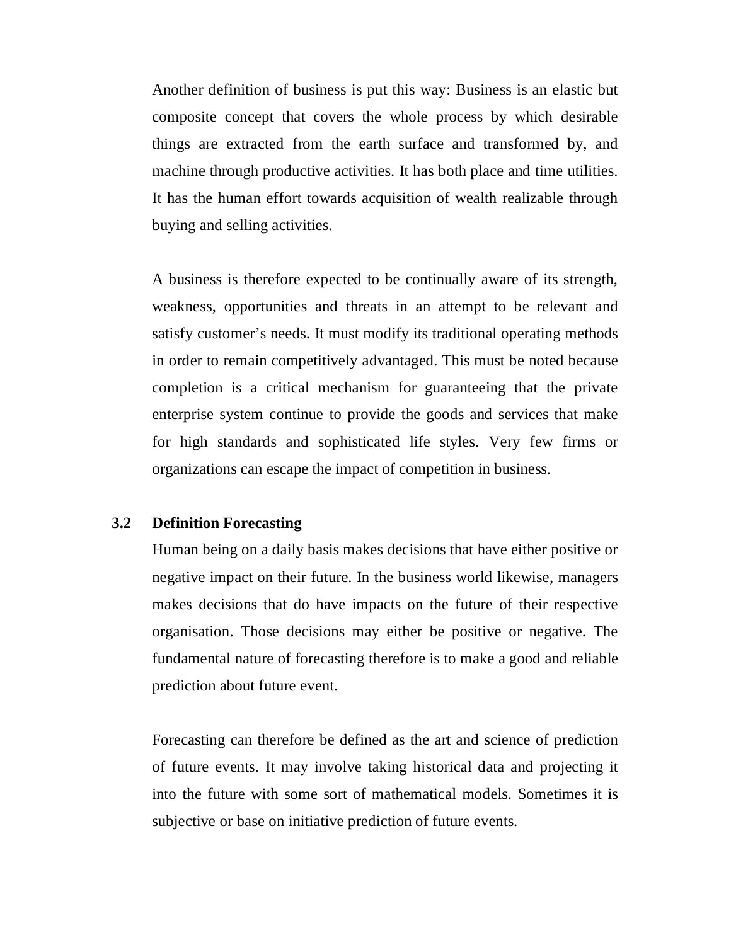Another definition of business is put this way: Business is an elastic but composite concept that covers the whole process by which desirable things are extracted from the earth surface and transformed by, and machine through productive activities. It has both place and time utilities. It has the human effort towards acquisition of wealth realizable through buying and selling activities.

A business is therefore expected to be continually aware of its strength, weakness, opportunities and threats in an attempt to be relevant and satisfy customer's needs. It must modify its traditional operating methods in order to remain competitively advantaged. This must be noted because completion is a critical mechanism for guaranteeing that the private enterprise system continue to provide the goods and services that make for high standards and sophisticated life styles. Very few firms or organizations can escape the impact of competition in business.

### **3.2 Definition Forecasting**

Human being on a daily basis makes decisions that have either positive or negative impact on their future. In the business world likewise, managers makes decisions that do have impacts on the future of their respective organisation. Those decisions may either be positive or negative. The fundamental nature of forecasting therefore is to make a good and reliable prediction about future event.

Forecasting can therefore be defined as the art and science of prediction of future events. It may involve taking historical data and projecting it into the future with some sort of mathematical models. Sometimes it is subjective or base on initiative prediction of future events.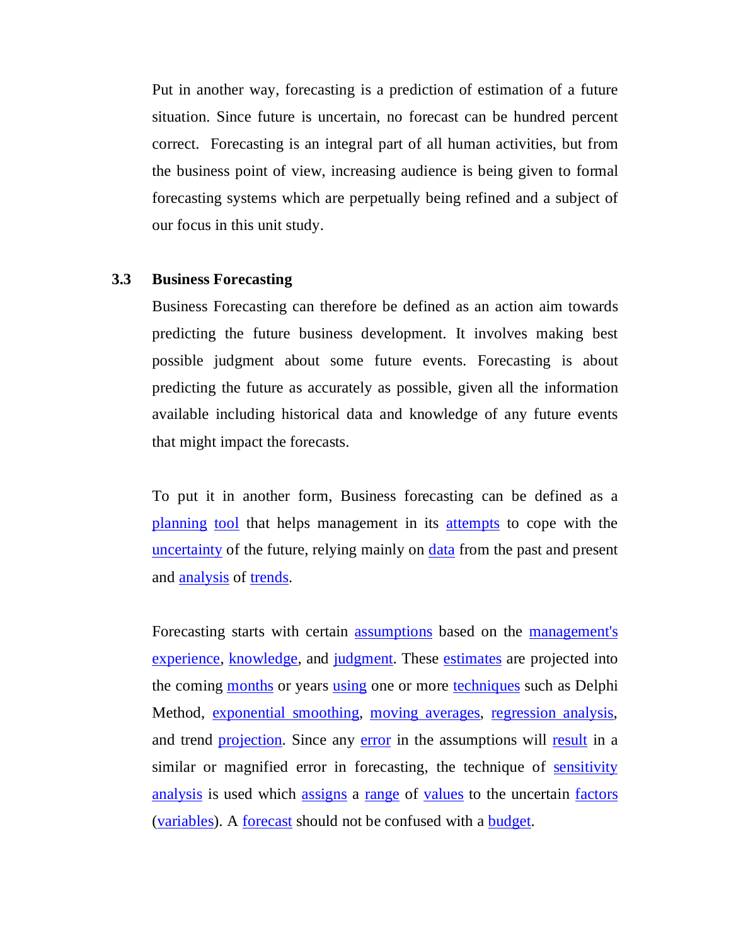Put in another way, forecasting is a prediction of estimation of a future situation. Since future is uncertain, no forecast can be hundred percent correct. Forecasting is an integral part of all human activities, but from the business point of view, increasing audience is being given to formal forecasting systems which are perpetually being refined and a subject of our focus in this unit study.

#### **3.3 Business Forecasting**

Business Forecasting can therefore be defined as an action aim towards predicting the future business development. It involves making best possible judgment about some future events. Forecasting is about predicting the future as accurately as possible, given all the information available including historical data and knowledge of any future events that might impact the forecasts.

To put it in another form, Business forecasting can be defined as a planning tool that helps management in its attempts to cope with the uncertainty of the future, relying mainly on data from the past and present and analysis of trends.

Forecasting starts with certain assumptions based on the management's experience, knowledge, and judgment. These estimates are projected into the coming months or years using one or more techniques such as Delphi Method, exponential smoothing, moving averages, regression analysis, and trend projection. Since any error in the assumptions will result in a similar or magnified error in forecasting, the technique of sensitivity analysis is used which assigns a range of values to the uncertain factors (variables). A forecast should not be confused with a budget.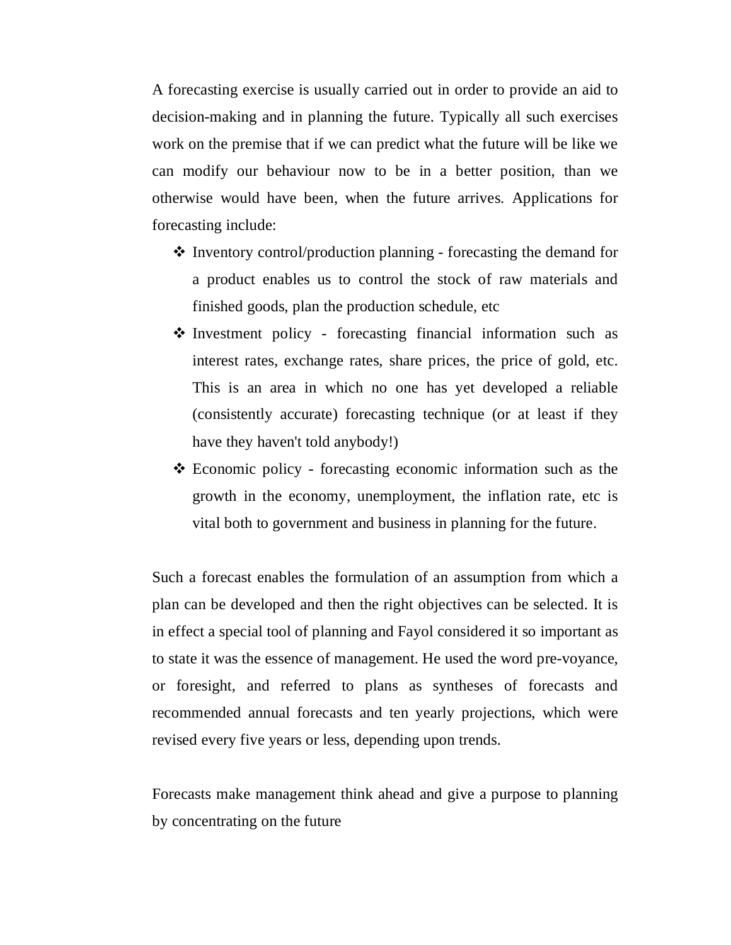A forecasting exercise is usually carried out in order to provide an aid to decision-making and in planning the future. Typically all such exercises work on the premise that if we can predict what the future will be like we can modify our behaviour now to be in a better position, than we otherwise would have been, when the future arrives. Applications for forecasting include:

- $\cdot$  Inventory control/production planning forecasting the demand for a product enables us to control the stock of raw materials and finished goods, plan the production schedule, etc
- $\triangle$  Investment policy forecasting financial information such as interest rates, exchange rates, share prices, the price of gold, etc. This is an area in which no one has yet developed a reliable (consistently accurate) forecasting technique (or at least if they have they haven't told anybody!)
- Economic policy forecasting economic information such as the growth in the economy, unemployment, the inflation rate, etc is vital both to government and business in planning for the future.

Such a forecast enables the formulation of an assumption from which a plan can be developed and then the right objectives can be selected. It is in effect a special tool of planning and Fayol considered it so important as to state it was the essence of management. He used the word pre-voyance, or foresight, and referred to plans as syntheses of forecasts and recommended annual forecasts and ten yearly projections, which were revised every five years or less, depending upon trends.

Forecasts make management think ahead and give a purpose to planning by concentrating on the future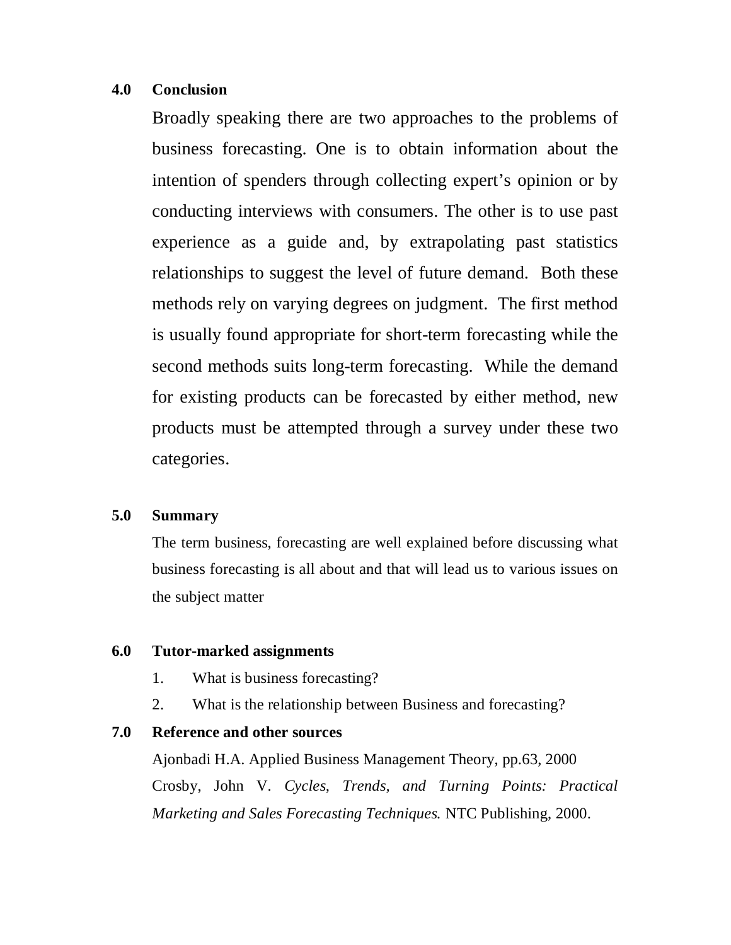#### **4.0 Conclusion**

Broadly speaking there are two approaches to the problems of business forecasting. One is to obtain information about the intention of spenders through collecting expert's opinion or by conducting interviews with consumers. The other is to use past experience as a guide and, by extrapolating past statistics relationships to suggest the level of future demand. Both these methods rely on varying degrees on judgment. The first method is usually found appropriate for short-term forecasting while the second methods suits long-term forecasting. While the demand for existing products can be forecasted by either method, new products must be attempted through a survey under these two categories.

#### **5.0 Summary**

The term business, forecasting are well explained before discussing what business forecasting is all about and that will lead us to various issues on the subject matter

#### **6.0 Tutor-marked assignments**

- 1. What is business forecasting?
- 2. What is the relationship between Business and forecasting?

#### **7.0 Reference and other sources**

Ajonbadi H.A. Applied Business Management Theory, pp.63, 2000 Crosby, John V. *Cycles, Trends, and Turning Points: Practical Marketing and Sales Forecasting Techniques.* NTC Publishing, 2000.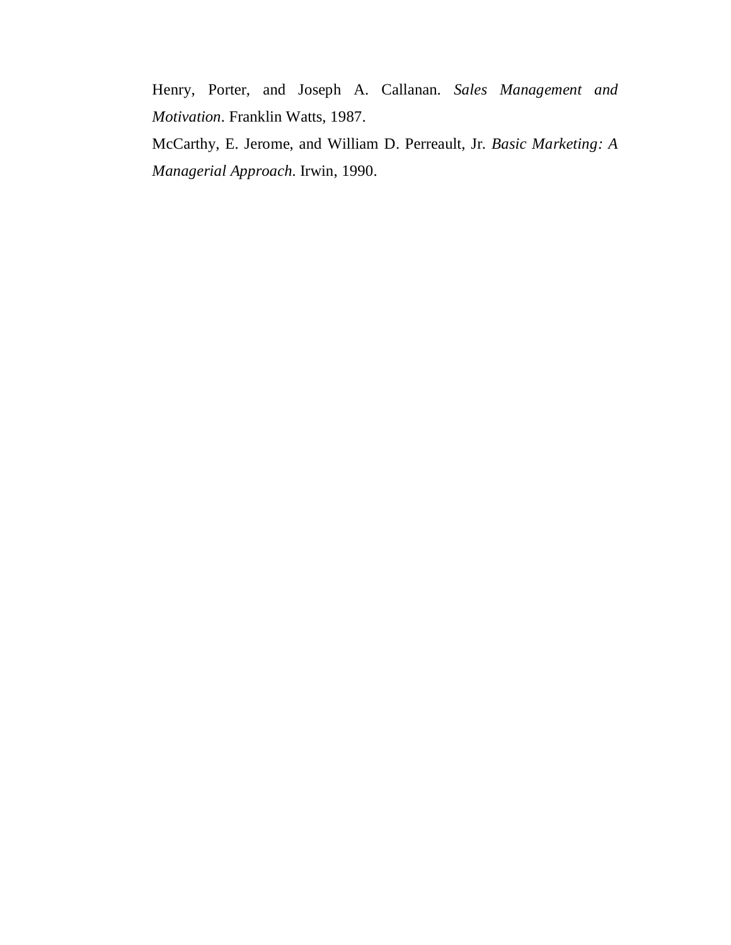Henry, Porter, and Joseph A. Callanan. *Sales Management and Motivation.* Franklin Watts, 1987.

McCarthy, E. Jerome, and William D. Perreault, Jr. *Basic Marketing: A Managerial Approach.* Irwin, 1990.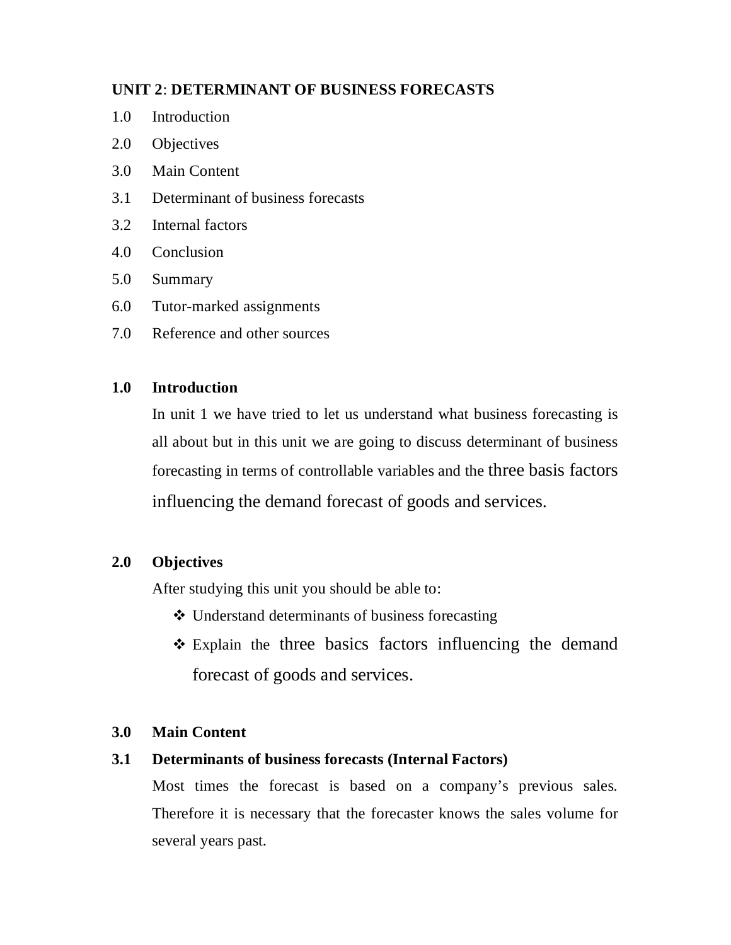## **UNIT 2**: **DETERMINANT OF BUSINESS FORECASTS**

- 1.0 Introduction
- 2.0 Objectives
- 3.0 Main Content
- 3.1 Determinant of business forecasts
- 3.2 Internal factors
- 4.0 Conclusion
- 5.0 Summary
- 6.0 Tutor-marked assignments
- 7.0 Reference and other sources

### **1.0 Introduction**

In unit 1 we have tried to let us understand what business forecasting is all about but in this unit we are going to discuss determinant of business forecasting in terms of controllable variables and the three basis factors influencing the demand forecast of goods and services.

## **2.0 Objectives**

After studying this unit you should be able to:

- Understand determinants of business forecasting
- Explain the three basics factors influencing the demand forecast of goods and services.

## **3.0 Main Content**

## **3.1 Determinants of business forecasts (Internal Factors)**

Most times the forecast is based on a company's previous sales. Therefore it is necessary that the forecaster knows the sales volume for several years past.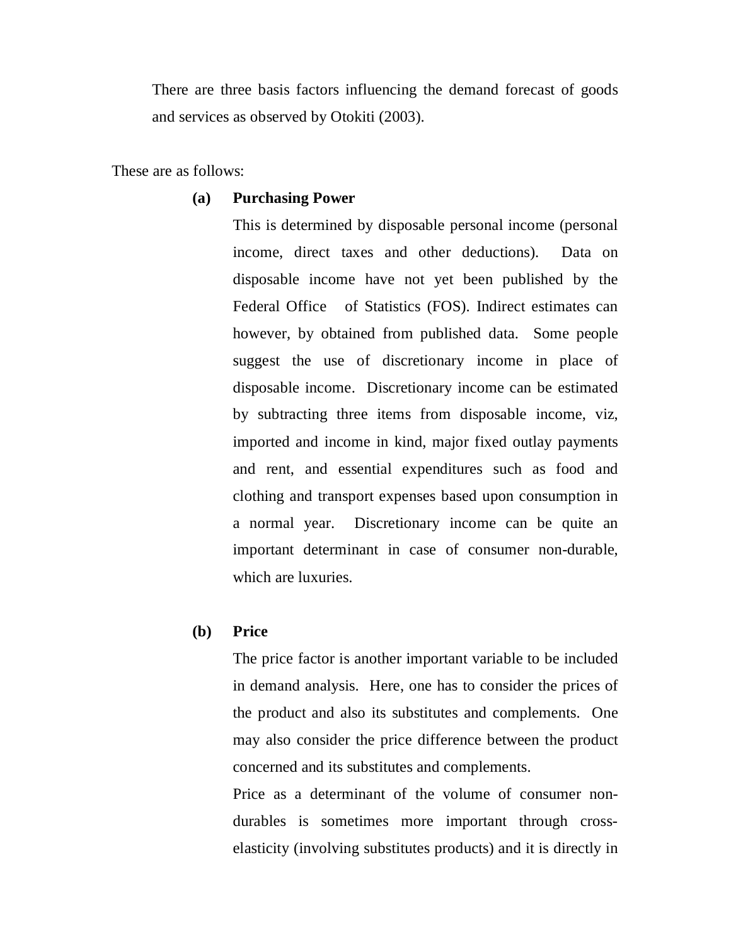There are three basis factors influencing the demand forecast of goods and services as observed by Otokiti (2003).

These are as follows:

#### **(a) Purchasing Power**

This is determined by disposable personal income (personal income, direct taxes and other deductions). Data on disposable income have not yet been published by the Federal Office of Statistics (FOS). Indirect estimates can however, by obtained from published data. Some people suggest the use of discretionary income in place of disposable income. Discretionary income can be estimated by subtracting three items from disposable income, viz, imported and income in kind, major fixed outlay payments and rent, and essential expenditures such as food and clothing and transport expenses based upon consumption in a normal year. Discretionary income can be quite an important determinant in case of consumer non-durable, which are luxuries.

#### **(b) Price**

The price factor is another important variable to be included in demand analysis. Here, one has to consider the prices of the product and also its substitutes and complements. One may also consider the price difference between the product concerned and its substitutes and complements.

Price as a determinant of the volume of consumer nondurables is sometimes more important through crosselasticity (involving substitutes products) and it is directly in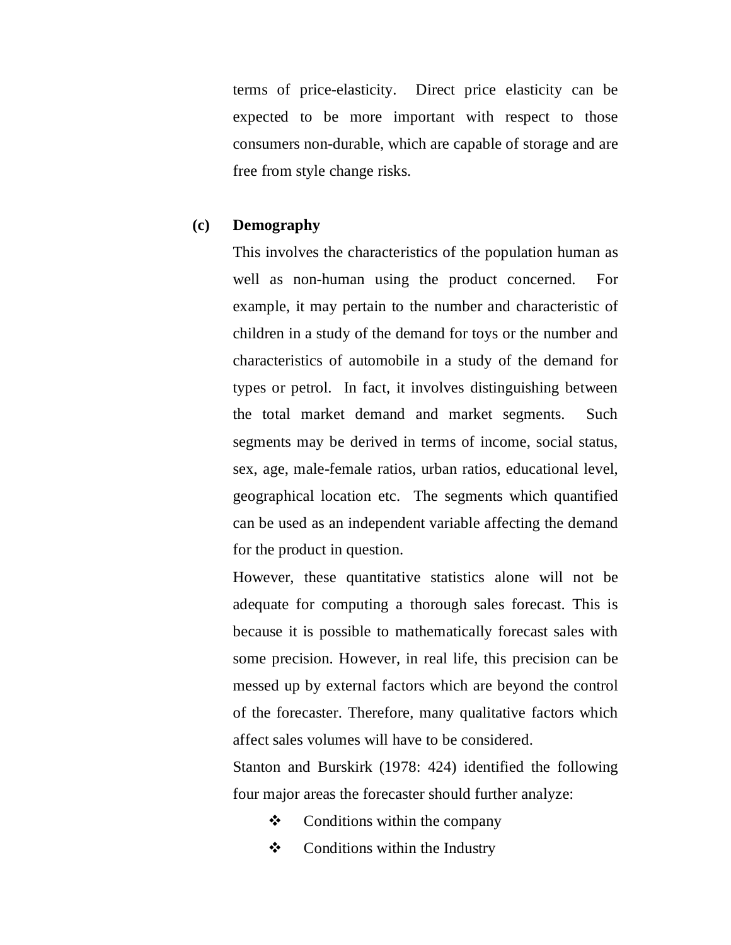terms of price-elasticity. Direct price elasticity can be expected to be more important with respect to those consumers non-durable, which are capable of storage and are free from style change risks.

#### **(c) Demography**

This involves the characteristics of the population human as well as non-human using the product concerned. For example, it may pertain to the number and characteristic of children in a study of the demand for toys or the number and characteristics of automobile in a study of the demand for types or petrol. In fact, it involves distinguishing between the total market demand and market segments. Such segments may be derived in terms of income, social status, sex, age, male-female ratios, urban ratios, educational level, geographical location etc. The segments which quantified can be used as an independent variable affecting the demand for the product in question.

However, these quantitative statistics alone will not be adequate for computing a thorough sales forecast. This is because it is possible to mathematically forecast sales with some precision. However, in real life, this precision can be messed up by external factors which are beyond the control of the forecaster. Therefore, many qualitative factors which affect sales volumes will have to be considered.

Stanton and Burskirk (1978: 424) identified the following four major areas the forecaster should further analyze:

- $\triangleleft$  Conditions within the company
- $\triangleleft$  Conditions within the Industry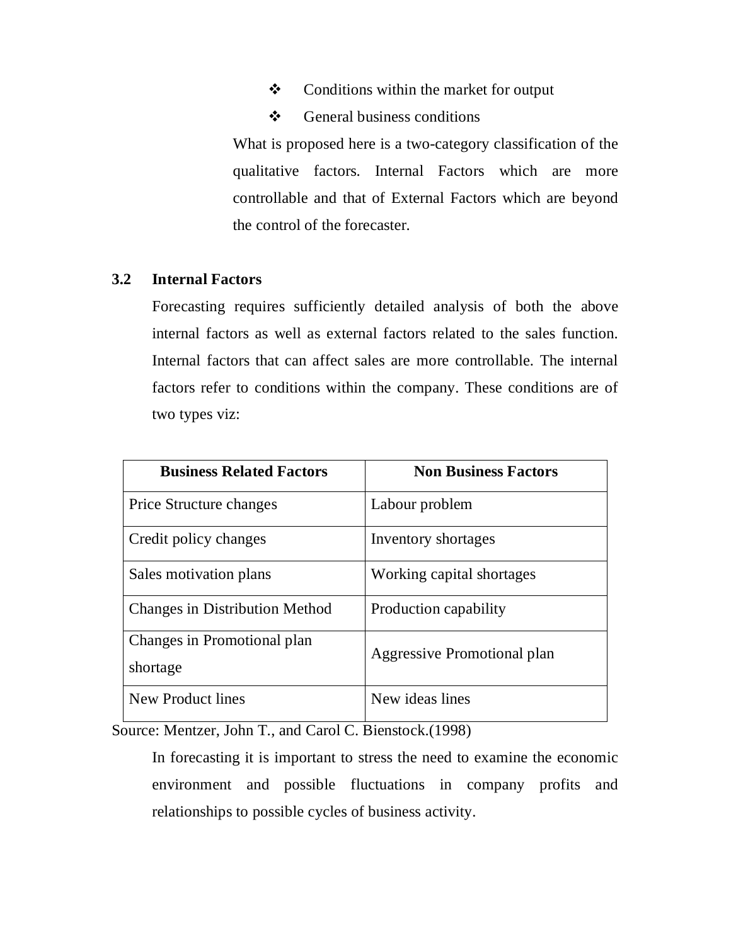- Conditions within the market for output
- $\div$  General business conditions

What is proposed here is a two-category classification of the qualitative factors. Internal Factors which are more controllable and that of External Factors which are beyond the control of the forecaster.

#### **3.2 Internal Factors**

Forecasting requires sufficiently detailed analysis of both the above internal factors as well as external factors related to the sales function. Internal factors that can affect sales are more controllable. The internal factors refer to conditions within the company. These conditions are of two types viz:

| <b>Business Related Factors</b>       | <b>Non Business Factors</b> |
|---------------------------------------|-----------------------------|
| <b>Price Structure changes</b>        | Labour problem              |
| Credit policy changes                 | Inventory shortages         |
| Sales motivation plans                | Working capital shortages   |
| <b>Changes in Distribution Method</b> | Production capability       |
| Changes in Promotional plan           | Aggressive Promotional plan |
| shortage                              |                             |
| New Product lines                     | New ideas lines             |

Source: Mentzer, John T., and Carol C. Bienstock.(1998)

In forecasting it is important to stress the need to examine the economic environment and possible fluctuations in company profits and relationships to possible cycles of business activity.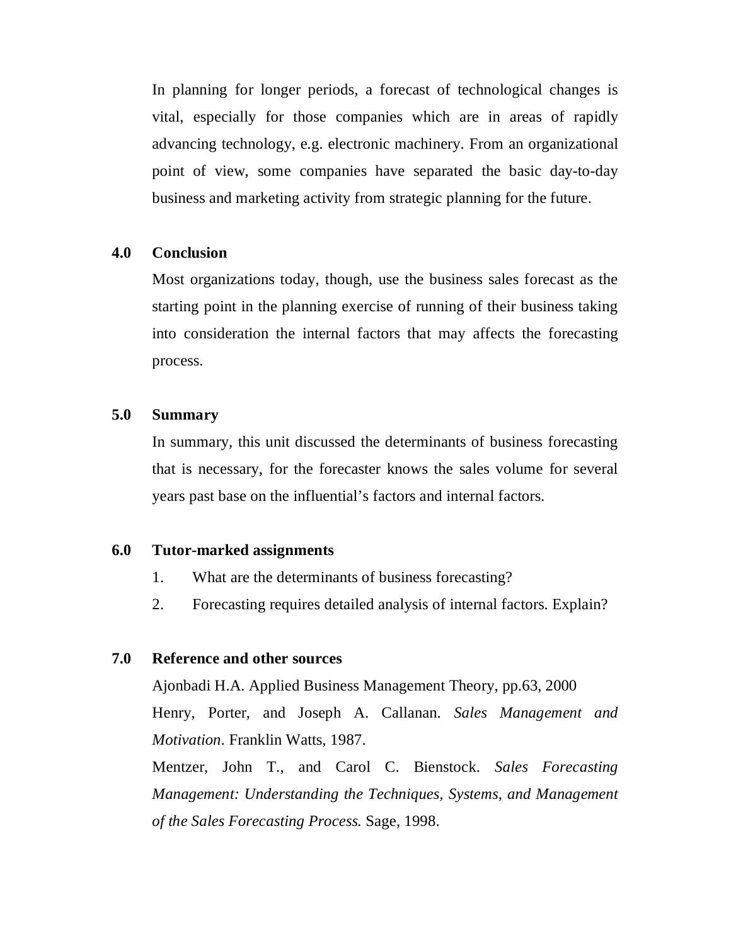In planning for longer periods, a forecast of technological changes is vital, especially for those companies which are in areas of rapidly advancing technology, e.g. electronic machinery. From an organizational point of view, some companies have separated the basic day-to-day business and marketing activity from strategic planning for the future.

#### **4.0 Conclusion**

Most organizations today, though, use the business sales forecast as the starting point in the planning exercise of running of their business taking into consideration the internal factors that may affects the forecasting process.

#### **5.0 Summary**

In summary, this unit discussed the determinants of business forecasting that is necessary, for the forecaster knows the sales volume for several years past base on the influential's factors and internal factors.

#### **6.0 Tutor-marked assignments**

- 1. What are the determinants of business forecasting?
- 2. Forecasting requires detailed analysis of internal factors. Explain?

## **7.0 Reference and other sources**

Ajonbadi H.A. Applied Business Management Theory, pp.63, 2000 Henry, Porter, and Joseph A. Callanan. *Sales Management and Motivation.* Franklin Watts, 1987.

Mentzer, John T., and Carol C. Bienstock. *Sales Forecasting Management: Understanding the Techniques, Systems, and Management of the Sales Forecasting Process.* Sage, 1998.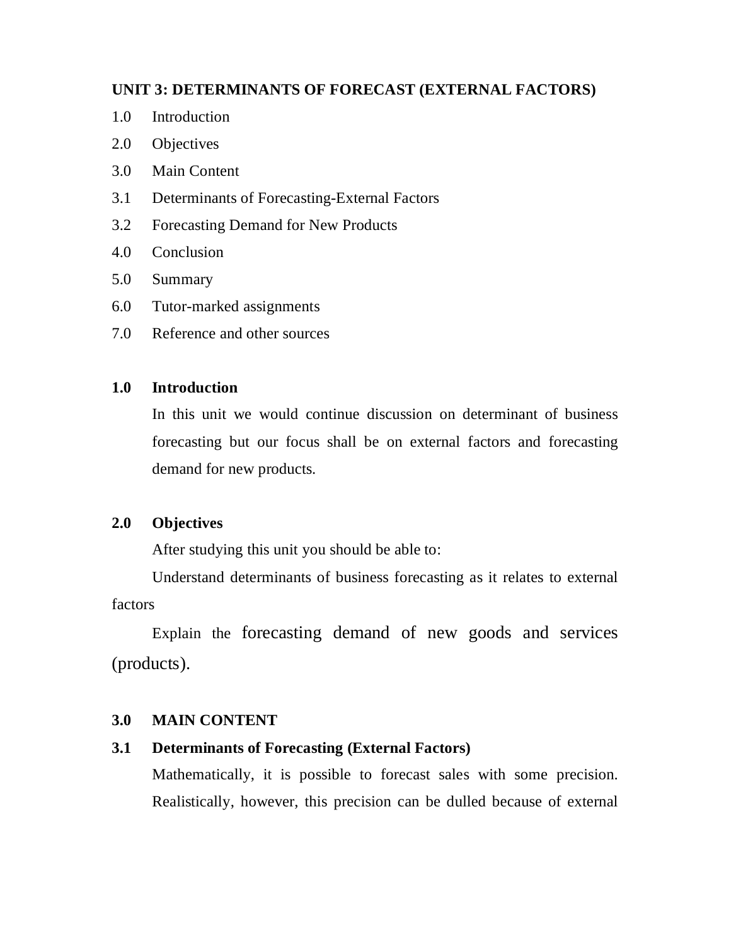### **UNIT 3: DETERMINANTS OF FORECAST (EXTERNAL FACTORS)**

- 1.0 Introduction
- 2.0 Objectives
- 3.0 Main Content
- 3.1 Determinants of Forecasting-External Factors
- 3.2 Forecasting Demand for New Products
- 4.0 Conclusion
- 5.0 Summary
- 6.0 Tutor-marked assignments
- 7.0 Reference and other sources

### **1.0 Introduction**

In this unit we would continue discussion on determinant of business forecasting but our focus shall be on external factors and forecasting demand for new products.

## **2.0 Objectives**

After studying this unit you should be able to:

Understand determinants of business forecasting as it relates to external factors

Explain the forecasting demand of new goods and services (products).

#### **3.0 MAIN CONTENT**

## **3.1 Determinants of Forecasting (External Factors)**

Mathematically, it is possible to forecast sales with some precision. Realistically, however, this precision can be dulled because of external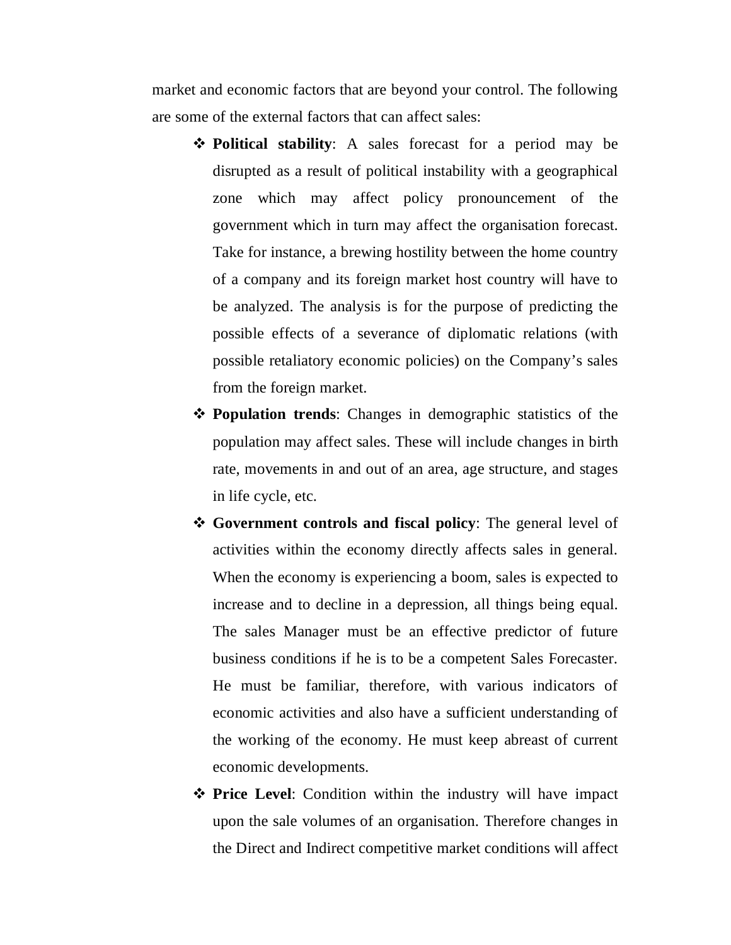market and economic factors that are beyond your control. The following are some of the external factors that can affect sales:

- **Political stability**: A sales forecast for a period may be disrupted as a result of political instability with a geographical zone which may affect policy pronouncement of the government which in turn may affect the organisation forecast. Take for instance, a brewing hostility between the home country of a company and its foreign market host country will have to be analyzed. The analysis is for the purpose of predicting the possible effects of a severance of diplomatic relations (with possible retaliatory economic policies) on the Company's sales from the foreign market.
- **Population trends**: Changes in demographic statistics of the population may affect sales. These will include changes in birth rate, movements in and out of an area, age structure, and stages in life cycle, etc.
- $\triangle$  **Government controls and fiscal policy**: The general level of activities within the economy directly affects sales in general. When the economy is experiencing a boom, sales is expected to increase and to decline in a depression, all things being equal. The sales Manager must be an effective predictor of future business conditions if he is to be a competent Sales Forecaster. He must be familiar, therefore, with various indicators of economic activities and also have a sufficient understanding of the working of the economy. He must keep abreast of current economic developments.
- **Price Level:** Condition within the industry will have impact upon the sale volumes of an organisation. Therefore changes in the Direct and Indirect competitive market conditions will affect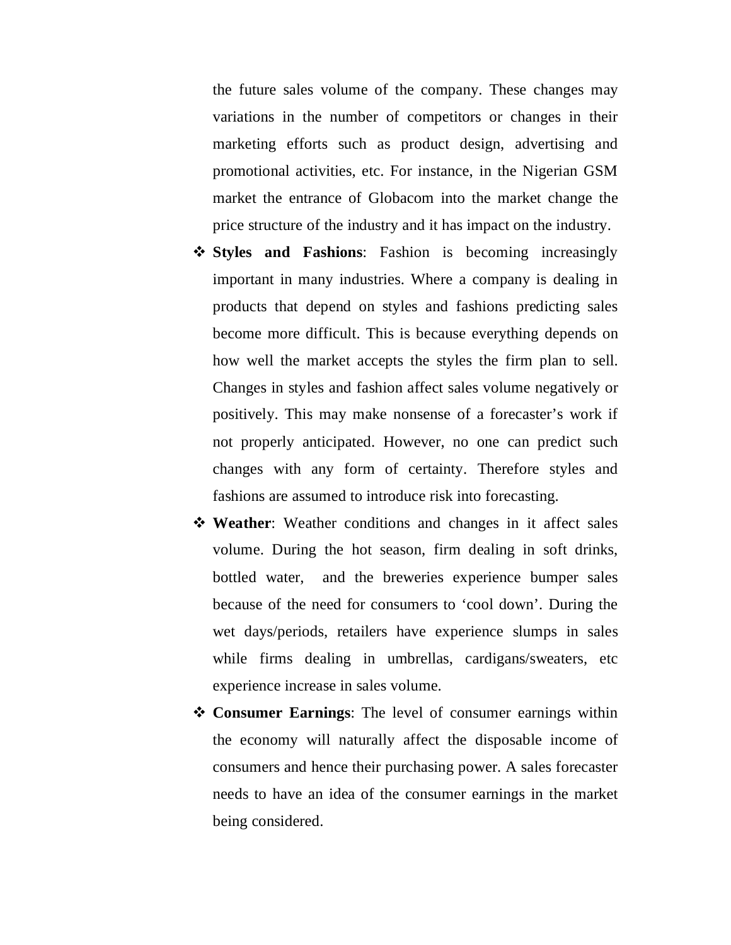the future sales volume of the company. These changes may variations in the number of competitors or changes in their marketing efforts such as product design, advertising and promotional activities, etc. For instance, in the Nigerian GSM market the entrance of Globacom into the market change the price structure of the industry and it has impact on the industry.

- **Styles and Fashions**: Fashion is becoming increasingly important in many industries. Where a company is dealing in products that depend on styles and fashions predicting sales become more difficult. This is because everything depends on how well the market accepts the styles the firm plan to sell. Changes in styles and fashion affect sales volume negatively or positively. This may make nonsense of a forecaster's work if not properly anticipated. However, no one can predict such changes with any form of certainty. Therefore styles and fashions are assumed to introduce risk into forecasting.
- **\*** Weather: Weather conditions and changes in it affect sales volume. During the hot season, firm dealing in soft drinks, bottled water, and the breweries experience bumper sales because of the need for consumers to 'cool down'. During the wet days/periods, retailers have experience slumps in sales while firms dealing in umbrellas, cardigans/sweaters, etc. experience increase in sales volume.
- **Consumer Earnings**: The level of consumer earnings within the economy will naturally affect the disposable income of consumers and hence their purchasing power. A sales forecaster needs to have an idea of the consumer earnings in the market being considered.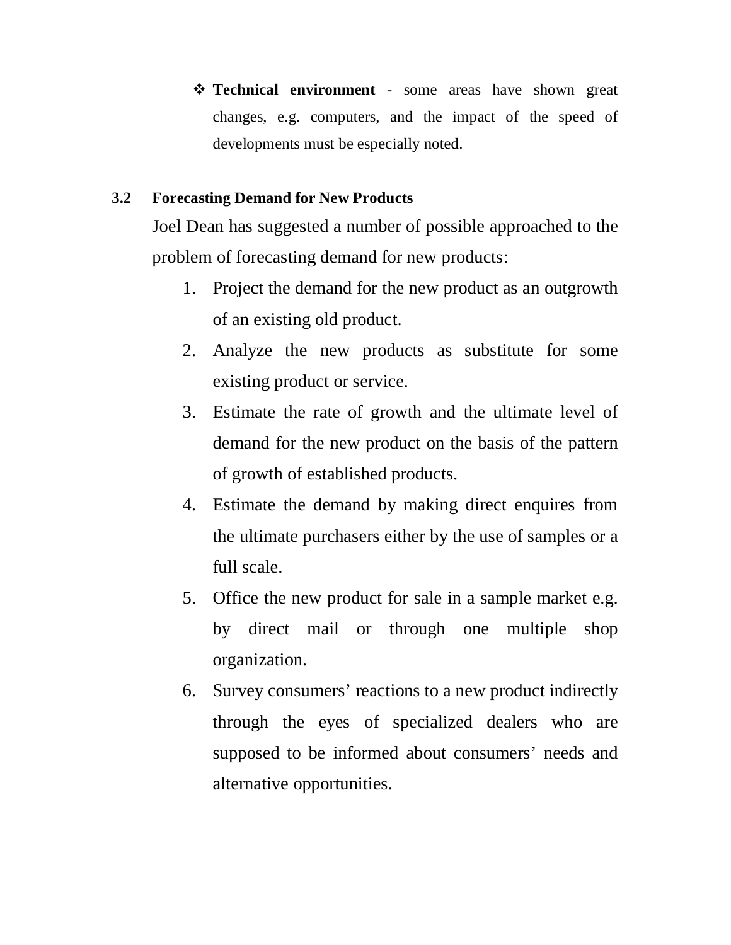**Technical environment** - some areas have shown great changes, e.g. computers, and the impact of the speed of developments must be especially noted.

# **3.2 Forecasting Demand for New Products**

Joel Dean has suggested a number of possible approached to the problem of forecasting demand for new products:

- 1. Project the demand for the new product as an outgrowth of an existing old product.
- 2. Analyze the new products as substitute for some existing product or service.
- 3. Estimate the rate of growth and the ultimate level of demand for the new product on the basis of the pattern of growth of established products.
- 4. Estimate the demand by making direct enquires from the ultimate purchasers either by the use of samples or a full scale.
- 5. Office the new product for sale in a sample market e.g. by direct mail or through one multiple shop organization.
- 6. Survey consumers' reactions to a new product indirectly through the eyes of specialized dealers who are supposed to be informed about consumers' needs and alternative opportunities.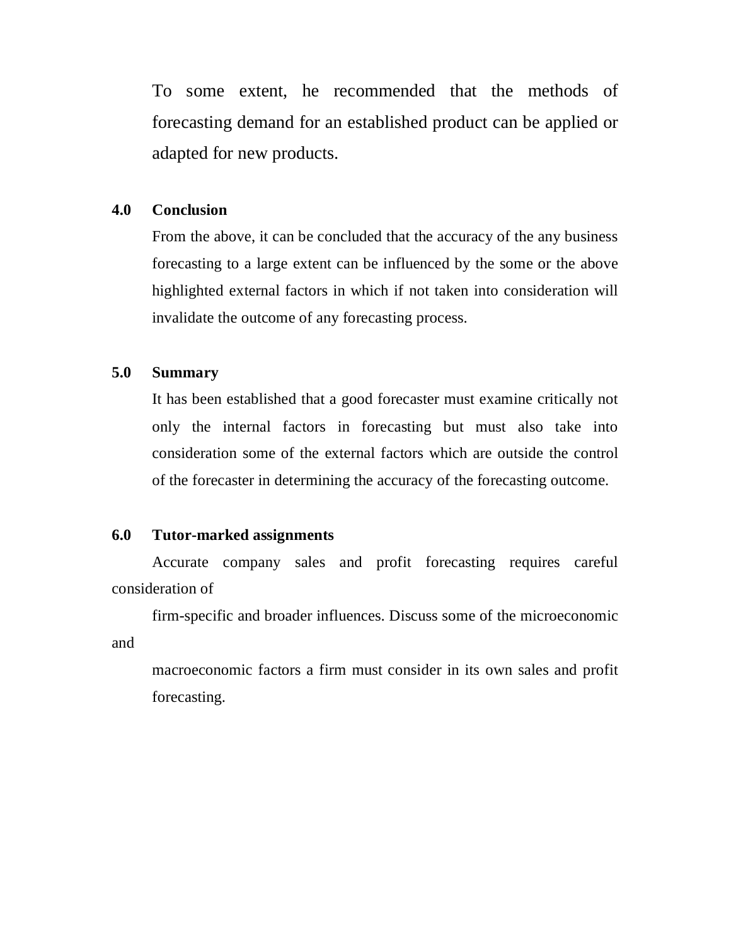To some extent, he recommended that the methods of forecasting demand for an established product can be applied or adapted for new products.

#### **4.0 Conclusion**

From the above, it can be concluded that the accuracy of the any business forecasting to a large extent can be influenced by the some or the above highlighted external factors in which if not taken into consideration will invalidate the outcome of any forecasting process.

### **5.0 Summary**

It has been established that a good forecaster must examine critically not only the internal factors in forecasting but must also take into consideration some of the external factors which are outside the control of the forecaster in determining the accuracy of the forecasting outcome.

#### **6.0 Tutor-marked assignments**

Accurate company sales and profit forecasting requires careful consideration of

firm-specific and broader influences. Discuss some of the microeconomic and

macroeconomic factors a firm must consider in its own sales and profit forecasting.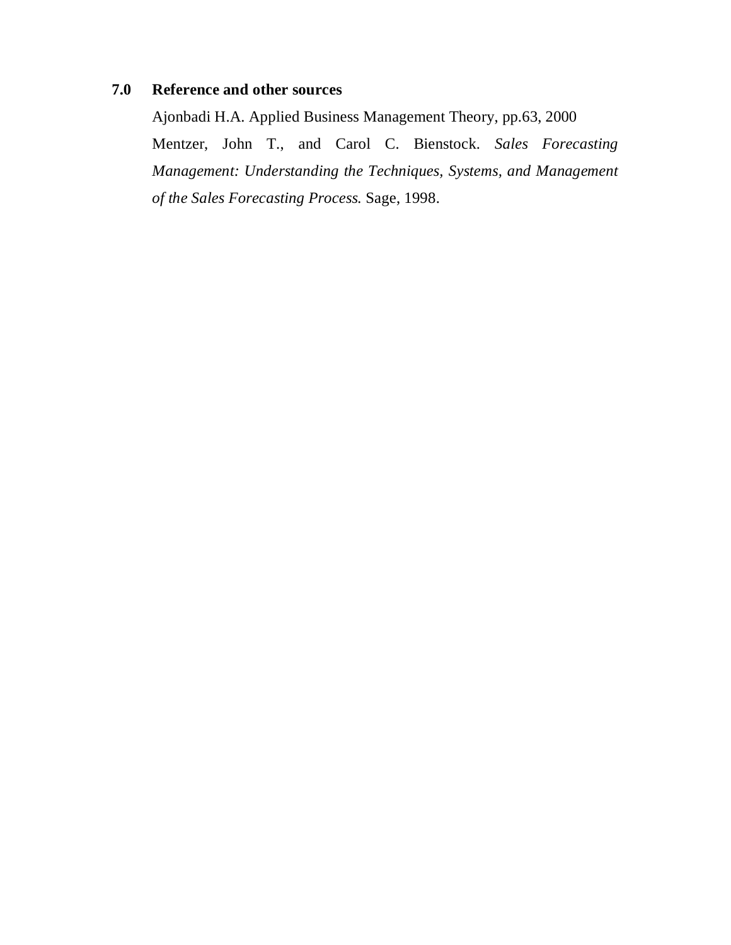# **7.0 Reference and other sources**

Ajonbadi H.A. Applied Business Management Theory, pp.63, 2000 Mentzer, John T., and Carol C. Bienstock. *Sales Forecasting Management: Understanding the Techniques, Systems, and Management of the Sales Forecasting Process.* Sage, 1998.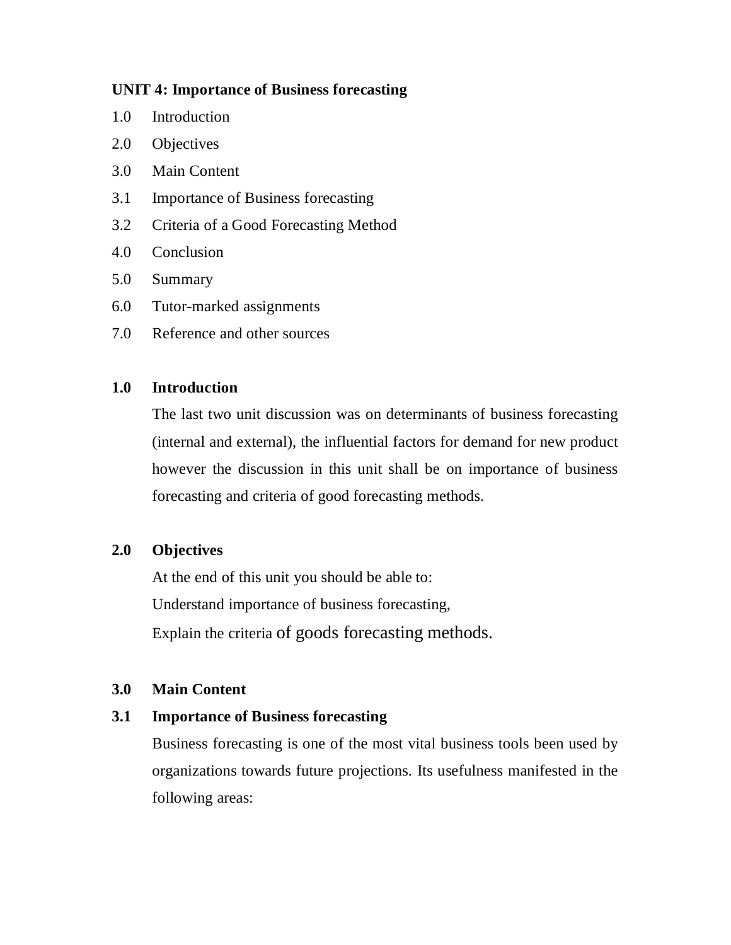### **UNIT 4: Importance of Business forecasting**

- 1.0 Introduction
- 2.0 Objectives
- 3.0 Main Content
- 3.1 Importance of Business forecasting
- 3.2 Criteria of a Good Forecasting Method
- 4.0 Conclusion
- 5.0 Summary
- 6.0 Tutor-marked assignments
- 7.0 Reference and other sources

### **1.0 Introduction**

The last two unit discussion was on determinants of business forecasting (internal and external), the influential factors for demand for new product however the discussion in this unit shall be on importance of business forecasting and criteria of good forecasting methods.

## **2.0 Objectives**

At the end of this unit you should be able to: Understand importance of business forecasting, Explain the criteria of goods forecasting methods.

## **3.0 Main Content**

### **3.1 Importance of Business forecasting**

Business forecasting is one of the most vital business tools been used by organizations towards future projections. Its usefulness manifested in the following areas: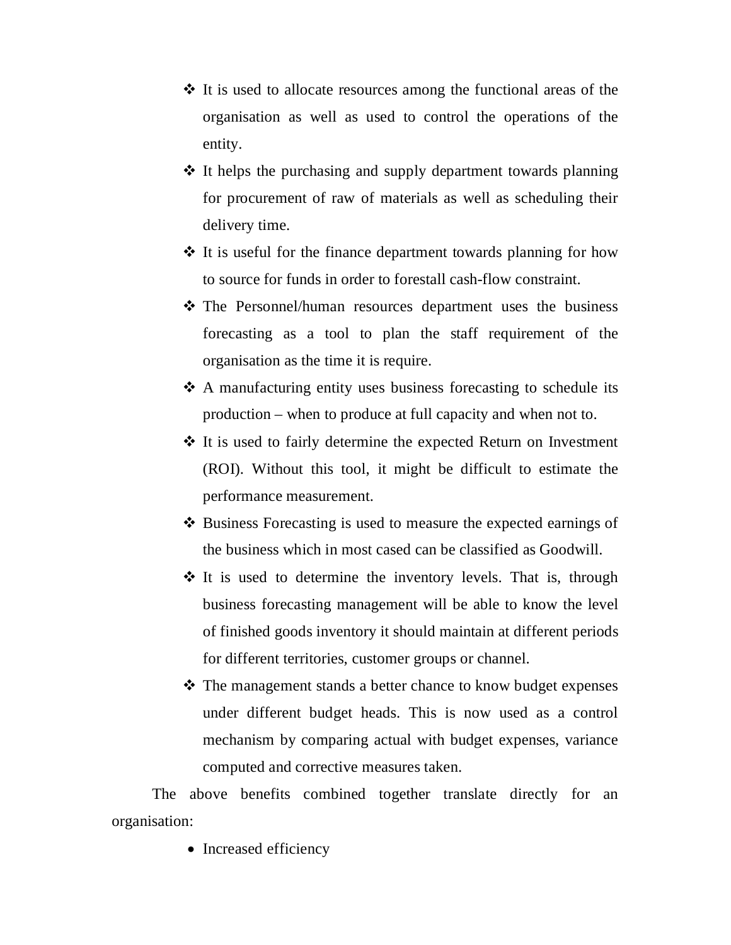- $\triangle$  It is used to allocate resources among the functional areas of the organisation as well as used to control the operations of the entity.
- $\triangle$  It helps the purchasing and supply department towards planning for procurement of raw of materials as well as scheduling their delivery time.
- $\triangle$  It is useful for the finance department towards planning for how to source for funds in order to forestall cash-flow constraint.
- The Personnel/human resources department uses the business forecasting as a tool to plan the staff requirement of the organisation as the time it is require.
- A manufacturing entity uses business forecasting to schedule its production – when to produce at full capacity and when not to.
- It is used to fairly determine the expected Return on Investment (ROI). Without this tool, it might be difficult to estimate the performance measurement.
- ❖ Business Forecasting is used to measure the expected earnings of the business which in most cased can be classified as Goodwill.
- $\cdot$  It is used to determine the inventory levels. That is, through business forecasting management will be able to know the level of finished goods inventory it should maintain at different periods for different territories, customer groups or channel.
- The management stands a better chance to know budget expenses under different budget heads. This is now used as a control mechanism by comparing actual with budget expenses, variance computed and corrective measures taken.

The above benefits combined together translate directly for an organisation:

• Increased efficiency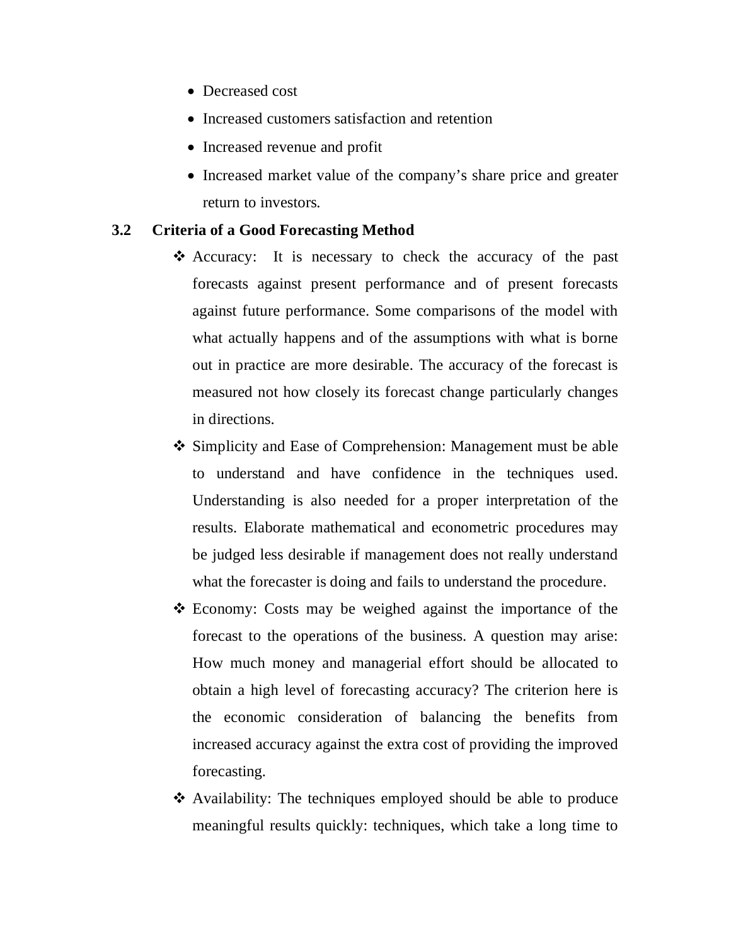- Decreased cost
- Increased customers satisfaction and retention
- Increased revenue and profit
- Increased market value of the company's share price and greater return to investors.

#### **3.2 Criteria of a Good Forecasting Method**

- Accuracy: It is necessary to check the accuracy of the past forecasts against present performance and of present forecasts against future performance. Some comparisons of the model with what actually happens and of the assumptions with what is borne out in practice are more desirable. The accuracy of the forecast is measured not how closely its forecast change particularly changes in directions.
- Simplicity and Ease of Comprehension: Management must be able to understand and have confidence in the techniques used. Understanding is also needed for a proper interpretation of the results. Elaborate mathematical and econometric procedures may be judged less desirable if management does not really understand what the forecaster is doing and fails to understand the procedure.
- Economy: Costs may be weighed against the importance of the forecast to the operations of the business. A question may arise: How much money and managerial effort should be allocated to obtain a high level of forecasting accuracy? The criterion here is the economic consideration of balancing the benefits from increased accuracy against the extra cost of providing the improved forecasting.
- Availability: The techniques employed should be able to produce meaningful results quickly: techniques, which take a long time to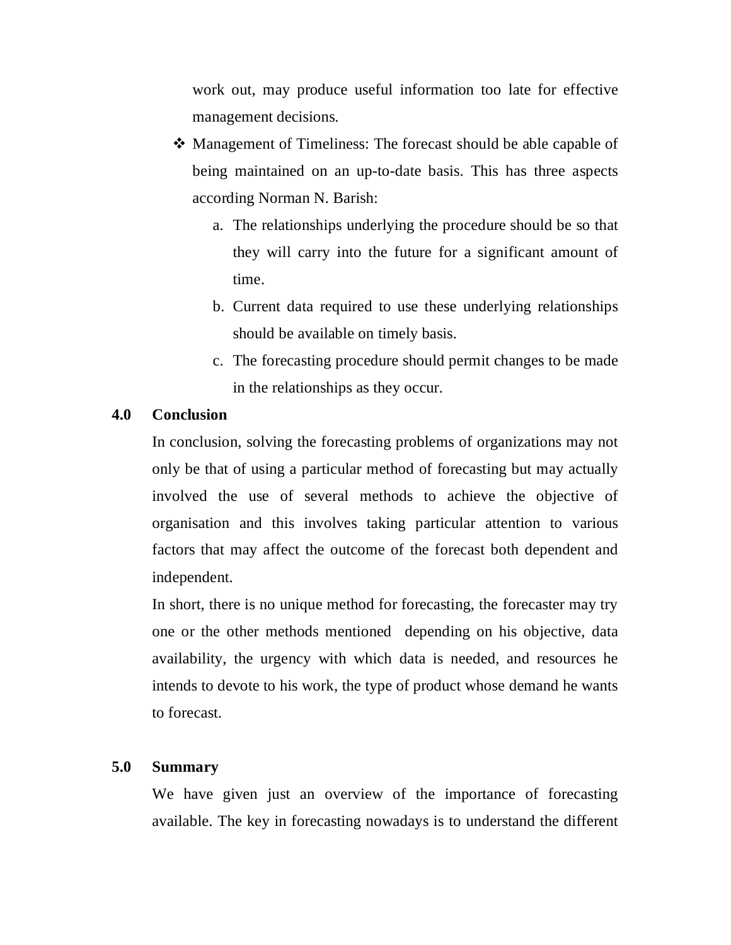work out, may produce useful information too late for effective management decisions.

- Management of Timeliness: The forecast should be able capable of being maintained on an up-to-date basis. This has three aspects according Norman N. Barish:
	- a. The relationships underlying the procedure should be so that they will carry into the future for a significant amount of time.
	- b. Current data required to use these underlying relationships should be available on timely basis.
	- c. The forecasting procedure should permit changes to be made in the relationships as they occur.

### **4.0 Conclusion**

In conclusion, solving the forecasting problems of organizations may not only be that of using a particular method of forecasting but may actually involved the use of several methods to achieve the objective of organisation and this involves taking particular attention to various factors that may affect the outcome of the forecast both dependent and independent.

In short, there is no unique method for forecasting, the forecaster may try one or the other methods mentioned depending on his objective, data availability, the urgency with which data is needed, and resources he intends to devote to his work, the type of product whose demand he wants to forecast.

#### **5.0 Summary**

We have given just an overview of the importance of forecasting available. The key in forecasting nowadays is to understand the different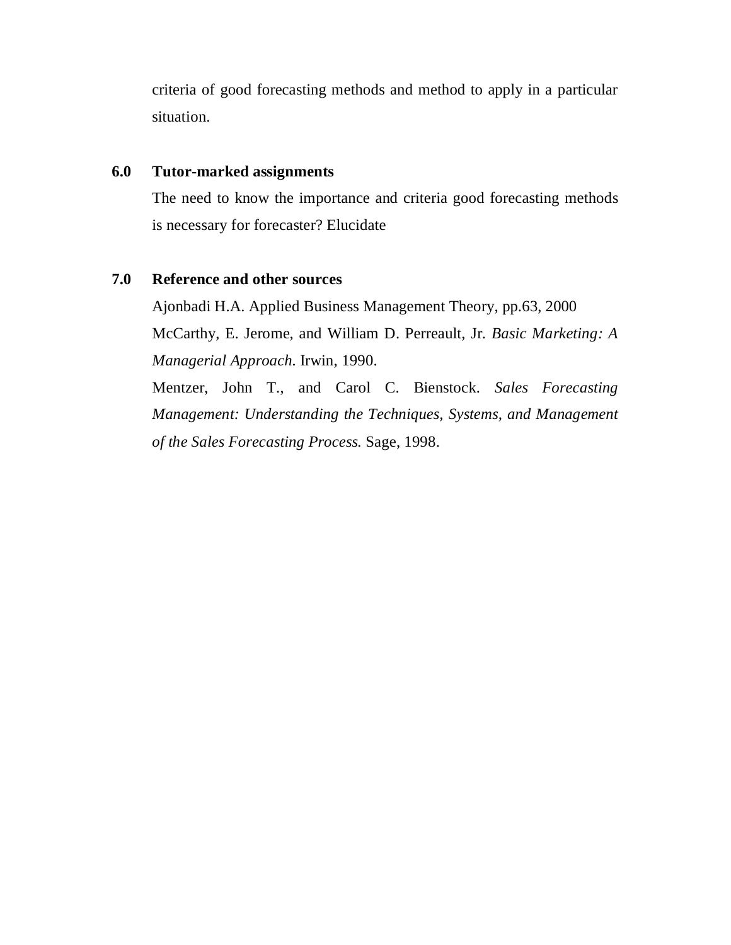criteria of good forecasting methods and method to apply in a particular situation.

#### **6.0 Tutor-marked assignments**

The need to know the importance and criteria good forecasting methods is necessary for forecaster? Elucidate

#### **7.0 Reference and other sources**

Ajonbadi H.A. Applied Business Management Theory, pp.63, 2000 McCarthy, E. Jerome, and William D. Perreault, Jr. *Basic Marketing: A Managerial Approach.* Irwin, 1990.

Mentzer, John T., and Carol C. Bienstock. *Sales Forecasting Management: Understanding the Techniques, Systems, and Management of the Sales Forecasting Process.* Sage, 1998.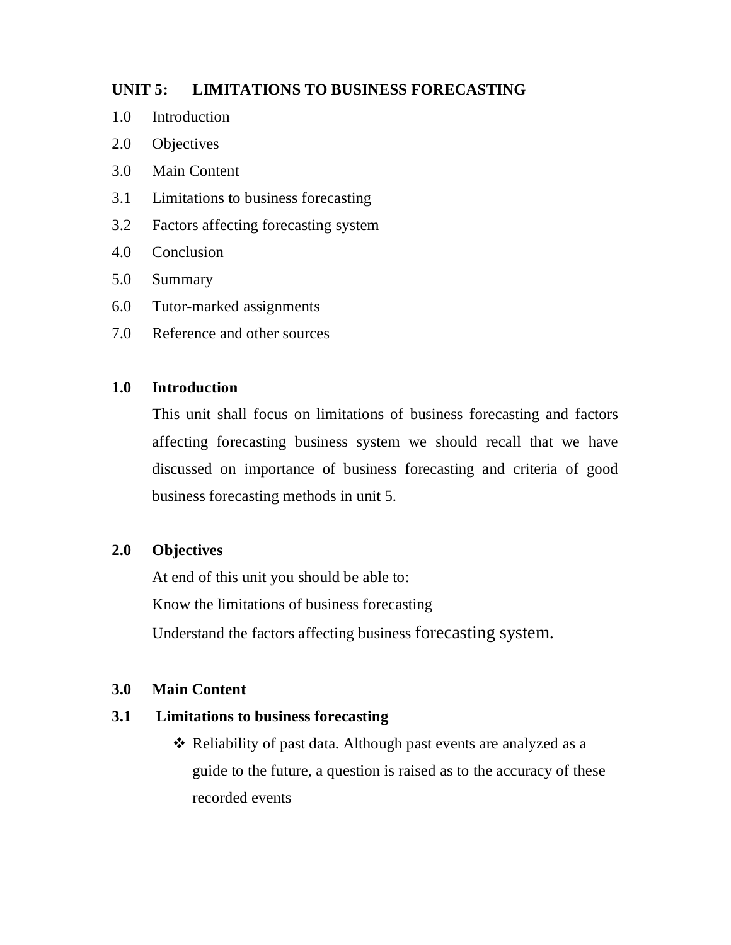### **UNIT 5: LIMITATIONS TO BUSINESS FORECASTING**

- 1.0 Introduction
- 2.0 Objectives
- 3.0 Main Content
- 3.1 Limitations to business forecasting
- 3.2 Factors affecting forecasting system
- 4.0 Conclusion
- 5.0 Summary
- 6.0 Tutor-marked assignments
- 7.0 Reference and other sources

#### **1.0 Introduction**

This unit shall focus on limitations of business forecasting and factors affecting forecasting business system we should recall that we have discussed on importance of business forecasting and criteria of good business forecasting methods in unit 5.

#### **2.0 Objectives**

At end of this unit you should be able to: Know the limitations of business forecasting Understand the factors affecting business forecasting system.

#### **3.0 Main Content**

### **3.1 Limitations to business forecasting**

\* Reliability of past data. Although past events are analyzed as a guide to the future, a question is raised as to the accuracy of these recorded events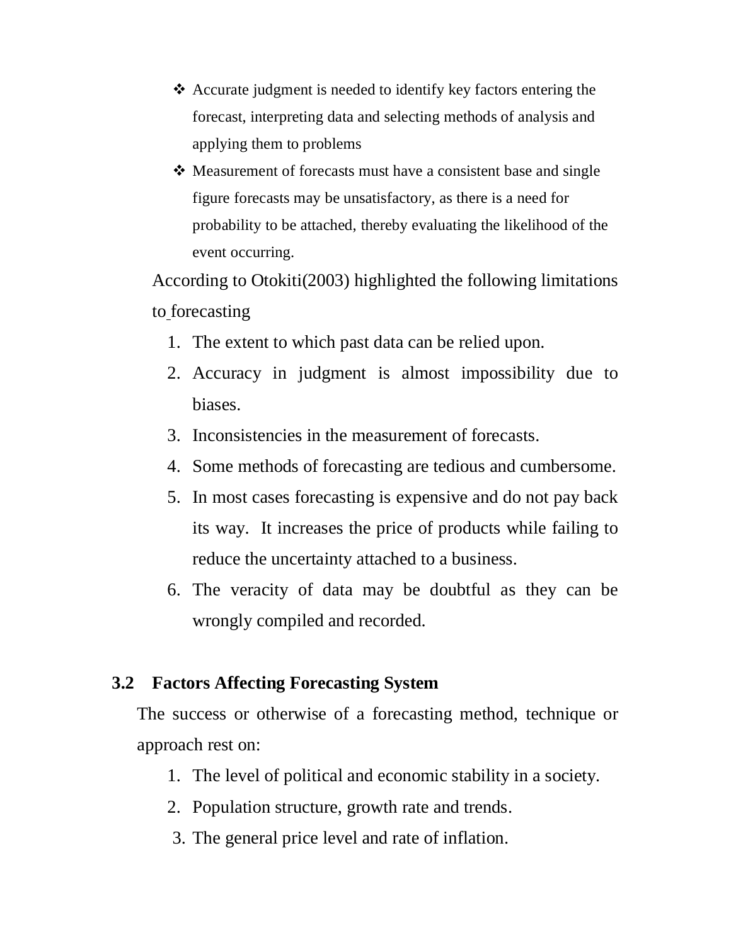- Accurate judgment is needed to identify key factors entering the forecast, interpreting data and selecting methods of analysis and applying them to problems
- **→** Measurement of forecasts must have a consistent base and single figure forecasts may be unsatisfactory, as there is a need for probability to be attached, thereby evaluating the likelihood of the event occurring.

According to Otokiti(2003) highlighted the following limitations to forecasting

- 1. The extent to which past data can be relied upon.
- 2. Accuracy in judgment is almost impossibility due to biases.
- 3. Inconsistencies in the measurement of forecasts.
- 4. Some methods of forecasting are tedious and cumbersome.
- 5. In most cases forecasting is expensive and do not pay back its way. It increases the price of products while failing to reduce the uncertainty attached to a business.
- 6. The veracity of data may be doubtful as they can be wrongly compiled and recorded.

# **3.2 Factors Affecting Forecasting System**

The success or otherwise of a forecasting method, technique or approach rest on:

- 1. The level of political and economic stability in a society.
- 2. Population structure, growth rate and trends.
- 3. The general price level and rate of inflation.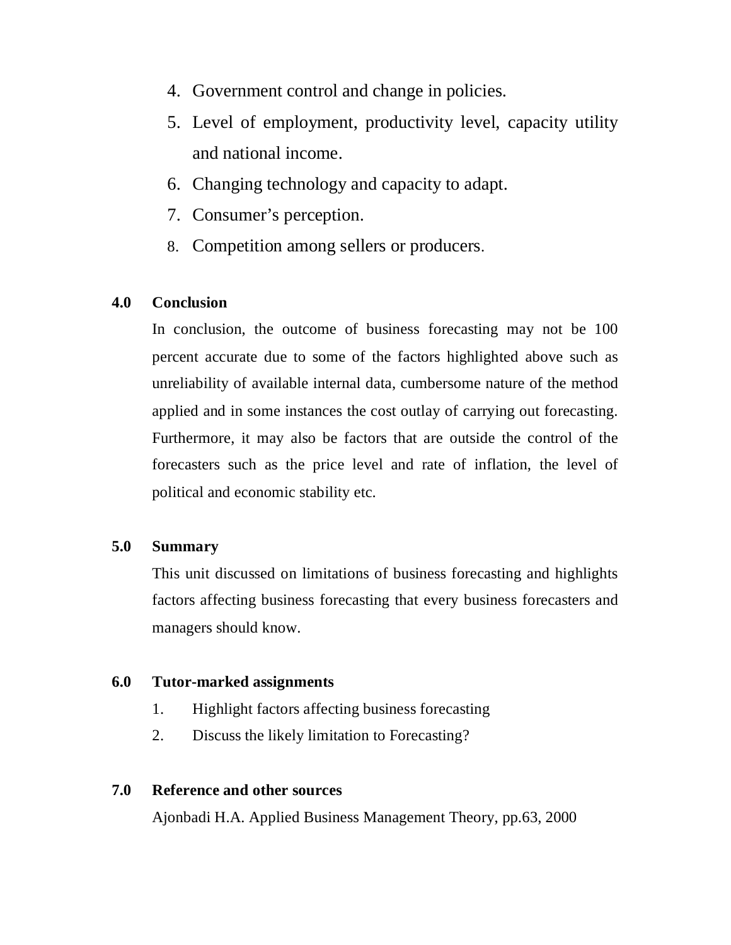- 4. Government control and change in policies.
- 5. Level of employment, productivity level, capacity utility and national income.
- 6. Changing technology and capacity to adapt.
- 7. Consumer's perception.
- 8. Competition among sellers or producers.

#### **4.0 Conclusion**

In conclusion, the outcome of business forecasting may not be 100 percent accurate due to some of the factors highlighted above such as unreliability of available internal data, cumbersome nature of the method applied and in some instances the cost outlay of carrying out forecasting. Furthermore, it may also be factors that are outside the control of the forecasters such as the price level and rate of inflation, the level of political and economic stability etc.

#### **5.0 Summary**

This unit discussed on limitations of business forecasting and highlights factors affecting business forecasting that every business forecasters and managers should know.

#### **6.0 Tutor-marked assignments**

- 1. Highlight factors affecting business forecasting
- 2. Discuss the likely limitation to Forecasting?

#### **7.0 Reference and other sources**

Ajonbadi H.A. Applied Business Management Theory, pp.63, 2000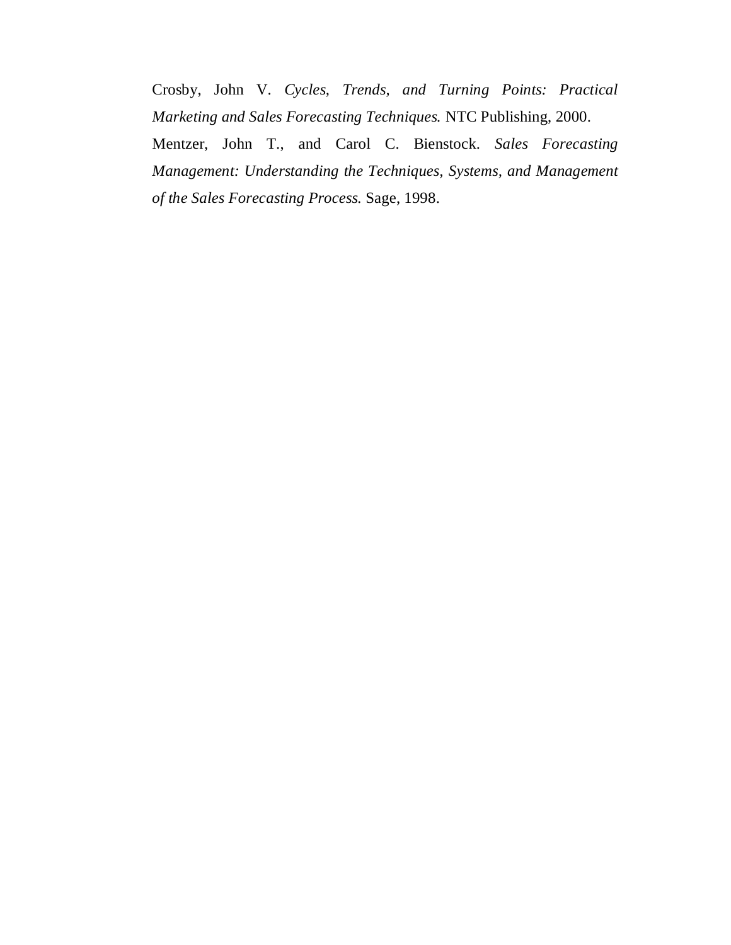Crosby, John V. *Cycles, Trends, and Turning Points: Practical Marketing and Sales Forecasting Techniques.* NTC Publishing, 2000. Mentzer, John T., and Carol C. Bienstock. *Sales Forecasting Management: Understanding the Techniques, Systems, and Management of the Sales Forecasting Process.* Sage, 1998.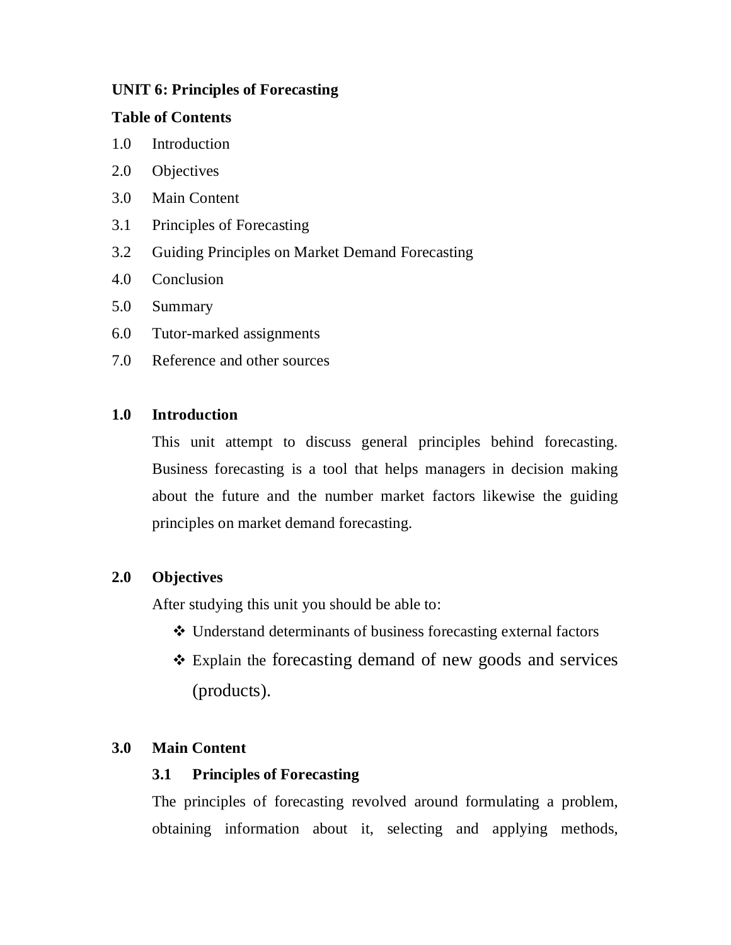## **UNIT 6: Principles of Forecasting**

### **Table of Contents**

- 1.0 Introduction
- 2.0 Objectives
- 3.0 Main Content
- 3.1 Principles of Forecasting
- 3.2 Guiding Principles on Market Demand Forecasting
- 4.0 Conclusion
- 5.0 Summary
- 6.0 Tutor-marked assignments
- 7.0 Reference and other sources

## **1.0 Introduction**

This unit attempt to discuss general principles behind forecasting. Business forecasting is a tool that helps managers in decision making about the future and the number market factors likewise the guiding principles on market demand forecasting.

# **2.0 Objectives**

After studying this unit you should be able to:

- Understand determinants of business forecasting external factors
- Explain the forecasting demand of new goods and services (products).

# **3.0 Main Content**

## **3.1 Principles of Forecasting**

The principles of forecasting revolved around formulating a problem, obtaining information about it, selecting and applying methods,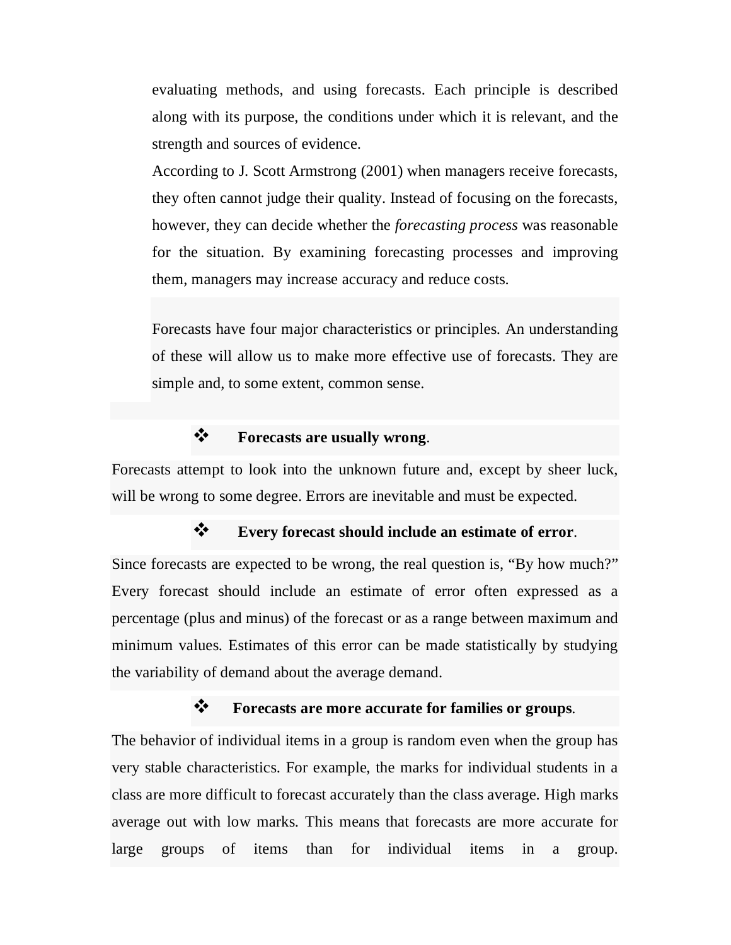evaluating methods, and using forecasts. Each principle is described along with its purpose, the conditions under which it is relevant, and the strength and sources of evidence.

According to J. Scott Armstrong (2001) when managers receive forecasts, they often cannot judge their quality. Instead of focusing on the forecasts, however, they can decide whether the *forecasting process* was reasonable for the situation. By examining forecasting processes and improving them, managers may increase accuracy and reduce costs.

Forecasts have four major characteristics or principles. An understanding of these will allow us to make more effective use of forecasts. They are simple and, to some extent, common sense.

## **Forecasts are usually wrong**.

Forecasts attempt to look into the unknown future and, except by sheer luck, will be wrong to some degree. Errors are inevitable and must be expected.

#### **Every forecast should include an estimate of error**.

Since forecasts are expected to be wrong, the real question is, "By how much?" Every forecast should include an estimate of error often expressed as a percentage (plus and minus) of the forecast or as a range between maximum and minimum values. Estimates of this error can be made statistically by studying the variability of demand about the average demand.

### **Forecasts are more accurate for families or groups**.

The behavior of individual items in a group is random even when the group has very stable characteristics. For example, the marks for individual students in a class are more difficult to forecast accurately than the class average. High marks average out with low marks. This means that forecasts are more accurate for large groups of items than for individual items in a group.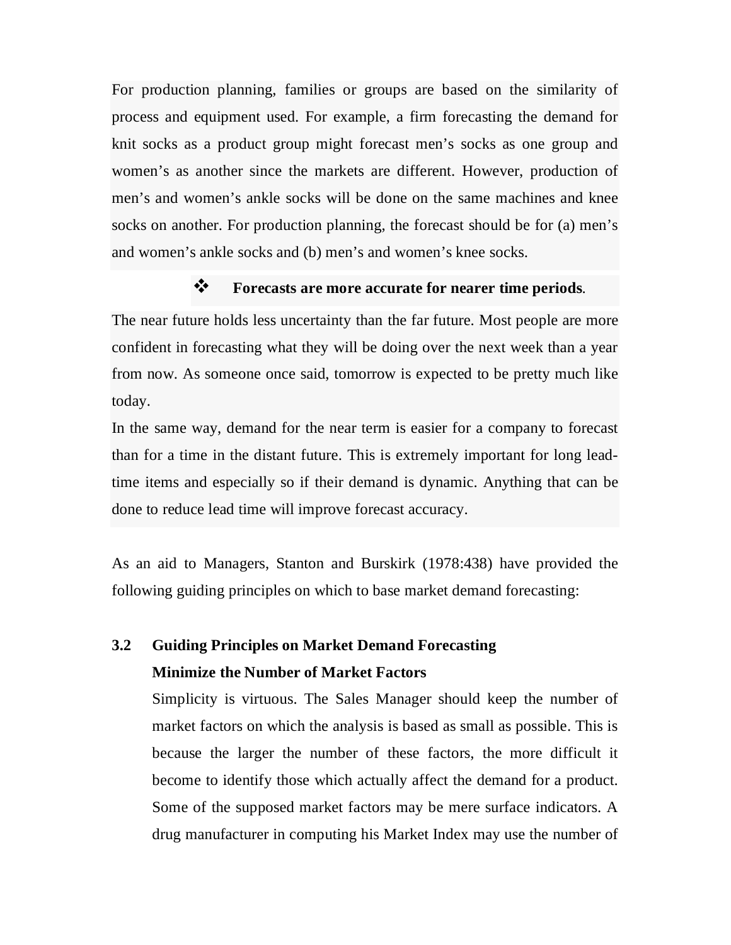For production planning, families or groups are based on the similarity of process and equipment used. For example, a firm forecasting the demand for knit socks as a product group might forecast men's socks as one group and women's as another since the markets are different. However, production of men's and women's ankle socks will be done on the same machines and knee socks on another. For production planning, the forecast should be for (a) men's and women's ankle socks and (b) men's and women's knee socks.

# **Forecasts are more accurate for nearer time periods**.

The near future holds less uncertainty than the far future. Most people are more confident in forecasting what they will be doing over the next week than a year from now. As someone once said, tomorrow is expected to be pretty much like today.

In the same way, demand for the near term is easier for a company to forecast than for a time in the distant future. This is extremely important for long leadtime items and especially so if their demand is dynamic. Anything that can be done to reduce lead time will improve forecast accuracy.

As an aid to Managers, Stanton and Burskirk (1978:438) have provided the following guiding principles on which to base market demand forecasting:

# **3.2 Guiding Principles on Market Demand Forecasting Minimize the Number of Market Factors**

Simplicity is virtuous. The Sales Manager should keep the number of market factors on which the analysis is based as small as possible. This is because the larger the number of these factors, the more difficult it become to identify those which actually affect the demand for a product. Some of the supposed market factors may be mere surface indicators. A drug manufacturer in computing his Market Index may use the number of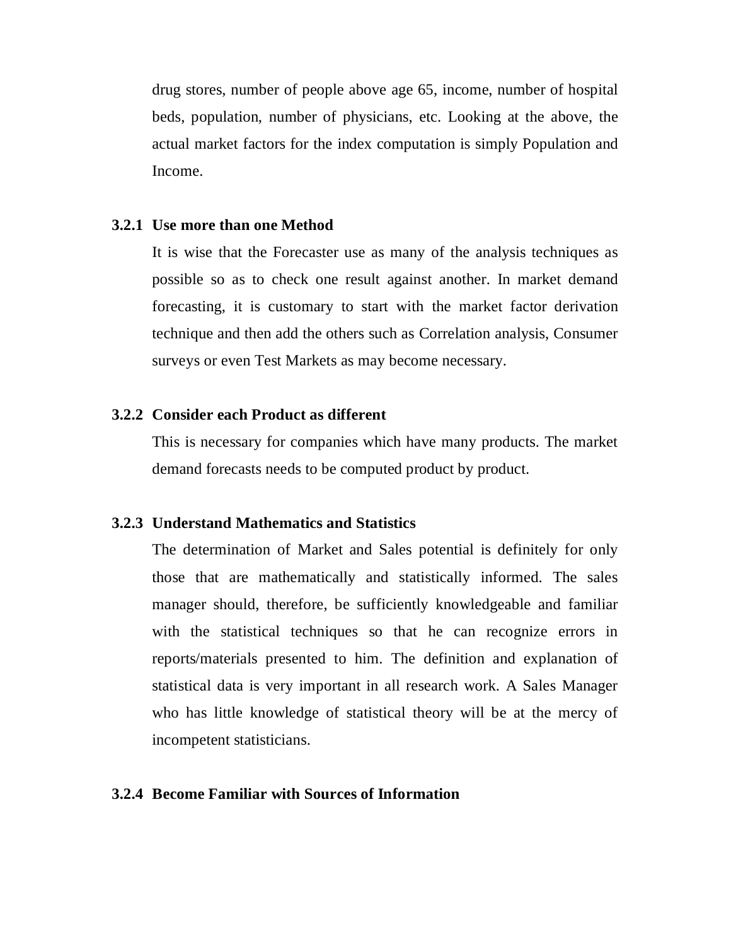drug stores, number of people above age 65, income, number of hospital beds, population, number of physicians, etc. Looking at the above, the actual market factors for the index computation is simply Population and Income.

### **3.2.1 Use more than one Method**

It is wise that the Forecaster use as many of the analysis techniques as possible so as to check one result against another. In market demand forecasting, it is customary to start with the market factor derivation technique and then add the others such as Correlation analysis, Consumer surveys or even Test Markets as may become necessary.

### **3.2.2 Consider each Product as different**

This is necessary for companies which have many products. The market demand forecasts needs to be computed product by product.

#### **3.2.3 Understand Mathematics and Statistics**

The determination of Market and Sales potential is definitely for only those that are mathematically and statistically informed. The sales manager should, therefore, be sufficiently knowledgeable and familiar with the statistical techniques so that he can recognize errors in reports/materials presented to him. The definition and explanation of statistical data is very important in all research work. A Sales Manager who has little knowledge of statistical theory will be at the mercy of incompetent statisticians.

### **3.2.4 Become Familiar with Sources of Information**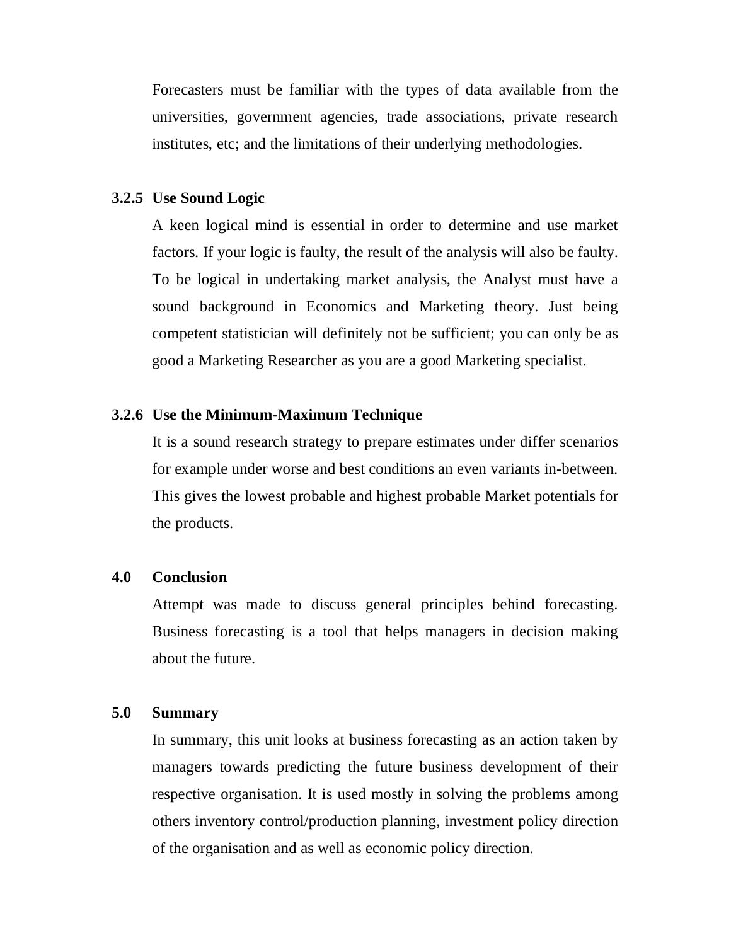Forecasters must be familiar with the types of data available from the universities, government agencies, trade associations, private research institutes, etc; and the limitations of their underlying methodologies.

### **3.2.5 Use Sound Logic**

A keen logical mind is essential in order to determine and use market factors. If your logic is faulty, the result of the analysis will also be faulty. To be logical in undertaking market analysis, the Analyst must have a sound background in Economics and Marketing theory. Just being competent statistician will definitely not be sufficient; you can only be as good a Marketing Researcher as you are a good Marketing specialist.

### **3.2.6 Use the Minimum-Maximum Technique**

It is a sound research strategy to prepare estimates under differ scenarios for example under worse and best conditions an even variants in-between. This gives the lowest probable and highest probable Market potentials for the products.

### **4.0 Conclusion**

Attempt was made to discuss general principles behind forecasting. Business forecasting is a tool that helps managers in decision making about the future.

### **5.0 Summary**

In summary, this unit looks at business forecasting as an action taken by managers towards predicting the future business development of their respective organisation. It is used mostly in solving the problems among others inventory control/production planning, investment policy direction of the organisation and as well as economic policy direction.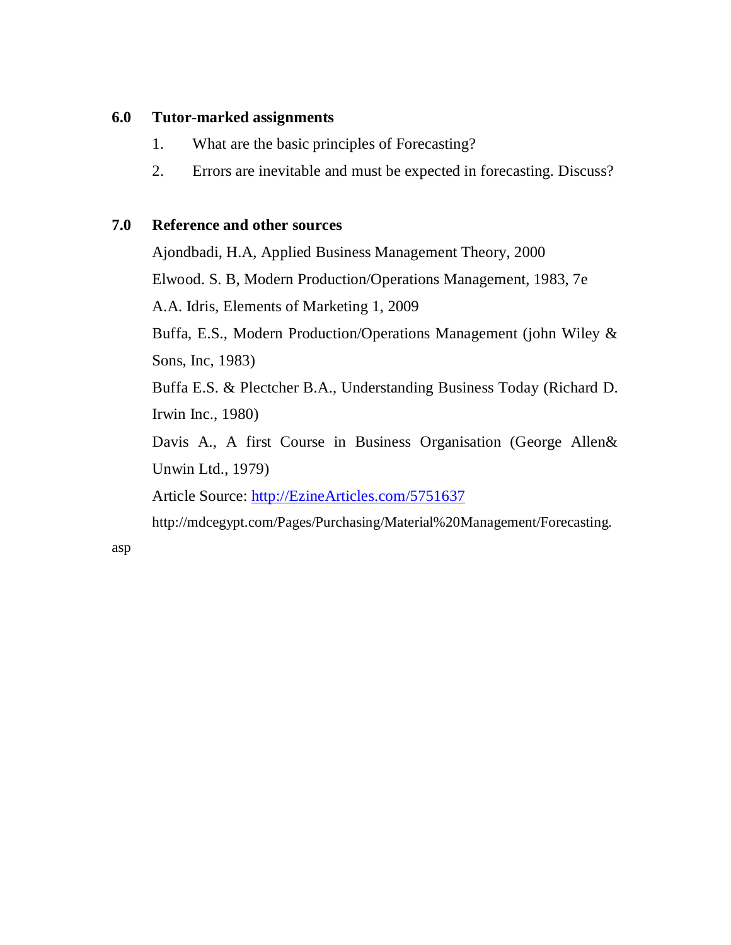# **6.0 Tutor-marked assignments**

- 1. What are the basic principles of Forecasting?
- 2. Errors are inevitable and must be expected in forecasting. Discuss?

# **7.0 Reference and other sources**

Ajondbadi, H.A, Applied Business Management Theory, 2000

Elwood. S. B, Modern Production/Operations Management, 1983, 7e

A.A. Idris, Elements of Marketing 1, 2009

Buffa, E.S., Modern Production/Operations Management (john Wiley & Sons, Inc, 1983)

Buffa E.S. & Plectcher B.A., Understanding Business Today (Richard D. Irwin Inc., 1980)

Davis A., A first Course in Business Organisation (George Allen& Unwin Ltd., 1979)

Article Source: http://EzineArticles.com/5751637

http://mdcegypt.com/Pages/Purchasing/Material%20Management/Forecasting.

asp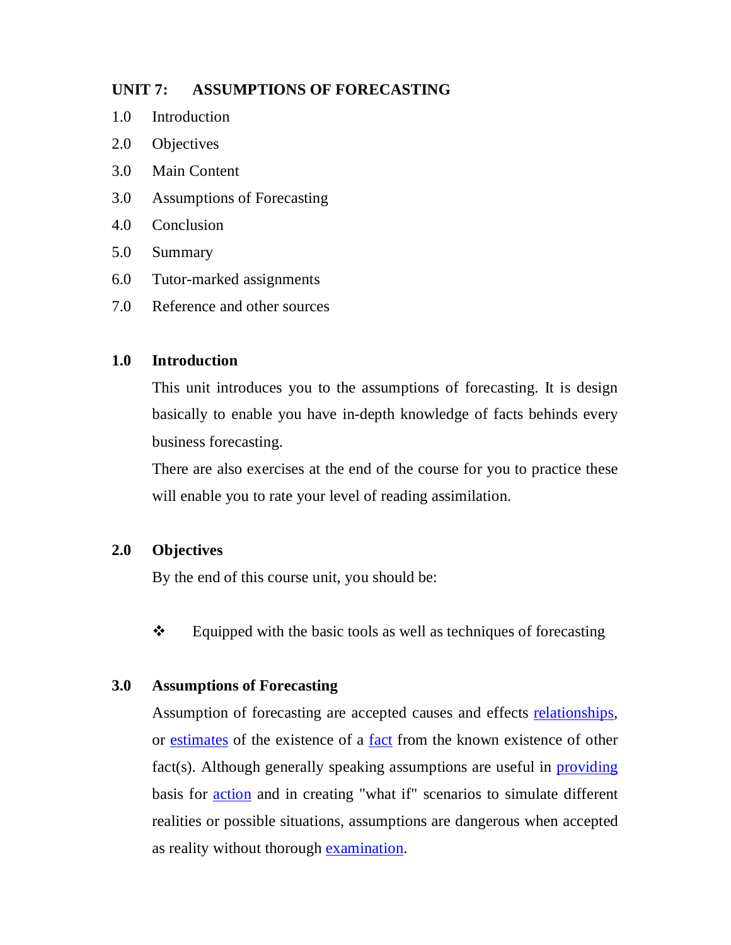# **UNIT 7: ASSUMPTIONS OF FORECASTING**

- 1.0 Introduction
- 2.0 Objectives
- 3.0 Main Content
- 3.0 Assumptions of Forecasting
- 4.0 Conclusion
- 5.0 Summary
- 6.0 Tutor-marked assignments
- 7.0 Reference and other sources

# **1.0 Introduction**

This unit introduces you to the assumptions of forecasting. It is design basically to enable you have in-depth knowledge of facts behinds every business forecasting.

There are also exercises at the end of the course for you to practice these will enable you to rate your level of reading assimilation.

# **2.0 Objectives**

By the end of this course unit, you should be:

 $\triangle$  Equipped with the basic tools as well as techniques of forecasting

# **3.0 Assumptions of Forecasting**

Assumption of forecasting are accepted causes and effects relationships, or estimates of the existence of a fact from the known existence of other fact(s). Although generally speaking assumptions are useful in providing basis for action and in creating "what if" scenarios to simulate different realities or possible situations, assumptions are dangerous when accepted as reality without thorough examination.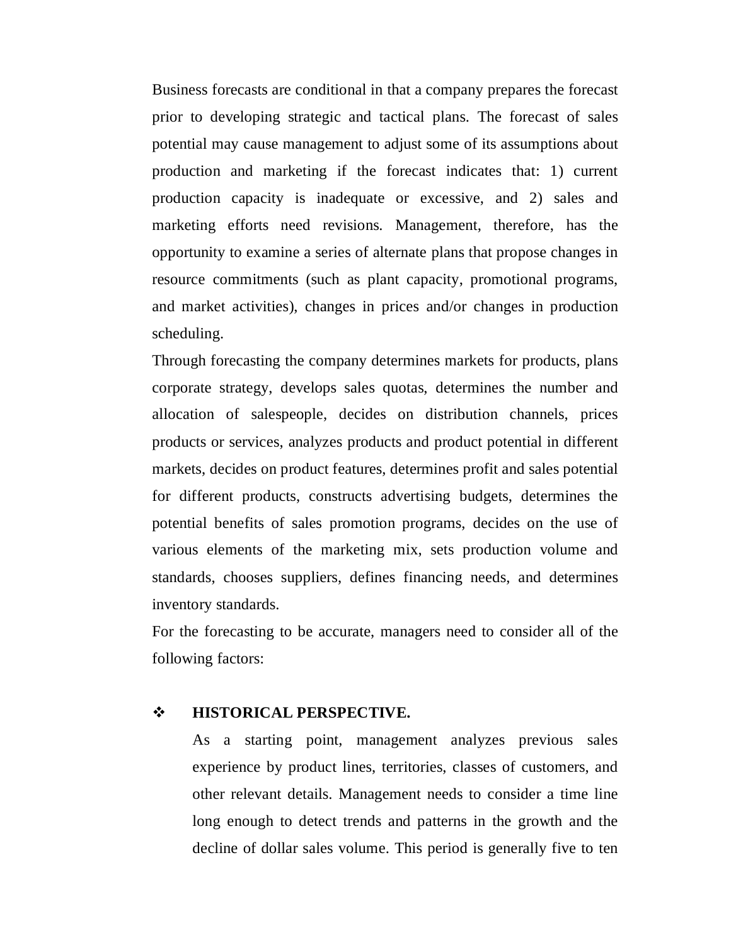Business forecasts are conditional in that a company prepares the forecast prior to developing strategic and tactical plans. The forecast of sales potential may cause management to adjust some of its assumptions about production and marketing if the forecast indicates that: 1) current production capacity is inadequate or excessive, and 2) sales and marketing efforts need revisions. Management, therefore, has the opportunity to examine a series of alternate plans that propose changes in resource commitments (such as plant capacity, promotional programs, and market activities), changes in prices and/or changes in production scheduling.

Through forecasting the company determines markets for products, plans corporate strategy, develops sales quotas, determines the number and allocation of salespeople, decides on distribution channels, prices products or services, analyzes products and product potential in different markets, decides on product features, determines profit and sales potential for different products, constructs advertising budgets, determines the potential benefits of sales promotion programs, decides on the use of various elements of the marketing mix, sets production volume and standards, chooses suppliers, defines financing needs, and determines inventory standards.

For the forecasting to be accurate, managers need to consider all of the following factors:

### $\div$  **HISTORICAL PERSPECTIVE.**

As a starting point, management analyzes previous sales experience by product lines, territories, classes of customers, and other relevant details. Management needs to consider a time line long enough to detect trends and patterns in the growth and the decline of dollar sales volume. This period is generally five to ten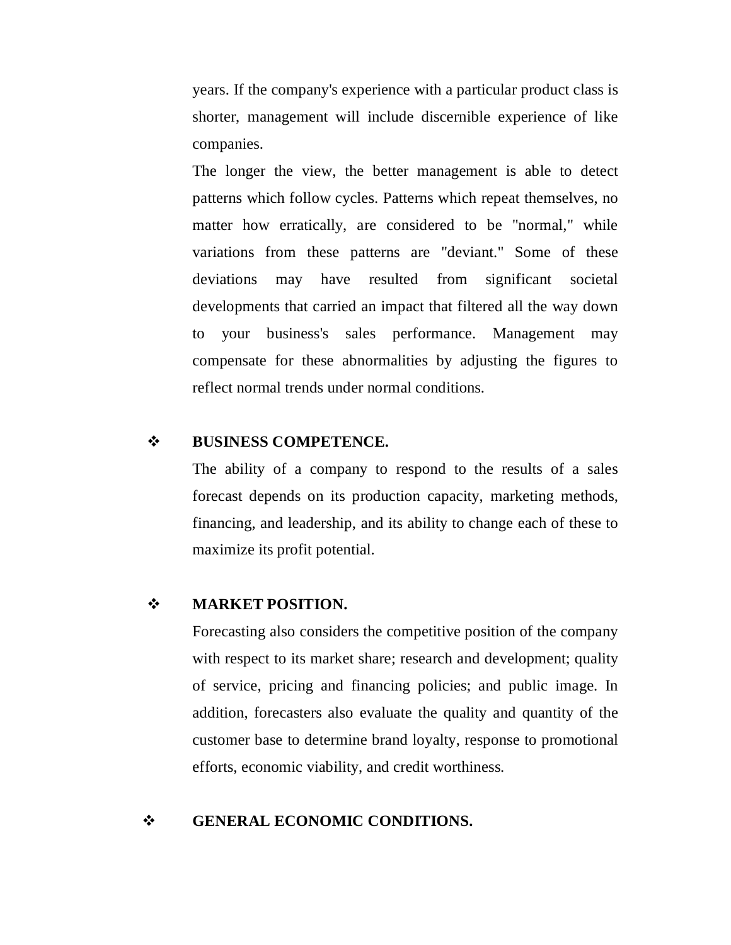years. If the company's experience with a particular product class is shorter, management will include discernible experience of like companies.

The longer the view, the better management is able to detect patterns which follow cycles. Patterns which repeat themselves, no matter how erratically, are considered to be "normal," while variations from these patterns are "deviant." Some of these deviations may have resulted from significant societal developments that carried an impact that filtered all the way down to your business's sales performance. Management may compensate for these abnormalities by adjusting the figures to reflect normal trends under normal conditions.

### **BUSINESS COMPETENCE.**

The ability of a company to respond to the results of a sales forecast depends on its production capacity, marketing methods, financing, and leadership, and its ability to change each of these to maximize its profit potential.

### $\div$  **MARKET POSITION.**

Forecasting also considers the competitive position of the company with respect to its market share; research and development; quality of service, pricing and financing policies; and public image. In addition, forecasters also evaluate the quality and quantity of the customer base to determine brand loyalty, response to promotional efforts, economic viability, and credit worthiness.

### **GENERAL ECONOMIC CONDITIONS.**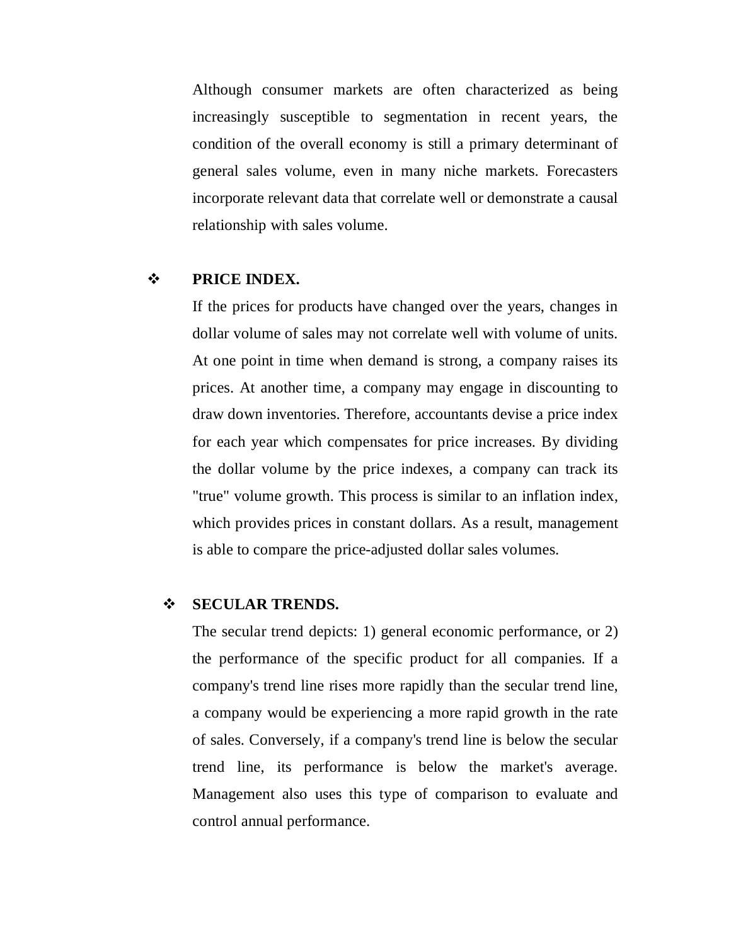Although consumer markets are often characterized as being increasingly susceptible to segmentation in recent years, the condition of the overall economy is still a primary determinant of general sales volume, even in many niche markets. Forecasters incorporate relevant data that correlate well or demonstrate a causal relationship with sales volume.

### **PRICE INDEX.**

If the prices for products have changed over the years, changes in dollar volume of sales may not correlate well with volume of units. At one point in time when demand is strong, a company raises its prices. At another time, a company may engage in discounting to draw down inventories. Therefore, accountants devise a price index for each year which compensates for price increases. By dividing the dollar volume by the price indexes, a company can track its "true" volume growth. This process is similar to an inflation index, which provides prices in constant dollars. As a result, management is able to compare the price-adjusted dollar sales volumes.

### **SECULAR TRENDS.**

The secular trend depicts: 1) general economic performance, or 2) the performance of the specific product for all companies. If a company's trend line rises more rapidly than the secular trend line, a company would be experiencing a more rapid growth in the rate of sales. Conversely, if a company's trend line is below the secular trend line, its performance is below the market's average. Management also uses this type of comparison to evaluate and control annual performance.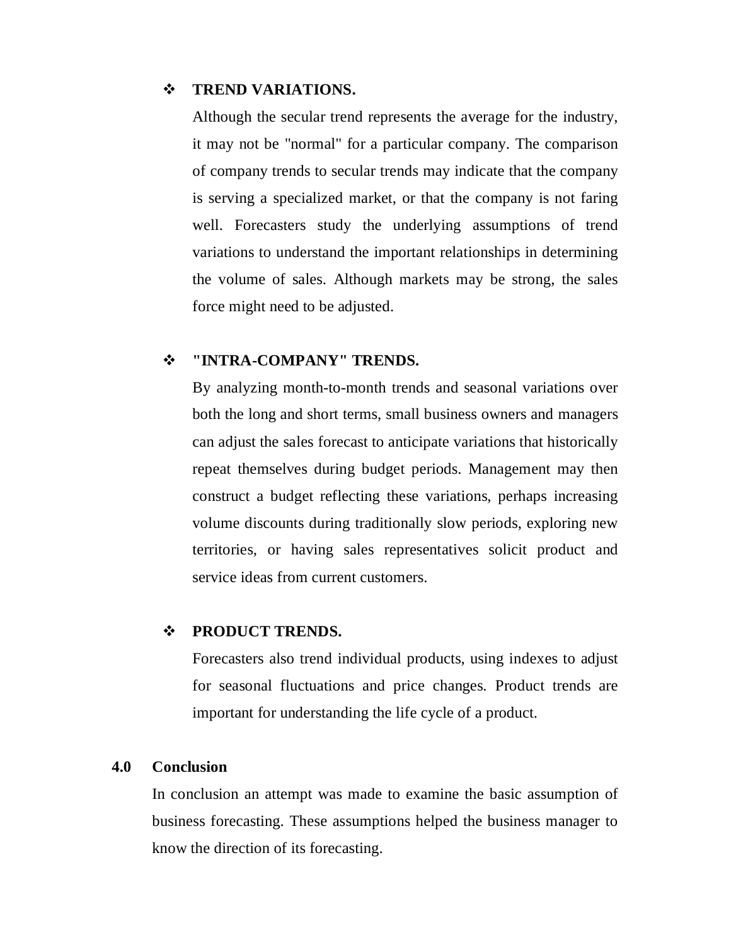### $\div$  **TREND VARIATIONS.**

Although the secular trend represents the average for the industry, it may not be "normal" for a particular company. The comparison of company trends to secular trends may indicate that the company is serving a specialized market, or that the company is not faring well. Forecasters study the underlying assumptions of trend variations to understand the important relationships in determining the volume of sales. Although markets may be strong, the sales force might need to be adjusted.

#### **"INTRA-COMPANY" TRENDS.**

By analyzing month-to-month trends and seasonal variations over both the long and short terms, small business owners and managers can adjust the sales forecast to anticipate variations that historically repeat themselves during budget periods. Management may then construct a budget reflecting these variations, perhaps increasing volume discounts during traditionally slow periods, exploring new territories, or having sales representatives solicit product and service ideas from current customers.

### **PRODUCT TRENDS.**

Forecasters also trend individual products, using indexes to adjust for seasonal fluctuations and price changes. Product trends are important for understanding the life cycle of a product.

### **4.0 Conclusion**

In conclusion an attempt was made to examine the basic assumption of business forecasting. These assumptions helped the business manager to know the direction of its forecasting.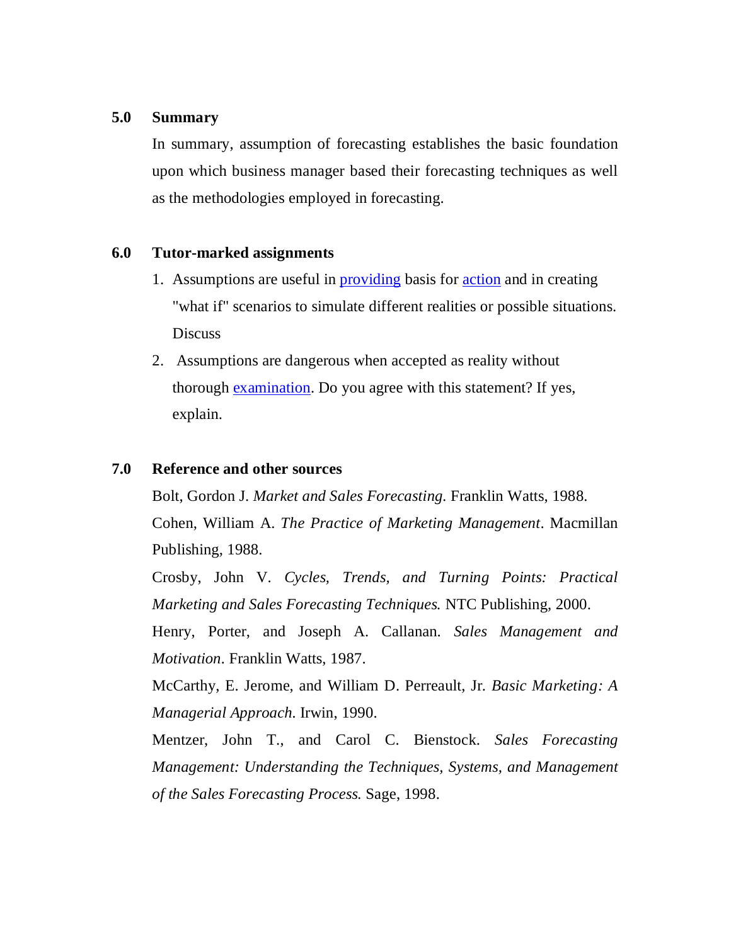# **5.0 Summary**

In summary, assumption of forecasting establishes the basic foundation upon which business manager based their forecasting techniques as well as the methodologies employed in forecasting.

# **6.0 Tutor-marked assignments**

- 1. Assumptions are useful in **providing** basis for **action** and in creating "what if" scenarios to simulate different realities or possible situations. Discuss
- 2. Assumptions are dangerous when accepted as reality without thorough examination. Do you agree with this statement? If yes, explain.

# **7.0 Reference and other sources**

Bolt, Gordon J. *Market and Sales Forecasting.* Franklin Watts, 1988. Cohen, William A. *The Practice of Marketing Management*. Macmillan Publishing, 1988.

Crosby, John V. *Cycles, Trends, and Turning Points: Practical Marketing and Sales Forecasting Techniques.* NTC Publishing, 2000.

Henry, Porter, and Joseph A. Callanan. *Sales Management and Motivation.* Franklin Watts, 1987.

McCarthy, E. Jerome, and William D. Perreault, Jr. *Basic Marketing: A Managerial Approach.* Irwin, 1990.

Mentzer, John T., and Carol C. Bienstock. *Sales Forecasting Management: Understanding the Techniques, Systems, and Management of the Sales Forecasting Process.* Sage, 1998.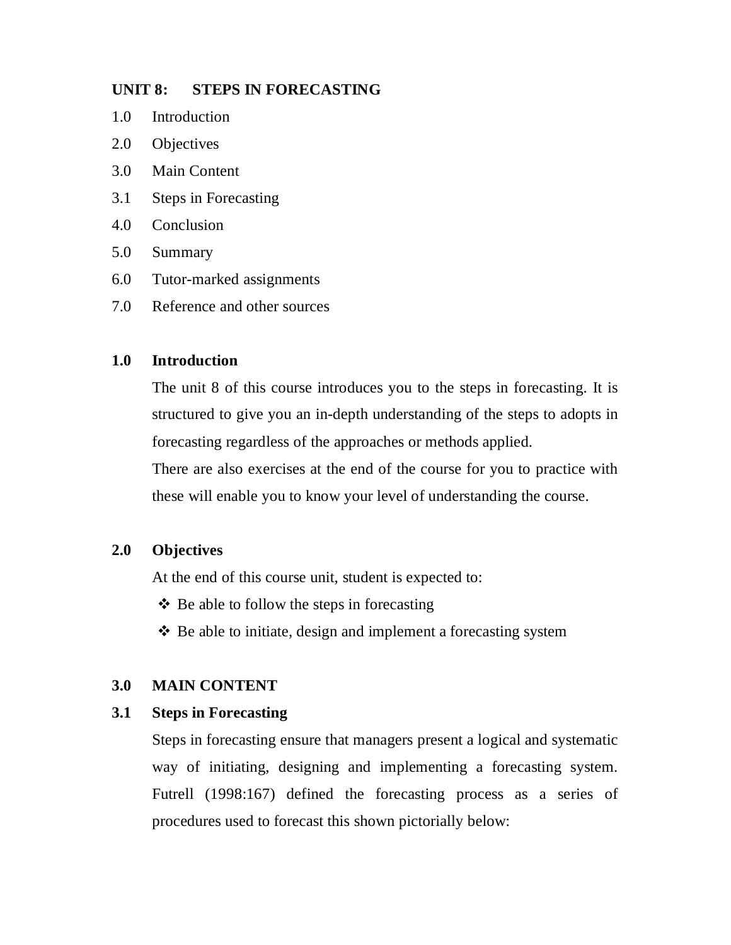# **UNIT 8: STEPS IN FORECASTING**

- 1.0 Introduction
- 2.0 Objectives
- 3.0 Main Content
- 3.1 Steps in Forecasting
- 4.0 Conclusion
- 5.0 Summary
- 6.0 Tutor-marked assignments
- 7.0 Reference and other sources

### **1.0 Introduction**

The unit 8 of this course introduces you to the steps in forecasting. It is structured to give you an in-depth understanding of the steps to adopts in forecasting regardless of the approaches or methods applied.

There are also exercises at the end of the course for you to practice with these will enable you to know your level of understanding the course.

# **2.0 Objectives**

At the end of this course unit, student is expected to:

- $\triangle$  Be able to follow the steps in forecasting
- $\triangle$  Be able to initiate, design and implement a forecasting system

# **3.0 MAIN CONTENT**

### **3.1 Steps in Forecasting**

Steps in forecasting ensure that managers present a logical and systematic way of initiating, designing and implementing a forecasting system. Futrell (1998:167) defined the forecasting process as a series of procedures used to forecast this shown pictorially below: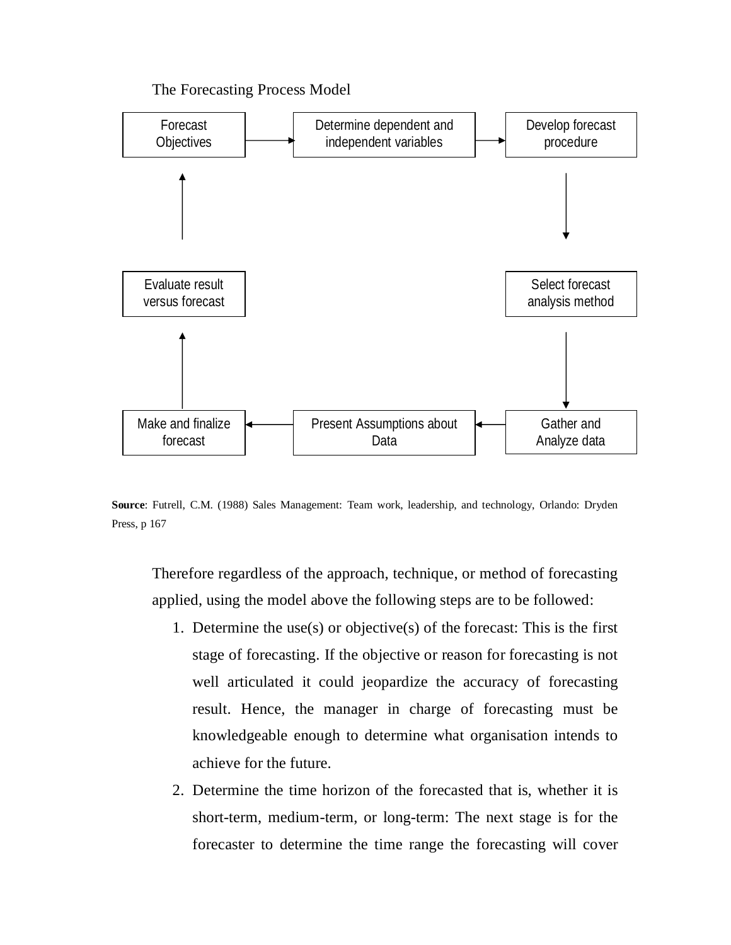The Forecasting Process Model



**Source**: Futrell, C.M. (1988) Sales Management: Team work, leadership, and technology, Orlando: Dryden Press, p 167

Therefore regardless of the approach, technique, or method of forecasting applied, using the model above the following steps are to be followed:

- 1. Determine the use(s) or objective(s) of the forecast: This is the first stage of forecasting. If the objective or reason for forecasting is not well articulated it could jeopardize the accuracy of forecasting result. Hence, the manager in charge of forecasting must be knowledgeable enough to determine what organisation intends to achieve for the future.
- 2. Determine the time horizon of the forecasted that is, whether it is short-term, medium-term, or long-term: The next stage is for the forecaster to determine the time range the forecasting will cover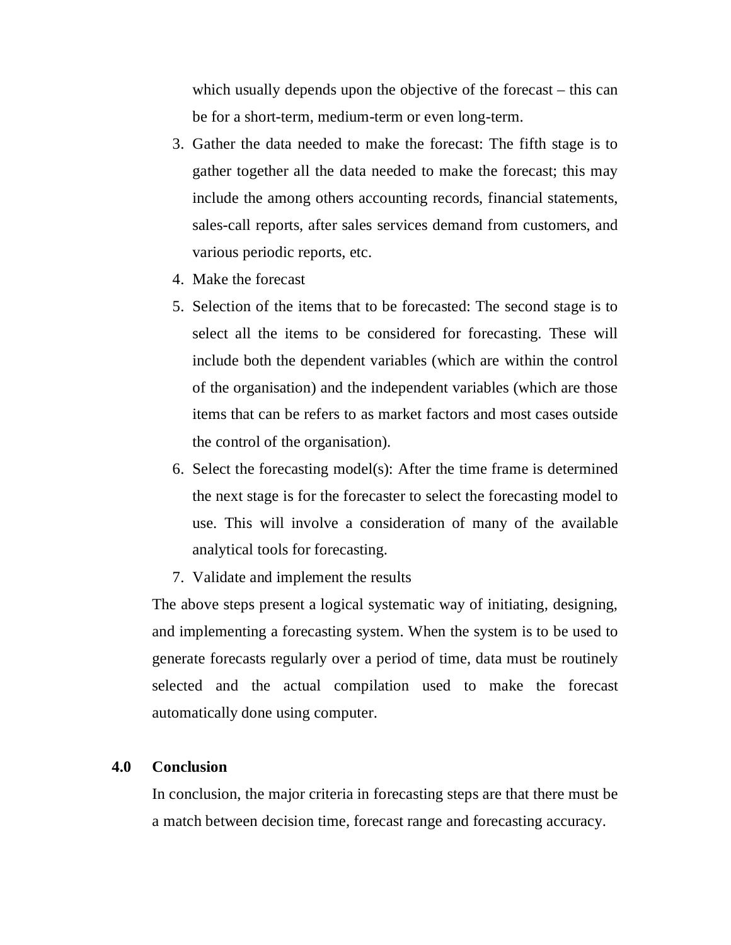which usually depends upon the objective of the forecast – this can be for a short-term, medium-term or even long-term.

- 3. Gather the data needed to make the forecast: The fifth stage is to gather together all the data needed to make the forecast; this may include the among others accounting records, financial statements, sales-call reports, after sales services demand from customers, and various periodic reports, etc.
- 4. Make the forecast
- 5. Selection of the items that to be forecasted: The second stage is to select all the items to be considered for forecasting. These will include both the dependent variables (which are within the control of the organisation) and the independent variables (which are those items that can be refers to as market factors and most cases outside the control of the organisation).
- 6. Select the forecasting model(s): After the time frame is determined the next stage is for the forecaster to select the forecasting model to use. This will involve a consideration of many of the available analytical tools for forecasting.
- 7. Validate and implement the results

The above steps present a logical systematic way of initiating, designing, and implementing a forecasting system. When the system is to be used to generate forecasts regularly over a period of time, data must be routinely selected and the actual compilation used to make the forecast automatically done using computer.

### **4.0 Conclusion**

In conclusion, the major criteria in forecasting steps are that there must be a match between decision time, forecast range and forecasting accuracy.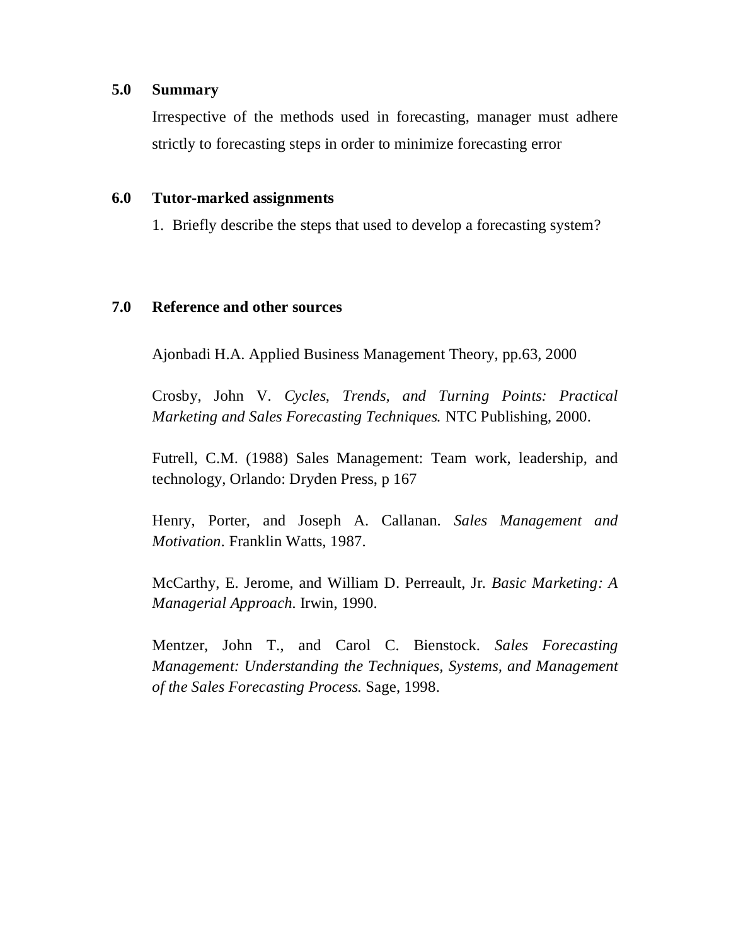### **5.0 Summary**

Irrespective of the methods used in forecasting, manager must adhere strictly to forecasting steps in order to minimize forecasting error

### **6.0 Tutor-marked assignments**

1. Briefly describe the steps that used to develop a forecasting system?

### **7.0 Reference and other sources**

Ajonbadi H.A. Applied Business Management Theory, pp.63, 2000

Crosby, John V. *Cycles, Trends, and Turning Points: Practical Marketing and Sales Forecasting Techniques.* NTC Publishing, 2000.

Futrell, C.M. (1988) Sales Management: Team work, leadership, and technology, Orlando: Dryden Press, p 167

Henry, Porter, and Joseph A. Callanan. *Sales Management and Motivation.* Franklin Watts, 1987.

McCarthy, E. Jerome, and William D. Perreault, Jr. *Basic Marketing: A Managerial Approach.* Irwin, 1990.

Mentzer, John T., and Carol C. Bienstock. *Sales Forecasting Management: Understanding the Techniques, Systems, and Management of the Sales Forecasting Process.* Sage, 1998.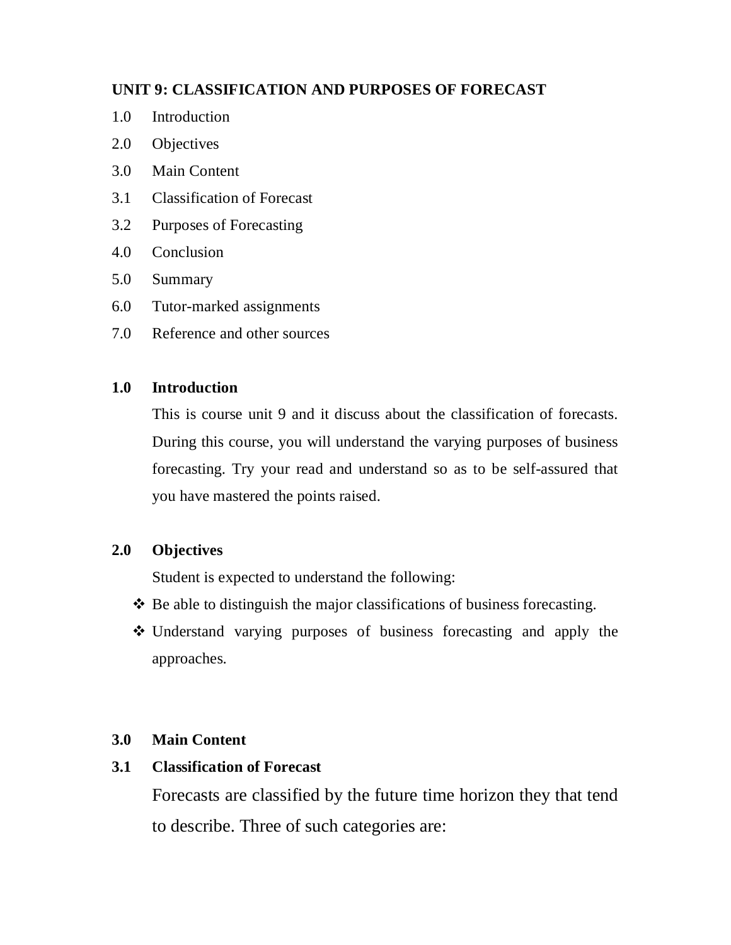# **UNIT 9: CLASSIFICATION AND PURPOSES OF FORECAST**

- 1.0 Introduction
- 2.0 Objectives
- 3.0 Main Content
- 3.1 Classification of Forecast
- 3.2 Purposes of Forecasting
- 4.0 Conclusion
- 5.0 Summary
- 6.0 Tutor-marked assignments
- 7.0 Reference and other sources

# **1.0 Introduction**

This is course unit 9 and it discuss about the classification of forecasts. During this course, you will understand the varying purposes of business forecasting. Try your read and understand so as to be self-assured that you have mastered the points raised.

# **2.0 Objectives**

Student is expected to understand the following:

- $\triangle$  Be able to distinguish the major classifications of business forecasting.
- Understand varying purposes of business forecasting and apply the approaches.

# **3.0 Main Content**

# **3.1 Classification of Forecast**

Forecasts are classified by the future time horizon they that tend to describe. Three of such categories are: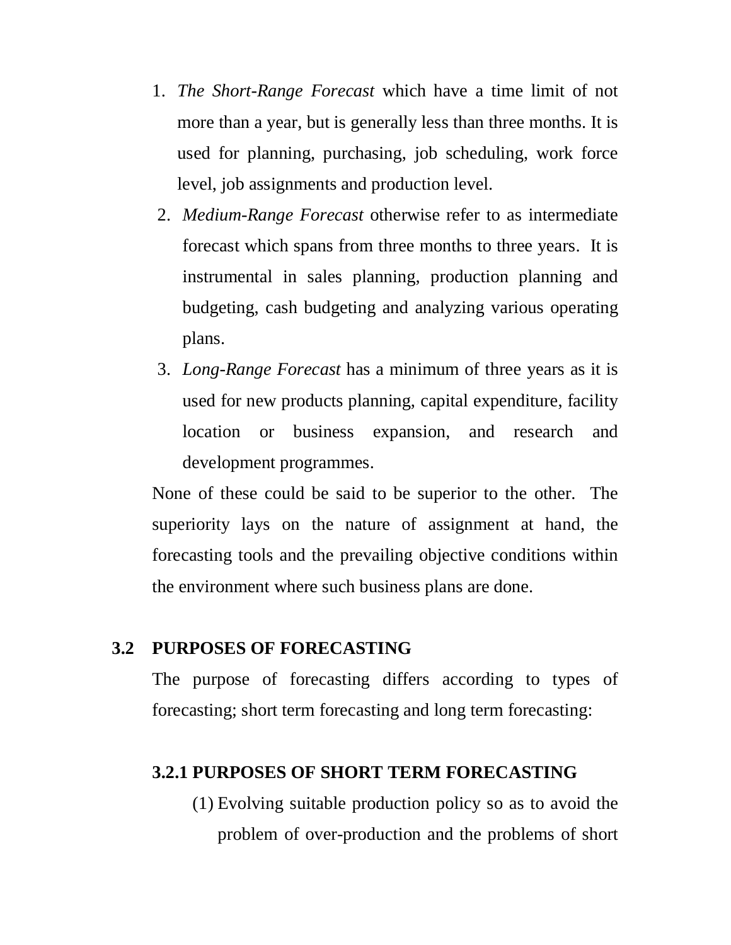- 1. *The Short-Range Forecast* which have a time limit of not more than a year, but is generally less than three months. It is used for planning, purchasing, job scheduling, work force level, job assignments and production level.
- 2. *Medium-Range Forecast* otherwise refer to as intermediate forecast which spans from three months to three years. It is instrumental in sales planning, production planning and budgeting, cash budgeting and analyzing various operating plans.
- 3. *Long-Range Forecast* has a minimum of three years as it is used for new products planning, capital expenditure, facility location or business expansion, and research and development programmes.

None of these could be said to be superior to the other. The superiority lays on the nature of assignment at hand, the forecasting tools and the prevailing objective conditions within the environment where such business plans are done.

# **3.2 PURPOSES OF FORECASTING**

The purpose of forecasting differs according to types of forecasting; short term forecasting and long term forecasting:

# **3.2.1 PURPOSES OF SHORT TERM FORECASTING**

(1) Evolving suitable production policy so as to avoid the problem of over-production and the problems of short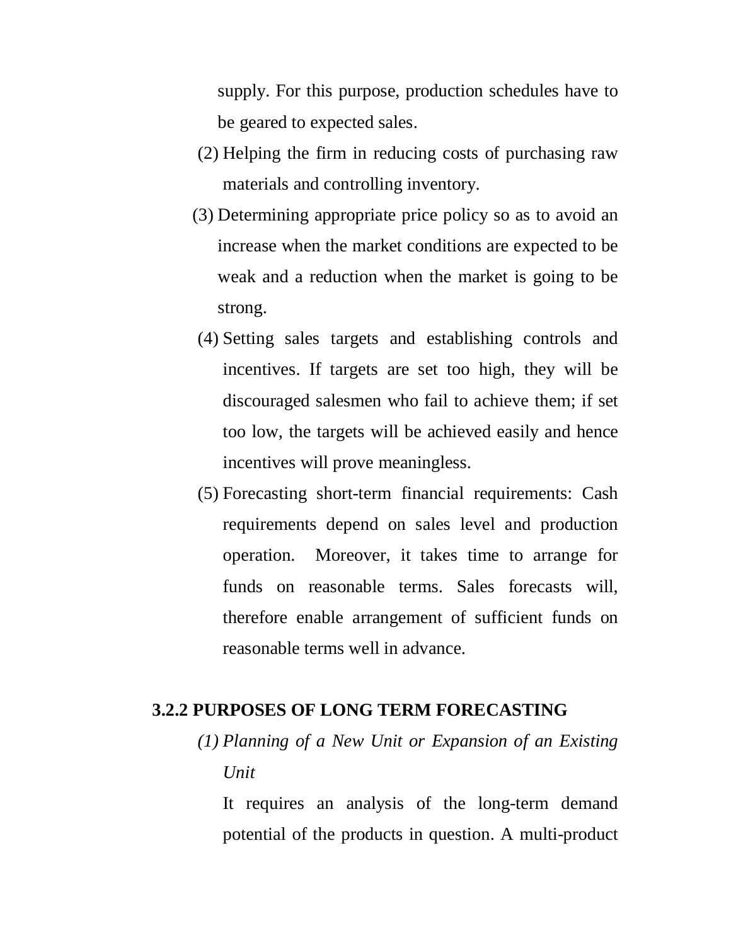supply. For this purpose, production schedules have to be geared to expected sales.

- (2) Helping the firm in reducing costs of purchasing raw materials and controlling inventory.
- (3) Determining appropriate price policy so as to avoid an increase when the market conditions are expected to be weak and a reduction when the market is going to be strong.
- (4) Setting sales targets and establishing controls and incentives. If targets are set too high, they will be discouraged salesmen who fail to achieve them; if set too low, the targets will be achieved easily and hence incentives will prove meaningless.
- (5) Forecasting short-term financial requirements: Cash requirements depend on sales level and production operation. Moreover, it takes time to arrange for funds on reasonable terms. Sales forecasts will, therefore enable arrangement of sufficient funds on reasonable terms well in advance.

# **3.2.2 PURPOSES OF LONG TERM FORECASTING**

*(1) Planning of a New Unit or Expansion of an Existing Unit*

It requires an analysis of the long-term demand potential of the products in question. A multi-product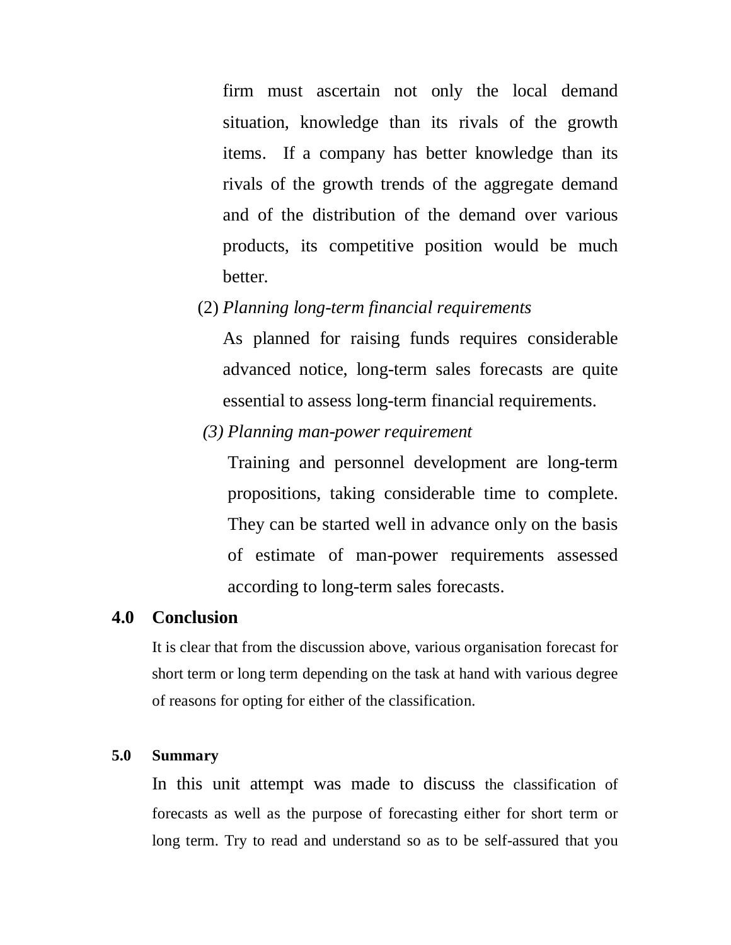firm must ascertain not only the local demand situation, knowledge than its rivals of the growth items. If a company has better knowledge than its rivals of the growth trends of the aggregate demand and of the distribution of the demand over various products, its competitive position would be much better.

(2) *Planning long-term financial requirements*

As planned for raising funds requires considerable advanced notice, long-term sales forecasts are quite essential to assess long-term financial requirements.

*(3) Planning man-power requirement* 

Training and personnel development are long-term propositions, taking considerable time to complete. They can be started well in advance only on the basis of estimate of man-power requirements assessed according to long-term sales forecasts.

# **4.0 Conclusion**

It is clear that from the discussion above, various organisation forecast for short term or long term depending on the task at hand with various degree of reasons for opting for either of the classification.

# **5.0 Summary**

In this unit attempt was made to discuss the classification of forecasts as well as the purpose of forecasting either for short term or long term. Try to read and understand so as to be self-assured that you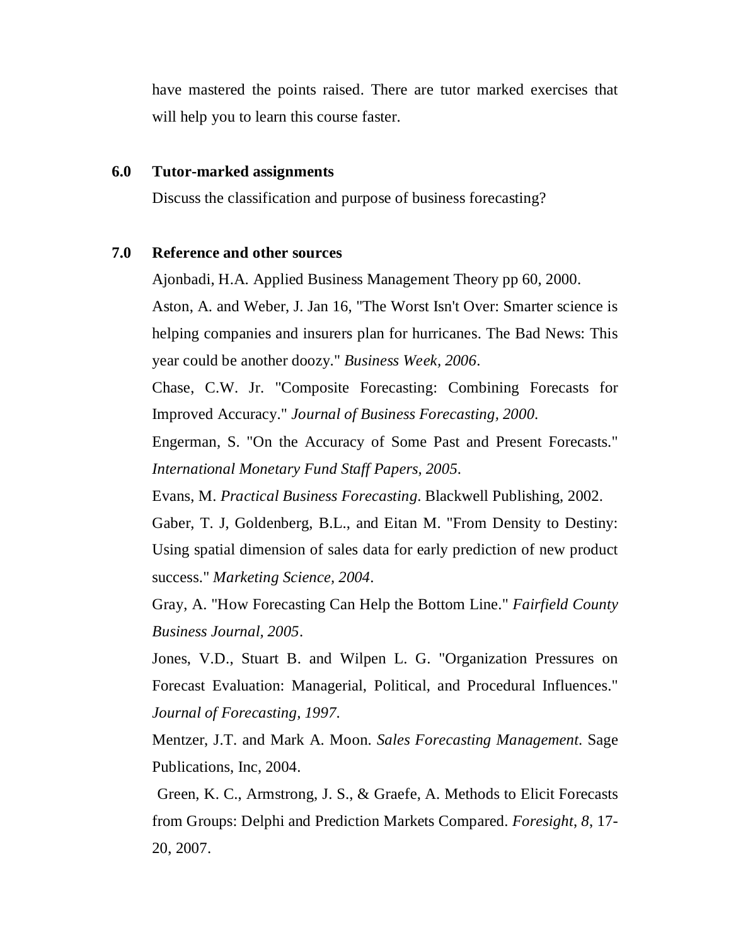have mastered the points raised. There are tutor marked exercises that will help you to learn this course faster.

### **6.0 Tutor-marked assignments**

Discuss the classification and purpose of business forecasting?

# **7.0 Reference and other sources**

Ajonbadi, H.A. Applied Business Management Theory pp 60, 2000.

Aston, A. and Weber, J. Jan 16, "The Worst Isn't Over: Smarter science is helping companies and insurers plan for hurricanes. The Bad News: This year could be another doozy." *Business Week, 2006*.

Chase, C.W. Jr. "Composite Forecasting: Combining Forecasts for Improved Accuracy." *Journal of Business Forecasting, 2000*.

Engerman, S. "On the Accuracy of Some Past and Present Forecasts." *International Monetary Fund Staff Papers, 2005*.

Evans, M. *Practical Business Forecasting*. Blackwell Publishing, 2002.

Gaber, T. J, Goldenberg, B.L., and Eitan M. "From Density to Destiny: Using spatial dimension of sales data for early prediction of new product success." *Marketing Science, 2004*.

Gray, A. "How Forecasting Can Help the Bottom Line." *Fairfield County Business Journal, 2005*.

Jones, V.D., Stuart B. and Wilpen L. G. "Organization Pressures on Forecast Evaluation: Managerial, Political, and Procedural Influences." *Journal of Forecasting, 1997*.

Mentzer, J.T. and Mark A. Moon. *Sales Forecasting Management*. Sage Publications, Inc, 2004.

Green, K. C., Armstrong, J. S., & Graefe, A. Methods to Elicit Forecasts from Groups: Delphi and Prediction Markets Compared. *Foresight*, *8*, 17- 20, 2007.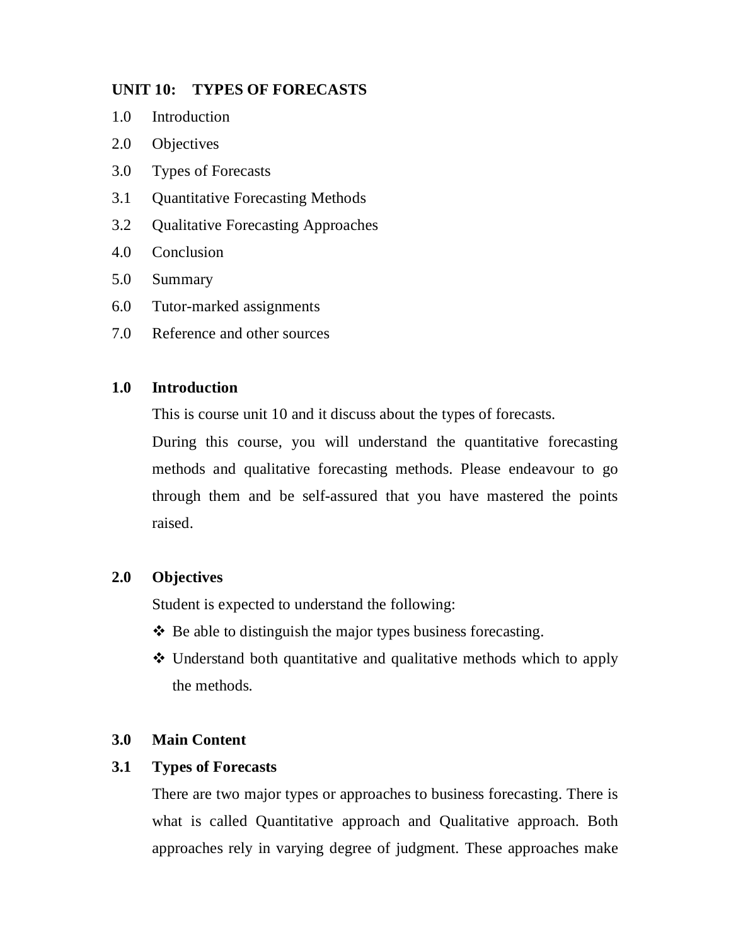# **UNIT 10: TYPES OF FORECASTS**

- 1.0 Introduction
- 2.0 Objectives
- 3.0 Types of Forecasts
- 3.1 Quantitative Forecasting Methods
- 3.2 Qualitative Forecasting Approaches
- 4.0 Conclusion
- 5.0 Summary
- 6.0 Tutor-marked assignments
- 7.0 Reference and other sources

# **1.0 Introduction**

This is course unit 10 and it discuss about the types of forecasts.

During this course, you will understand the quantitative forecasting methods and qualitative forecasting methods. Please endeavour to go through them and be self-assured that you have mastered the points raised.

# **2.0 Objectives**

Student is expected to understand the following:

- $\triangle$  Be able to distinguish the major types business forecasting.
- Understand both quantitative and qualitative methods which to apply the methods.

# **3.0 Main Content**

### **3.1 Types of Forecasts**

There are two major types or approaches to business forecasting. There is what is called Quantitative approach and Qualitative approach. Both approaches rely in varying degree of judgment. These approaches make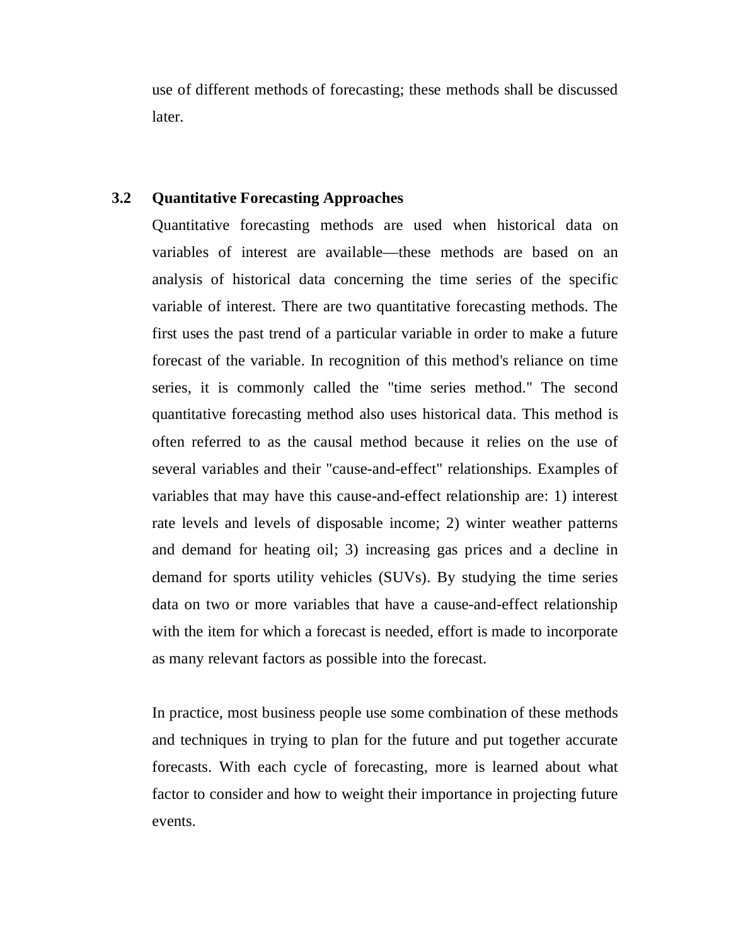use of different methods of forecasting; these methods shall be discussed later.

# **3.2 Quantitative Forecasting Approaches**

Quantitative forecasting methods are used when historical data on variables of interest are available—these methods are based on an analysis of historical data concerning the time series of the specific variable of interest. There are two quantitative forecasting methods. The first uses the past trend of a particular variable in order to make a future forecast of the variable. In recognition of this method's reliance on time series, it is commonly called the "time series method." The second quantitative forecasting method also uses historical data. This method is often referred to as the causal method because it relies on the use of several variables and their "cause-and-effect" relationships. Examples of variables that may have this cause-and-effect relationship are: 1) interest rate levels and levels of disposable income; 2) winter weather patterns and demand for heating oil; 3) increasing gas prices and a decline in demand for sports utility vehicles (SUVs). By studying the time series data on two or more variables that have a cause-and-effect relationship with the item for which a forecast is needed, effort is made to incorporate as many relevant factors as possible into the forecast.

In practice, most business people use some combination of these methods and techniques in trying to plan for the future and put together accurate forecasts. With each cycle of forecasting, more is learned about what factor to consider and how to weight their importance in projecting future events.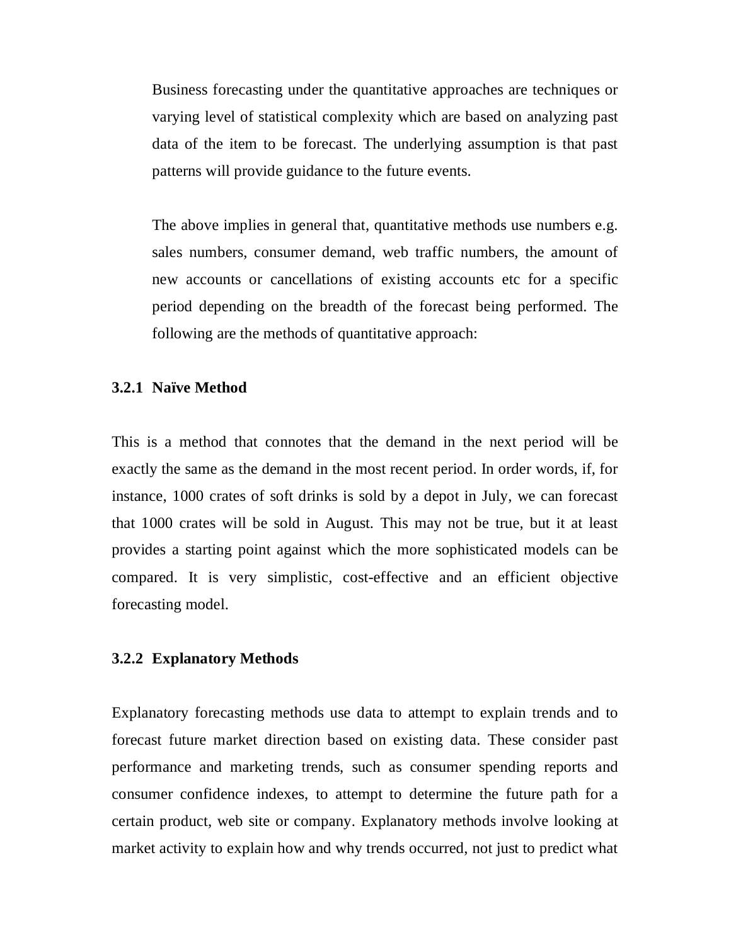Business forecasting under the quantitative approaches are techniques or varying level of statistical complexity which are based on analyzing past data of the item to be forecast. The underlying assumption is that past patterns will provide guidance to the future events.

The above implies in general that, quantitative methods use numbers e.g. sales numbers, consumer demand, web traffic numbers, the amount of new accounts or cancellations of existing accounts etc for a specific period depending on the breadth of the forecast being performed. The following are the methods of quantitative approach:

### **3.2.1 Naïve Method**

This is a method that connotes that the demand in the next period will be exactly the same as the demand in the most recent period. In order words, if, for instance, 1000 crates of soft drinks is sold by a depot in July, we can forecast that 1000 crates will be sold in August. This may not be true, but it at least provides a starting point against which the more sophisticated models can be compared. It is very simplistic, cost-effective and an efficient objective forecasting model.

#### **3.2.2 Explanatory Methods**

Explanatory forecasting methods use data to attempt to explain trends and to forecast future market direction based on existing data. These consider past performance and marketing trends, such as consumer spending reports and consumer confidence indexes, to attempt to determine the future path for a certain product, web site or company. Explanatory methods involve looking at market activity to explain how and why trends occurred, not just to predict what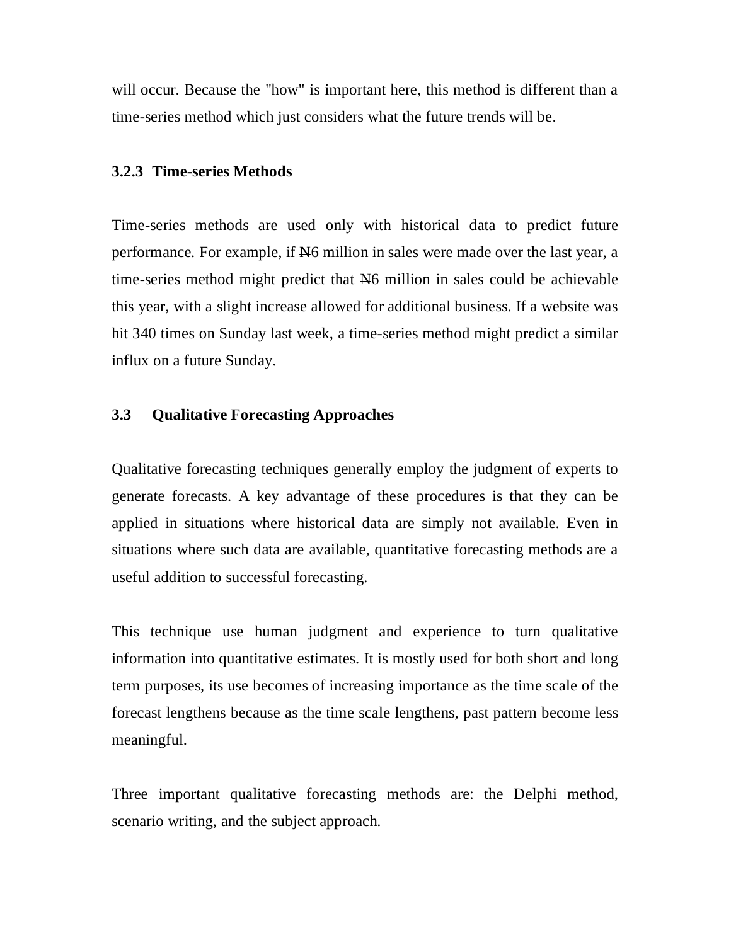will occur. Because the "how" is important here, this method is different than a time-series method which just considers what the future trends will be.

#### **3.2.3 Time-series Methods**

Time-series methods are used only with historical data to predict future performance. For example, if  $\mathbb{H}6$  million in sales were made over the last year, a time-series method might predict that  $H_6$  million in sales could be achievable this year, with a slight increase allowed for additional business. If a website was hit 340 times on Sunday last week, a time-series method might predict a similar influx on a future Sunday.

### **3.3 Qualitative Forecasting Approaches**

Qualitative forecasting techniques generally employ the judgment of experts to generate forecasts. A key advantage of these procedures is that they can be applied in situations where historical data are simply not available. Even in situations where such data are available, quantitative forecasting methods are a useful addition to successful forecasting.

This technique use human judgment and experience to turn qualitative information into quantitative estimates. It is mostly used for both short and long term purposes, its use becomes of increasing importance as the time scale of the forecast lengthens because as the time scale lengthens, past pattern become less meaningful.

Three important qualitative forecasting methods are: the Delphi method, scenario writing, and the subject approach.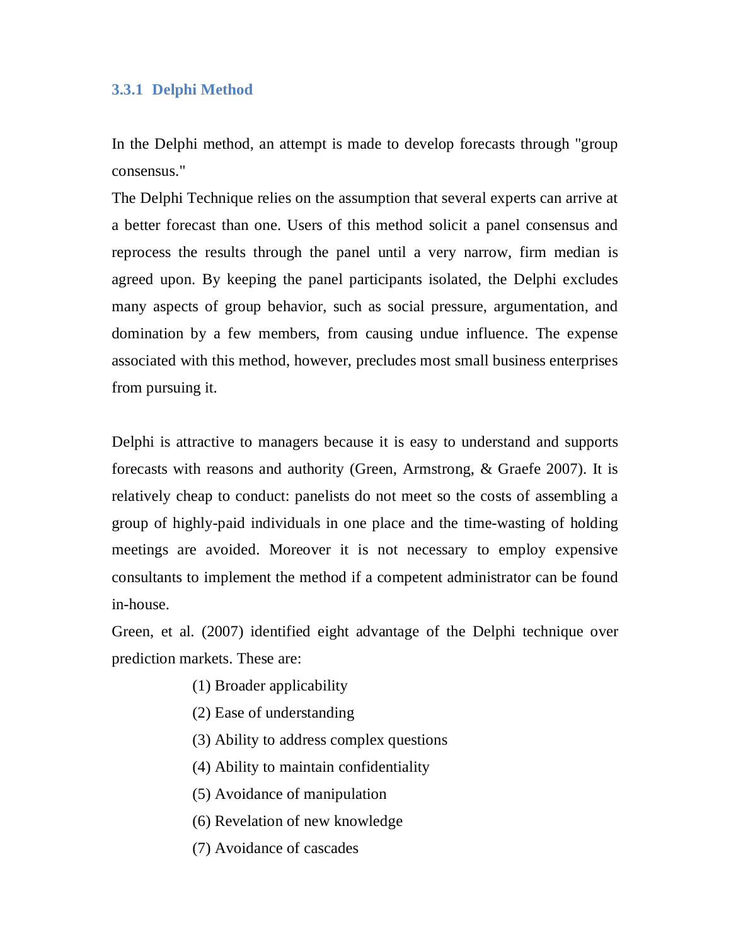# **3.3.1 Delphi Method**

In the Delphi method, an attempt is made to develop forecasts through "group consensus."

The Delphi Technique relies on the assumption that several experts can arrive at a better forecast than one. Users of this method solicit a panel consensus and reprocess the results through the panel until a very narrow, firm median is agreed upon. By keeping the panel participants isolated, the Delphi excludes many aspects of group behavior, such as social pressure, argumentation, and domination by a few members, from causing undue influence. The expense associated with this method, however, precludes most small business enterprises from pursuing it.

Delphi is attractive to managers because it is easy to understand and supports forecasts with reasons and authority (Green, Armstrong, & Graefe 2007). It is relatively cheap to conduct: panelists do not meet so the costs of assembling a group of highly-paid individuals in one place and the time-wasting of holding meetings are avoided. Moreover it is not necessary to employ expensive consultants to implement the method if a competent administrator can be found in-house.

Green, et al. (2007) identified eight advantage of the Delphi technique over prediction markets. These are:

- (1) Broader applicability
- (2) Ease of understanding
- (3) Ability to address complex questions
- (4) Ability to maintain confidentiality
- (5) Avoidance of manipulation
- (6) Revelation of new knowledge
- (7) Avoidance of cascades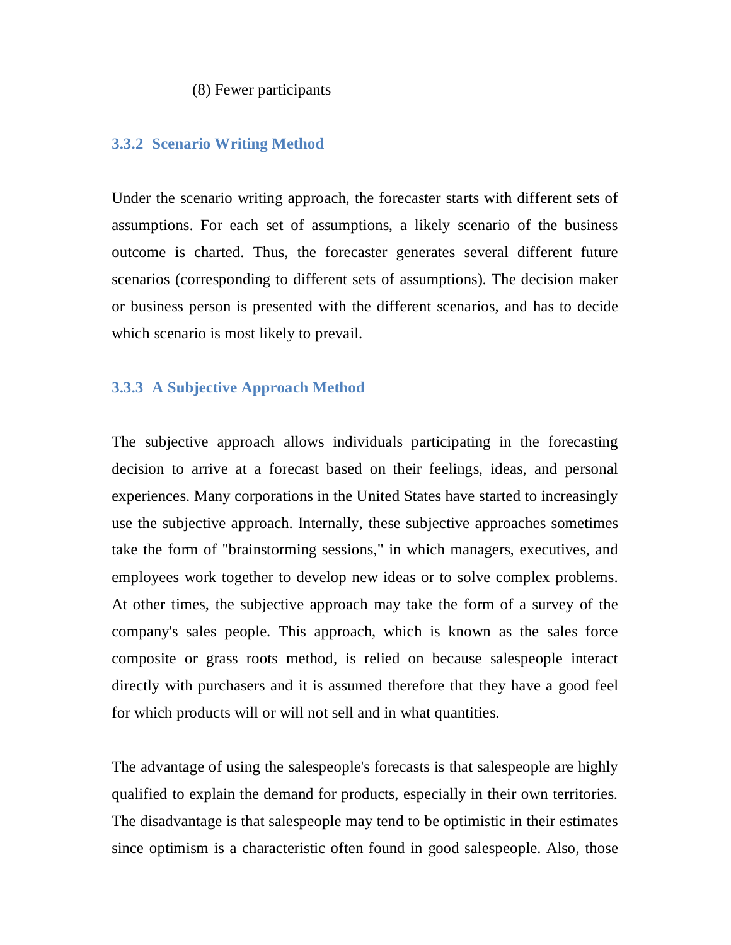#### (8) Fewer participants

### **3.3.2 Scenario Writing Method**

Under the scenario writing approach, the forecaster starts with different sets of assumptions. For each set of assumptions, a likely scenario of the business outcome is charted. Thus, the forecaster generates several different future scenarios (corresponding to different sets of assumptions). The decision maker or business person is presented with the different scenarios, and has to decide which scenario is most likely to prevail.

### **3.3.3 A Subjective Approach Method**

The subjective approach allows individuals participating in the forecasting decision to arrive at a forecast based on their feelings, ideas, and personal experiences. Many corporations in the United States have started to increasingly use the subjective approach. Internally, these subjective approaches sometimes take the form of "brainstorming sessions," in which managers, executives, and employees work together to develop new ideas or to solve complex problems. At other times, the subjective approach may take the form of a survey of the company's sales people. This approach, which is known as the sales force composite or grass roots method, is relied on because salespeople interact directly with purchasers and it is assumed therefore that they have a good feel for which products will or will not sell and in what quantities.

The advantage of using the salespeople's forecasts is that salespeople are highly qualified to explain the demand for products, especially in their own territories. The disadvantage is that salespeople may tend to be optimistic in their estimates since optimism is a characteristic often found in good salespeople. Also, those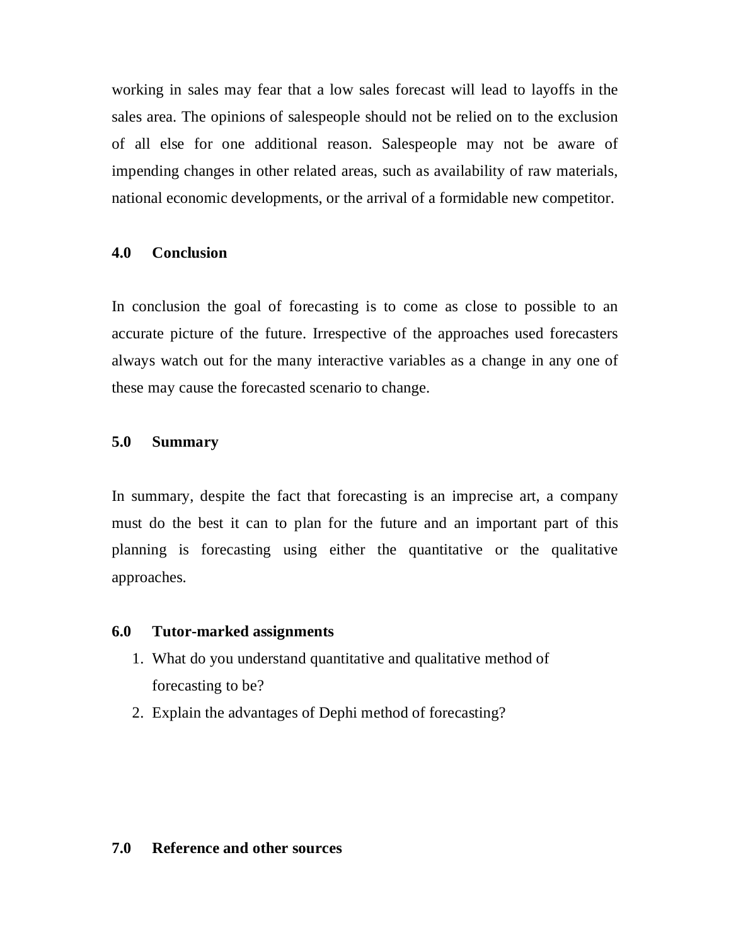working in sales may fear that a low sales forecast will lead to layoffs in the sales area. The opinions of salespeople should not be relied on to the exclusion of all else for one additional reason. Salespeople may not be aware of impending changes in other related areas, such as availability of raw materials, national economic developments, or the arrival of a formidable new competitor.

### **4.0 Conclusion**

In conclusion the goal of forecasting is to come as close to possible to an accurate picture of the future. Irrespective of the approaches used forecasters always watch out for the many interactive variables as a change in any one of these may cause the forecasted scenario to change.

### **5.0 Summary**

In summary, despite the fact that forecasting is an imprecise art, a company must do the best it can to plan for the future and an important part of this planning is forecasting using either the quantitative or the qualitative approaches.

#### **6.0 Tutor-marked assignments**

- 1. What do you understand quantitative and qualitative method of forecasting to be?
- 2. Explain the advantages of Dephi method of forecasting?

### **7.0 Reference and other sources**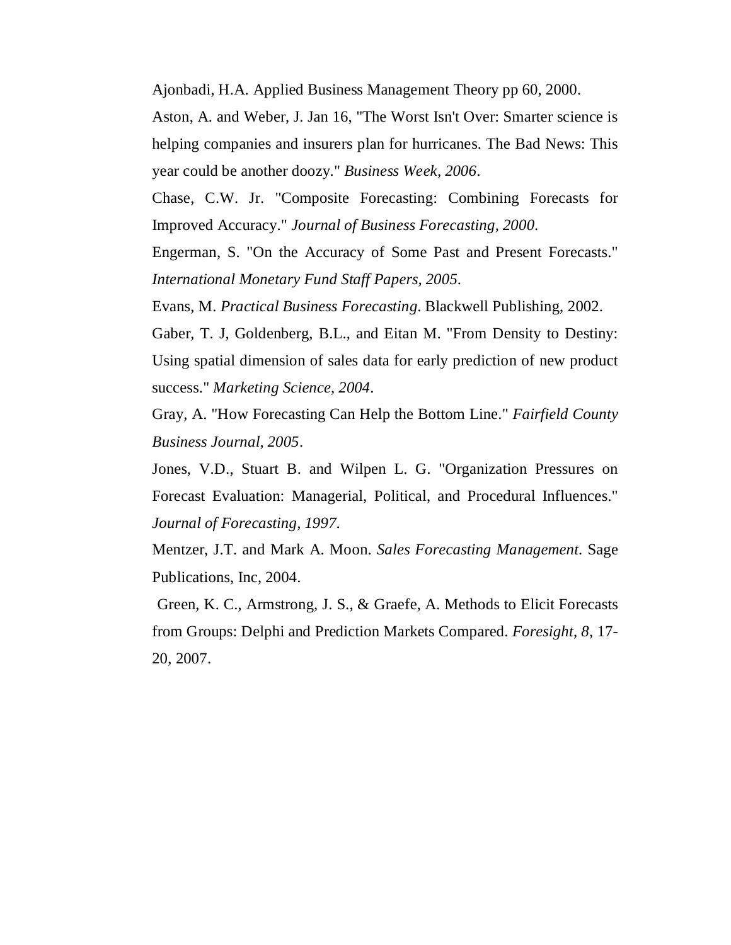Ajonbadi, H.A. Applied Business Management Theory pp 60, 2000.

Aston, A. and Weber, J. Jan 16, "The Worst Isn't Over: Smarter science is helping companies and insurers plan for hurricanes. The Bad News: This year could be another doozy." *Business Week, 2006*.

Chase, C.W. Jr. "Composite Forecasting: Combining Forecasts for Improved Accuracy." *Journal of Business Forecasting, 2000*.

Engerman, S. "On the Accuracy of Some Past and Present Forecasts." *International Monetary Fund Staff Papers, 2005*.

Evans, M. *Practical Business Forecasting*. Blackwell Publishing, 2002.

Gaber, T. J, Goldenberg, B.L., and Eitan M. "From Density to Destiny: Using spatial dimension of sales data for early prediction of new product success." *Marketing Science, 2004*.

Gray, A. "How Forecasting Can Help the Bottom Line." *Fairfield County Business Journal, 2005*.

Jones, V.D., Stuart B. and Wilpen L. G. "Organization Pressures on Forecast Evaluation: Managerial, Political, and Procedural Influences." *Journal of Forecasting, 1997*.

Mentzer, J.T. and Mark A. Moon. *Sales Forecasting Management*. Sage Publications, Inc, 2004.

Green, K. C., Armstrong, J. S., & Graefe, A. Methods to Elicit Forecasts from Groups: Delphi and Prediction Markets Compared. *Foresight*, *8*, 17- 20, 2007.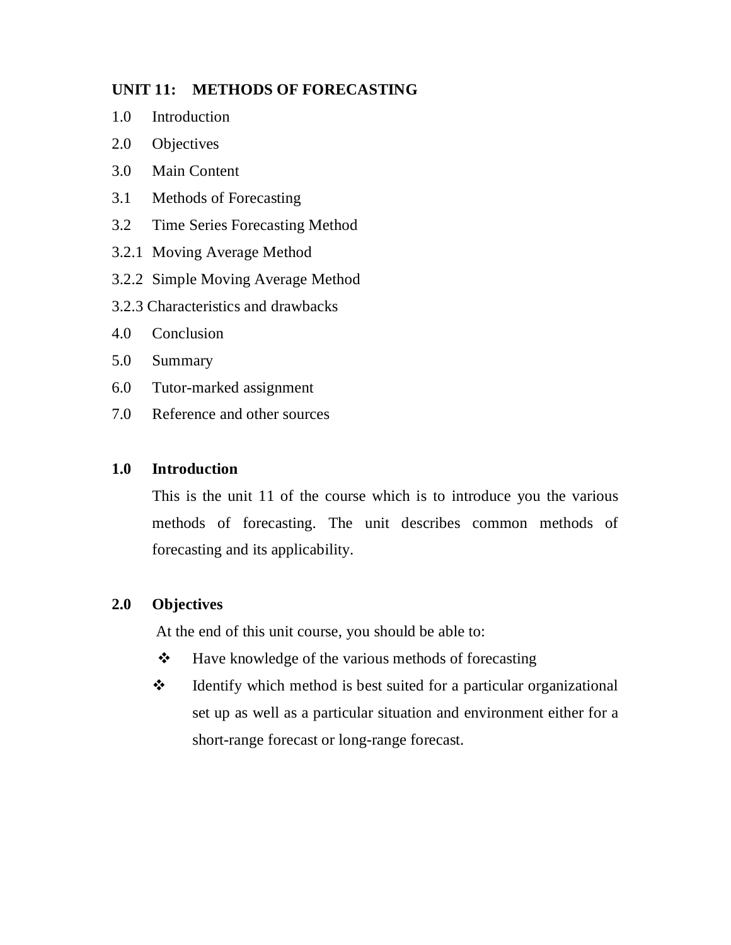# **UNIT 11: METHODS OF FORECASTING**

- 1.0 Introduction
- 2.0 Objectives
- 3.0 Main Content
- 3.1 Methods of Forecasting
- 3.2 Time Series Forecasting Method
- 3.2.1 Moving Average Method
- 3.2.2 Simple Moving Average Method
- 3.2.3 Characteristics and drawbacks
- 4.0 Conclusion
- 5.0 Summary
- 6.0 Tutor-marked assignment
- 7.0 Reference and other sources

### **1.0 Introduction**

This is the unit 11 of the course which is to introduce you the various methods of forecasting. The unit describes common methods of forecasting and its applicability.

### **2.0 Objectives**

At the end of this unit course, you should be able to:

- $\triangle$  Have knowledge of the various methods of forecasting
- $\triangle$  Identify which method is best suited for a particular organizational set up as well as a particular situation and environment either for a short-range forecast or long-range forecast.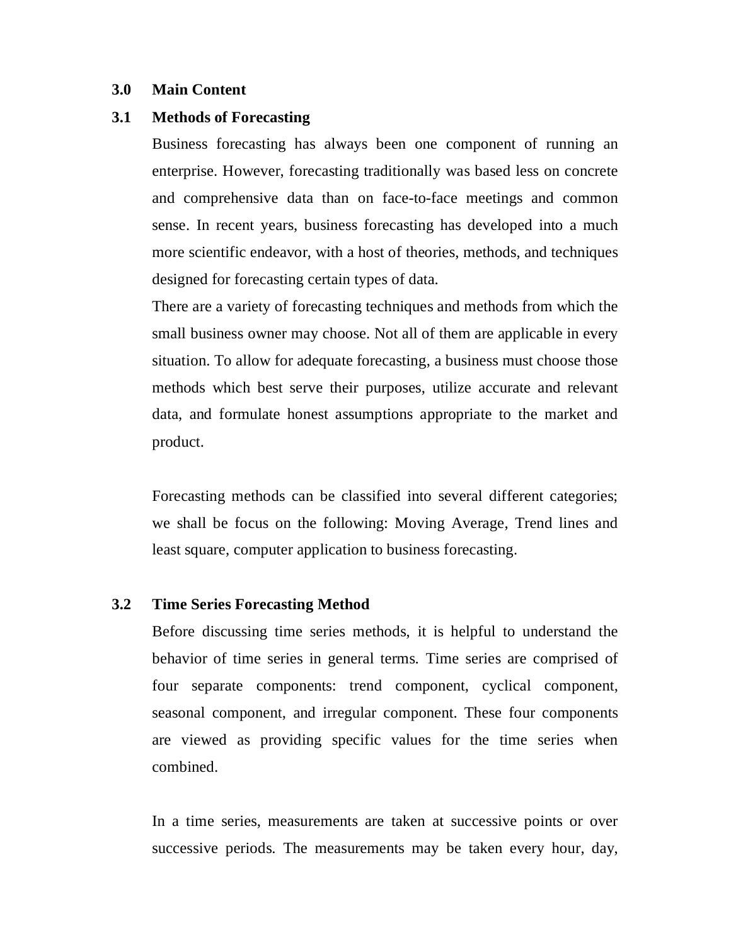### **3.0 Main Content**

### **3.1 Methods of Forecasting**

Business forecasting has always been one component of running an enterprise. However, forecasting traditionally was based less on concrete and comprehensive data than on face-to-face meetings and common sense. In recent years, business forecasting has developed into a much more scientific endeavor, with a host of theories, methods, and techniques designed for forecasting certain types of data.

There are a variety of forecasting techniques and methods from which the small business owner may choose. Not all of them are applicable in every situation. To allow for adequate forecasting, a business must choose those methods which best serve their purposes, utilize accurate and relevant data, and formulate honest assumptions appropriate to the market and product.

Forecasting methods can be classified into several different categories; we shall be focus on the following: Moving Average, Trend lines and least square, computer application to business forecasting.

### **3.2 Time Series Forecasting Method**

Before discussing time series methods, it is helpful to understand the behavior of time series in general terms. Time series are comprised of four separate components: trend component, cyclical component, seasonal component, and irregular component. These four components are viewed as providing specific values for the time series when combined.

In a time series, measurements are taken at successive points or over successive periods. The measurements may be taken every hour, day,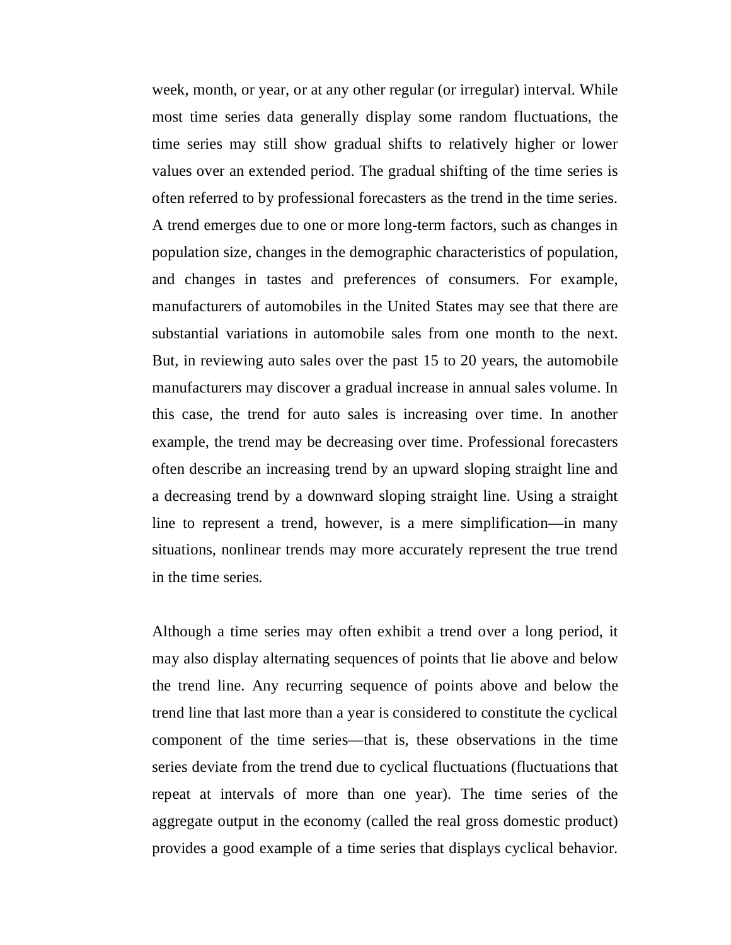week, month, or year, or at any other regular (or irregular) interval. While most time series data generally display some random fluctuations, the time series may still show gradual shifts to relatively higher or lower values over an extended period. The gradual shifting of the time series is often referred to by professional forecasters as the trend in the time series. A trend emerges due to one or more long-term factors, such as changes in population size, changes in the demographic characteristics of population, and changes in tastes and preferences of consumers. For example, manufacturers of automobiles in the United States may see that there are substantial variations in automobile sales from one month to the next. But, in reviewing auto sales over the past 15 to 20 years, the automobile manufacturers may discover a gradual increase in annual sales volume. In this case, the trend for auto sales is increasing over time. In another example, the trend may be decreasing over time. Professional forecasters often describe an increasing trend by an upward sloping straight line and a decreasing trend by a downward sloping straight line. Using a straight line to represent a trend, however, is a mere simplification—in many situations, nonlinear trends may more accurately represent the true trend in the time series.

Although a time series may often exhibit a trend over a long period, it may also display alternating sequences of points that lie above and below the trend line. Any recurring sequence of points above and below the trend line that last more than a year is considered to constitute the cyclical component of the time series—that is, these observations in the time series deviate from the trend due to cyclical fluctuations (fluctuations that repeat at intervals of more than one year). The time series of the aggregate output in the economy (called the real gross domestic product) provides a good example of a time series that displays cyclical behavior.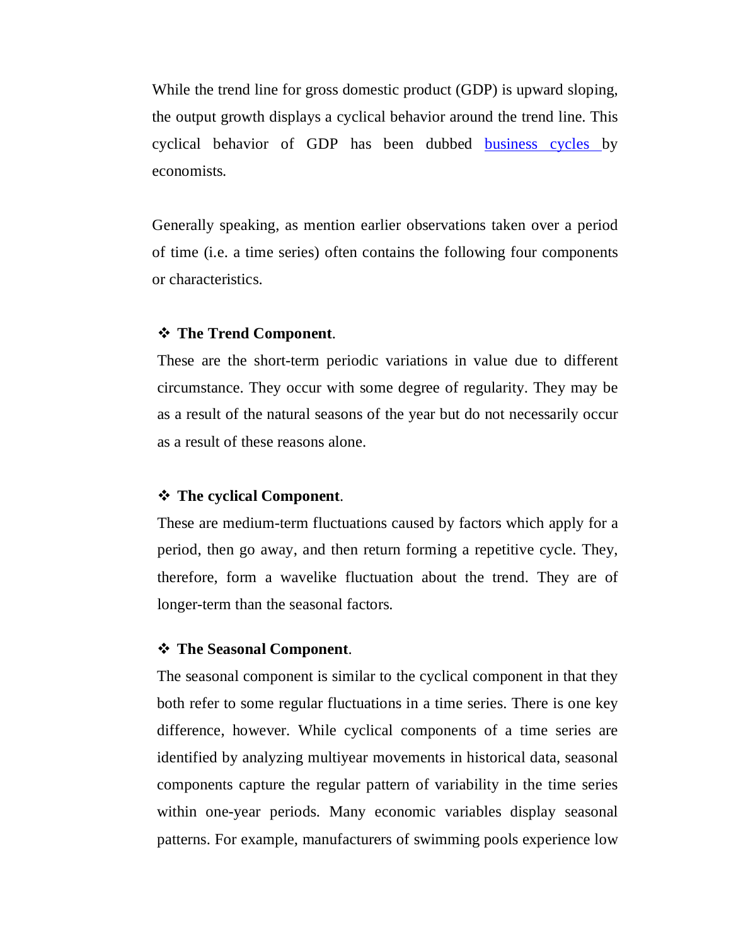While the trend line for gross domestic product (GDP) is upward sloping, the output growth displays a cyclical behavior around the trend line. This cyclical behavior of GDP has been dubbed business cycles by economists.

Generally speaking, as mention earlier observations taken over a period of time (i.e. a time series) often contains the following four components or characteristics.

### **The Trend Component**.

These are the short-term periodic variations in value due to different circumstance. They occur with some degree of regularity. They may be as a result of the natural seasons of the year but do not necessarily occur as a result of these reasons alone.

### **The cyclical Component**.

These are medium-term fluctuations caused by factors which apply for a period, then go away, and then return forming a repetitive cycle. They, therefore, form a wavelike fluctuation about the trend. They are of longer-term than the seasonal factors.

### **The Seasonal Component**.

The seasonal component is similar to the cyclical component in that they both refer to some regular fluctuations in a time series. There is one key difference, however. While cyclical components of a time series are identified by analyzing multiyear movements in historical data, seasonal components capture the regular pattern of variability in the time series within one-year periods. Many economic variables display seasonal patterns. For example, manufacturers of swimming pools experience low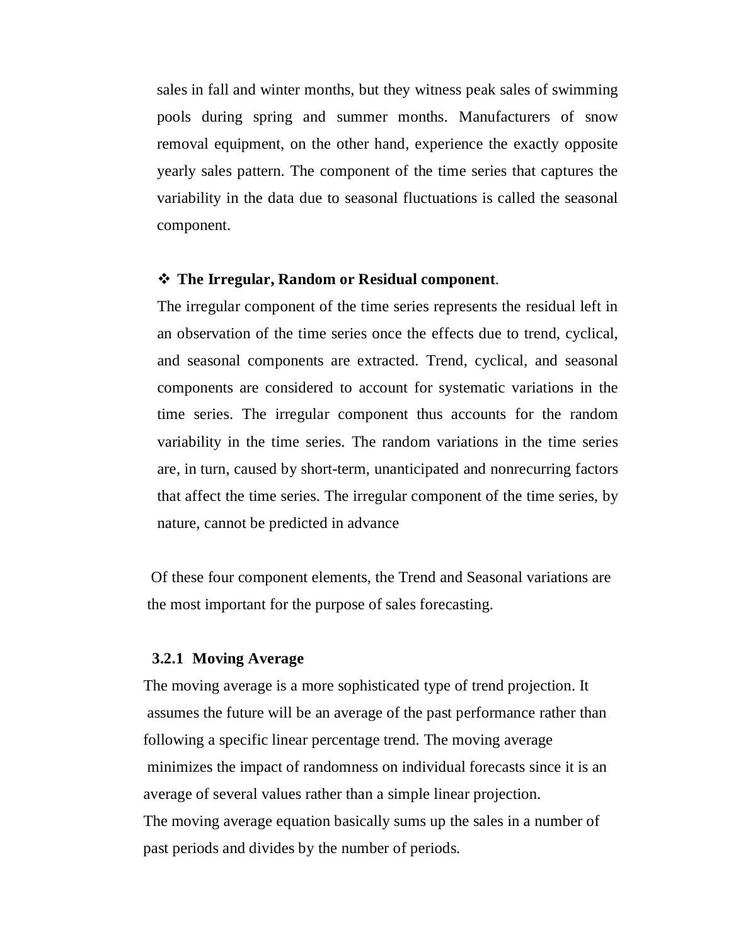sales in fall and winter months, but they witness peak sales of swimming pools during spring and summer months. Manufacturers of snow removal equipment, on the other hand, experience the exactly opposite yearly sales pattern. The component of the time series that captures the variability in the data due to seasonal fluctuations is called the seasonal component.

#### **The Irregular, Random or Residual component**.

The irregular component of the time series represents the residual left in an observation of the time series once the effects due to trend, cyclical, and seasonal components are extracted. Trend, cyclical, and seasonal components are considered to account for systematic variations in the time series. The irregular component thus accounts for the random variability in the time series. The random variations in the time series are, in turn, caused by short-term, unanticipated and nonrecurring factors that affect the time series. The irregular component of the time series, by nature, cannot be predicted in advance

 Of these four component elements, the Trend and Seasonal variations are the most important for the purpose of sales forecasting.

#### **3.2.1 Moving Average**

 The moving average is a more sophisticated type of trend projection. It assumes the future will be an average of the past performance rather than following a specific linear percentage trend. The moving average minimizes the impact of randomness on individual forecasts since it is an average of several values rather than a simple linear projection. The moving average equation basically sums up the sales in a number of past periods and divides by the number of periods.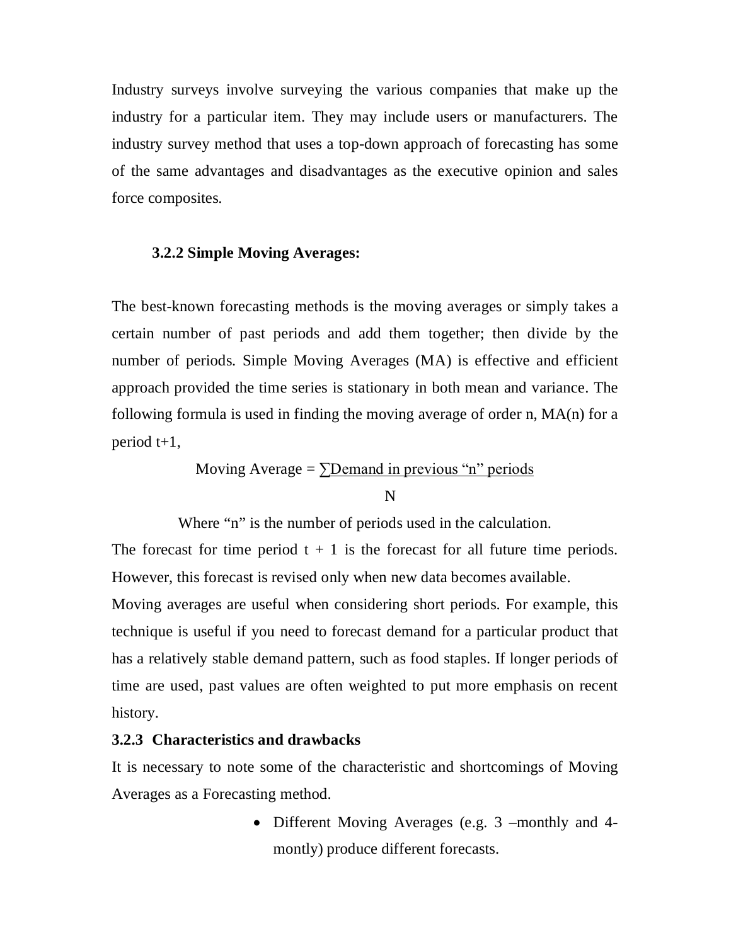Industry surveys involve surveying the various companies that make up the industry for a particular item. They may include users or manufacturers. The industry survey method that uses a top-down approach of forecasting has some of the same advantages and disadvantages as the executive opinion and sales force composites.

#### **3.2.2 Simple Moving Averages:**

The best-known forecasting methods is the moving averages or simply takes a certain number of past periods and add them together; then divide by the number of periods. Simple Moving Averages (MA) is effective and efficient approach provided the time series is stationary in both mean and variance. The following formula is used in finding the moving average of order n, MA(n) for a period t+1,

> Moving Average =  $\Sigma$ Demand in previous "n" periods N

Where "n" is the number of periods used in the calculation.

The forecast for time period  $t + 1$  is the forecast for all future time periods. However, this forecast is revised only when new data becomes available.

Moving averages are useful when considering short periods. For example, this technique is useful if you need to forecast demand for a particular product that has a relatively stable demand pattern, such as food staples. If longer periods of time are used, past values are often weighted to put more emphasis on recent history.

# **3.2.3 Characteristics and drawbacks**

It is necessary to note some of the characteristic and shortcomings of Moving Averages as a Forecasting method.

> • Different Moving Averages (e.g. 3 –monthly and 4montly) produce different forecasts.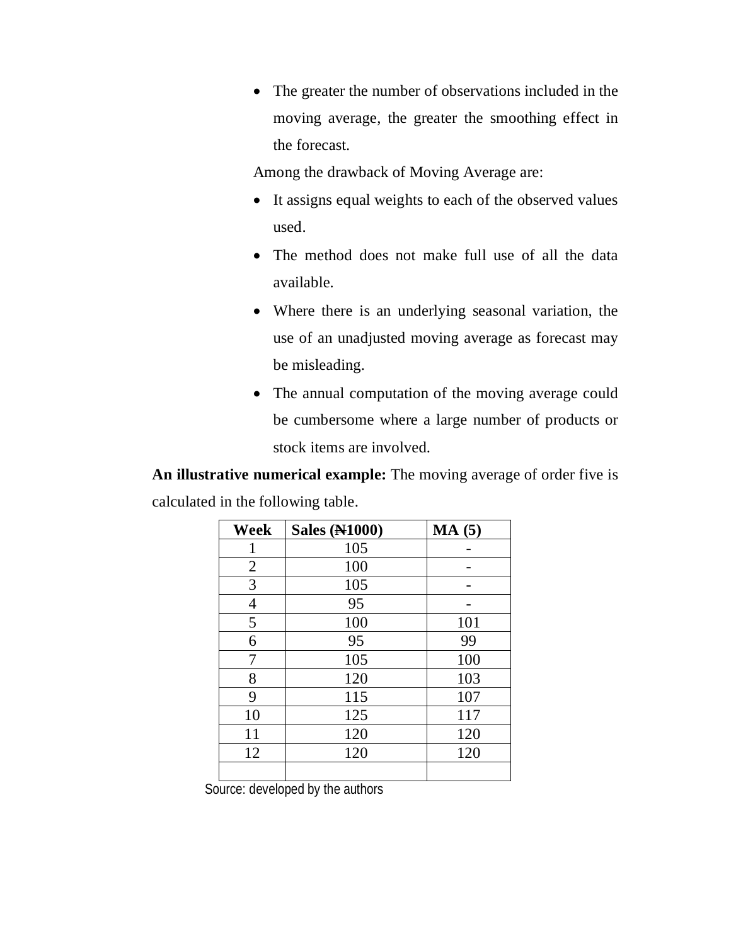The greater the number of observations included in the moving average, the greater the smoothing effect in the forecast.

Among the drawback of Moving Average are:

- It assigns equal weights to each of the observed values used.
- The method does not make full use of all the data available.
- Where there is an underlying seasonal variation, the use of an unadjusted moving average as forecast may be misleading.
- The annual computation of the moving average could be cumbersome where a large number of products or stock items are involved.

**An illustrative numerical example:** The moving average of order five is calculated in the following table.

| <b>Week</b>    | <b>Sales (N1000)</b> | MA(5) |
|----------------|----------------------|-------|
| 1              | 105                  |       |
| $\overline{2}$ | 100                  |       |
| 3              | 105                  |       |
| 4              | 95                   |       |
| 5              | 100                  | 101   |
| 6              | 95                   | 99    |
| 7              | 105                  | 100   |
| 8              | 120                  | 103   |
| 9              | 115                  | 107   |
| 10             | 125                  | 117   |
| 11             | 120                  | 120   |
| 12             | 120                  | 120   |
|                |                      |       |

Source: developed by the authors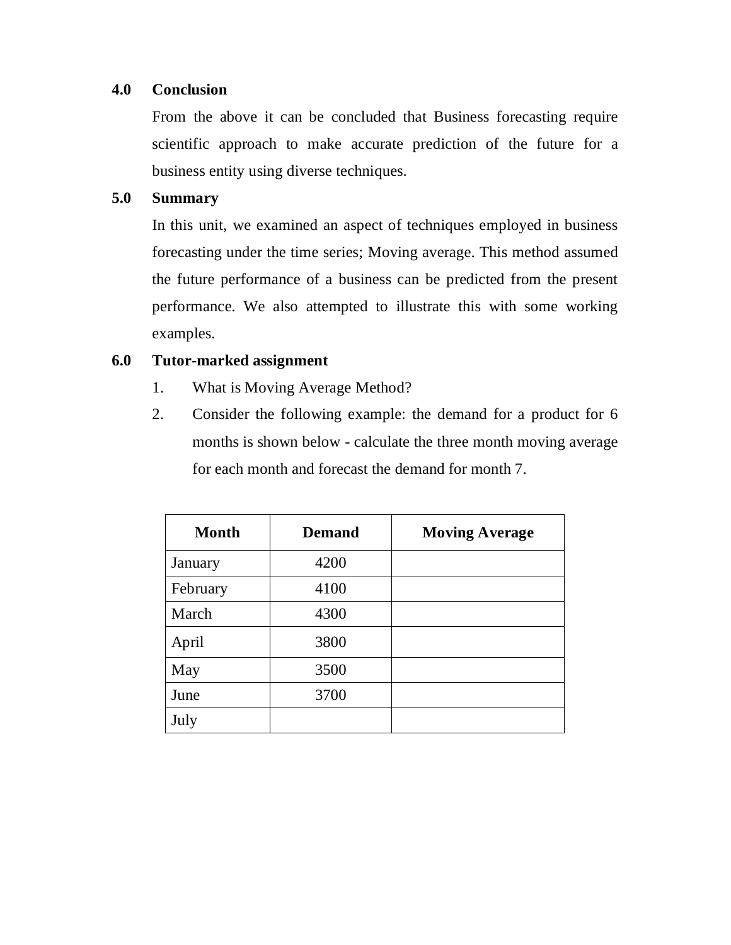# **4.0 Conclusion**

From the above it can be concluded that Business forecasting require scientific approach to make accurate prediction of the future for a business entity using diverse techniques.

# **5.0 Summary**

In this unit, we examined an aspect of techniques employed in business forecasting under the time series; Moving average. This method assumed the future performance of a business can be predicted from the present performance. We also attempted to illustrate this with some working examples.

# **6.0 Tutor-marked assignment**

- 1. What is Moving Average Method?
- 2. Consider the following example: the demand for a product for 6 months is shown below - calculate the three month moving average for each month and forecast the demand for month 7.

| <b>Month</b> | <b>Demand</b> | <b>Moving Average</b> |
|--------------|---------------|-----------------------|
| January      | 4200          |                       |
| February     | 4100          |                       |
| March        | 4300          |                       |
| April        | 3800          |                       |
| May          | 3500          |                       |
| June         | 3700          |                       |
| July         |               |                       |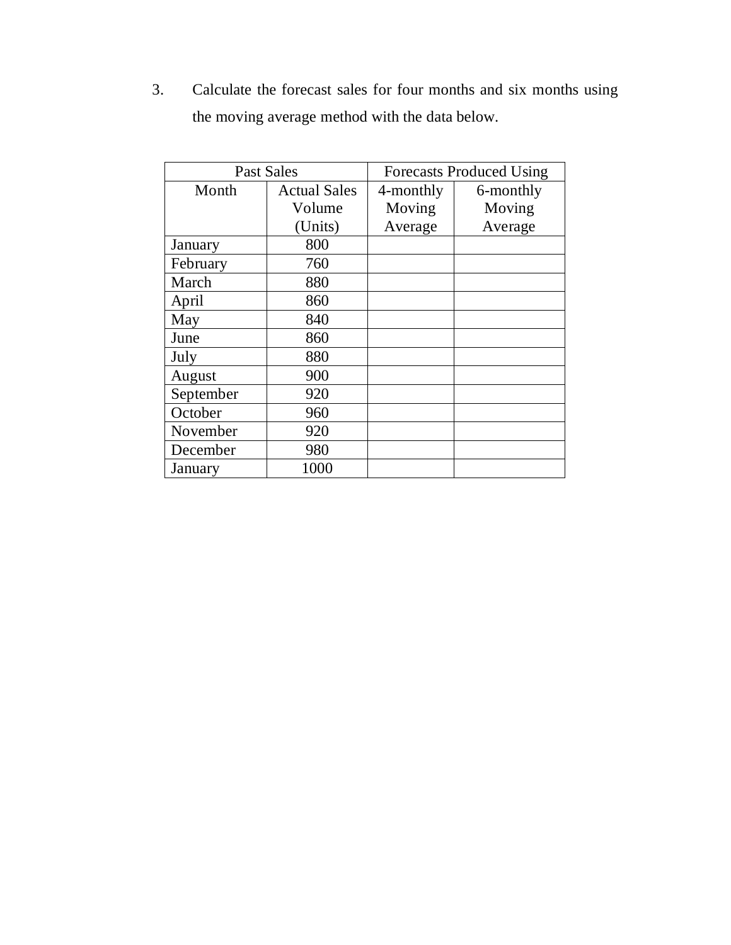3. Calculate the forecast sales for four months and six months using the moving average method with the data below.

| <b>Past Sales</b> |                     | <b>Forecasts Produced Using</b> |           |  |
|-------------------|---------------------|---------------------------------|-----------|--|
| Month             | <b>Actual Sales</b> | 4-monthly                       | 6-monthly |  |
|                   | Volume              | Moving                          | Moving    |  |
|                   | (Units)             | Average                         | Average   |  |
| January           | 800                 |                                 |           |  |
| February          | 760                 |                                 |           |  |
| March             | 880                 |                                 |           |  |
| April             | 860                 |                                 |           |  |
| May               | 840                 |                                 |           |  |
| June              | 860                 |                                 |           |  |
| July              | 880                 |                                 |           |  |
| August            | 900                 |                                 |           |  |
| September         | 920                 |                                 |           |  |
| October           | 960                 |                                 |           |  |
| November          | 920                 |                                 |           |  |
| December          | 980                 |                                 |           |  |
| January           | 1000                |                                 |           |  |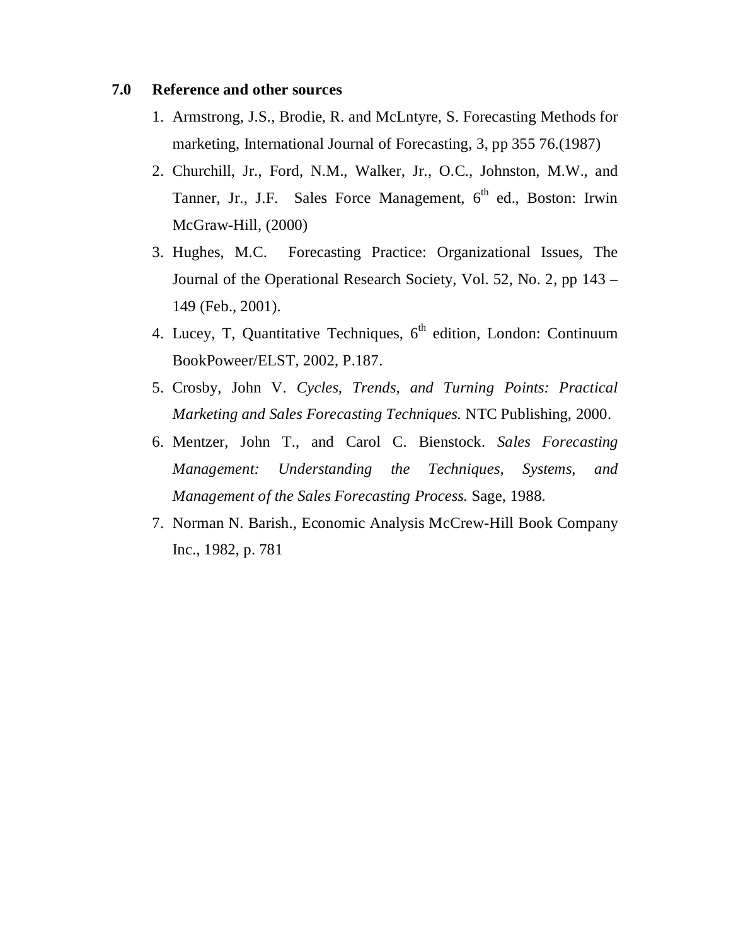#### **7.0 Reference and other sources**

- 1. Armstrong, J.S., Brodie, R. and McLntyre, S. Forecasting Methods for marketing, International Journal of Forecasting, 3, pp 355 76.(1987)
- 2. Churchill, Jr., Ford, N.M., Walker, Jr., O.C., Johnston, M.W., and Tanner, Jr., J.F. Sales Force Management, 6<sup>th</sup> ed., Boston: Irwin McGraw-Hill, (2000)
- 3. Hughes, M.C. Forecasting Practice: Organizational Issues, The Journal of the Operational Research Society, Vol. 52, No. 2, pp 143 – 149 (Feb., 2001).
- 4. Lucey, T, Quantitative Techniques,  $6<sup>th</sup>$  edition, London: Continuum BookPoweer/ELST, 2002, P.187.
- 5. Crosby, John V. *Cycles, Trends, and Turning Points: Practical Marketing and Sales Forecasting Techniques.* NTC Publishing, 2000.
- 6. Mentzer, John T., and Carol C. Bienstock. *Sales Forecasting Management: Understanding the Techniques, Systems, and Management of the Sales Forecasting Process.* Sage, 1988.
- 7. Norman N. Barish., Economic Analysis McCrew-Hill Book Company Inc., 1982, p. 781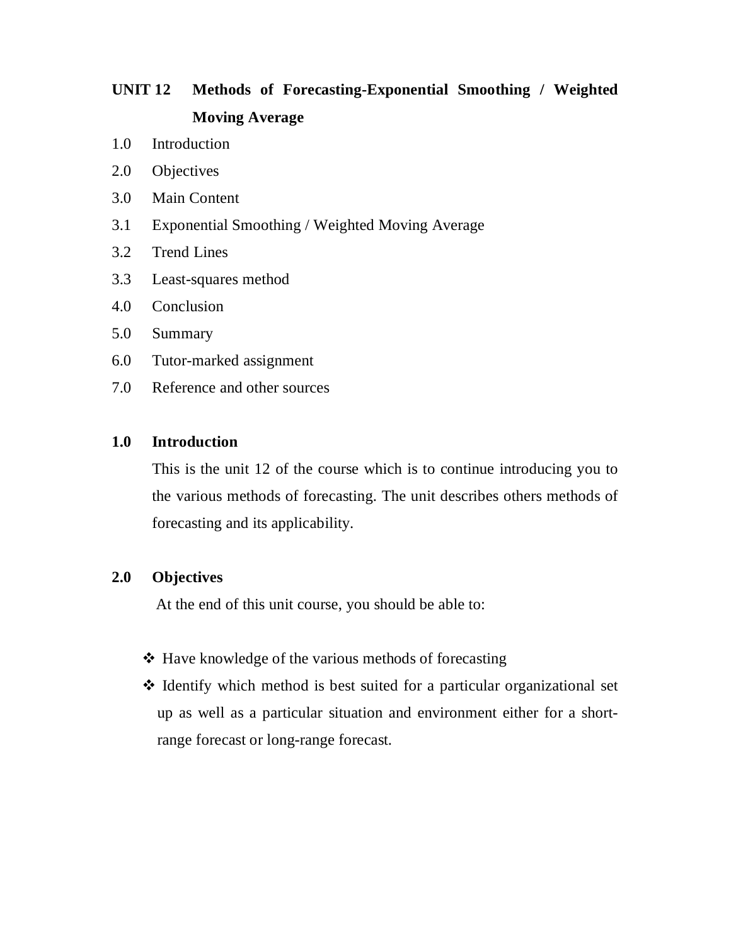# **UNIT 12 Methods of Forecasting-Exponential Smoothing / Weighted Moving Average**

- 1.0 Introduction
- 2.0 Objectives
- 3.0 Main Content
- 3.1 Exponential Smoothing / Weighted Moving Average
- 3.2 Trend Lines
- 3.3 Least-squares method
- 4.0 Conclusion
- 5.0 Summary
- 6.0 Tutor-marked assignment
- 7.0 Reference and other sources

## **1.0 Introduction**

This is the unit 12 of the course which is to continue introducing you to the various methods of forecasting. The unit describes others methods of forecasting and its applicability.

#### **2.0 Objectives**

At the end of this unit course, you should be able to:

- $\triangle$  Have knowledge of the various methods of forecasting
- $\triangle$  Identify which method is best suited for a particular organizational set up as well as a particular situation and environment either for a shortrange forecast or long-range forecast.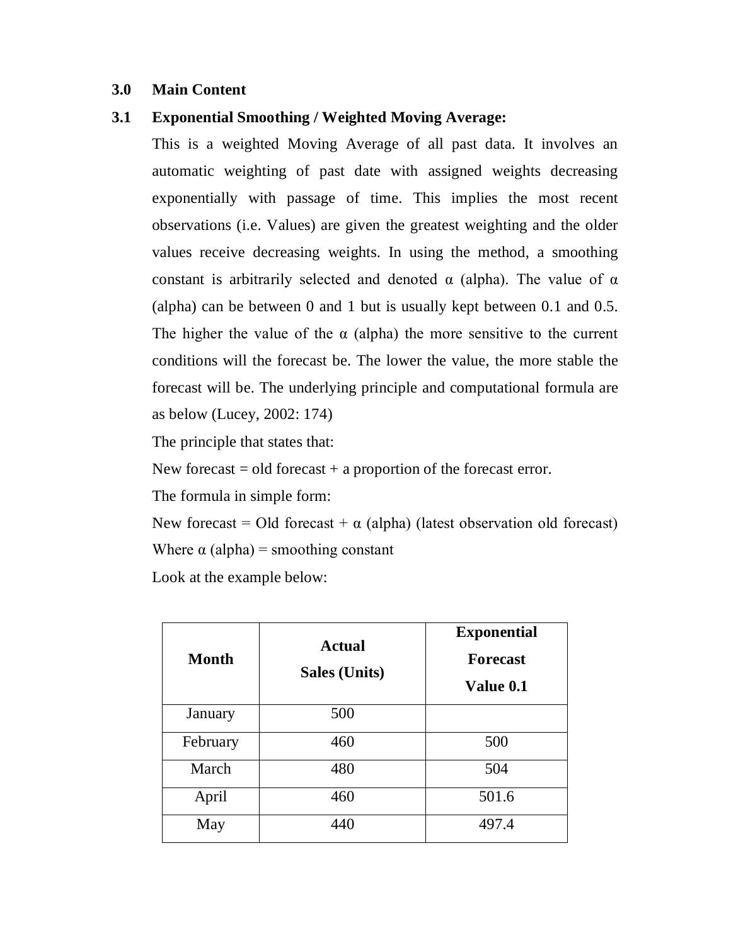## **3.0 Main Content**

## **3.1 Exponential Smoothing / Weighted Moving Average:**

This is a weighted Moving Average of all past data. It involves an automatic weighting of past date with assigned weights decreasing exponentially with passage of time. This implies the most recent observations (i.e. Values) are given the greatest weighting and the older values receive decreasing weights. In using the method, a smoothing constant is arbitrarily selected and denoted  $\alpha$  (alpha). The value of  $\alpha$ (alpha) can be between 0 and 1 but is usually kept between 0.1 and 0.5. The higher the value of the  $\alpha$  (alpha) the more sensitive to the current conditions will the forecast be. The lower the value, the more stable the forecast will be. The underlying principle and computational formula are as below (Lucey, 2002: 174)

The principle that states that:

New forecast  $=$  old forecast  $+$  a proportion of the forecast error.

The formula in simple form:

New forecast = Old forecast +  $\alpha$  (alpha) (latest observation old forecast) Where  $\alpha$  (alpha) = smoothing constant

Look at the example below:

| <b>Month</b> | <b>Actual</b><br><b>Sales (Units)</b> | <b>Exponential</b><br><b>Forecast</b><br>Value 0.1 |
|--------------|---------------------------------------|----------------------------------------------------|
| January      | 500                                   |                                                    |
| February     | 460                                   | 500                                                |
| March        | 480                                   | 504                                                |
| April        | 460                                   | 501.6                                              |
| May          | 440                                   | 497.4                                              |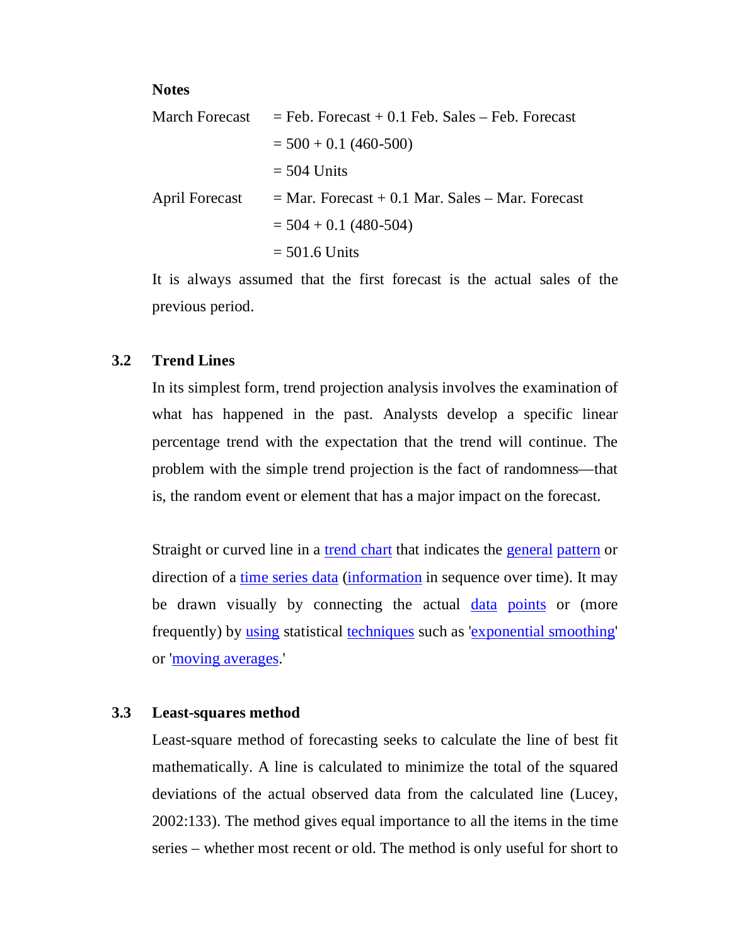#### **Notes**

|                       | March Forecast $=$ Feb. Forecast $+$ 0.1 Feb. Sales $-$ Feb. Forecast |
|-----------------------|-----------------------------------------------------------------------|
|                       | $=$ 500 + 0.1 (460-500)                                               |
|                       | $=$ 504 Units                                                         |
| <b>April Forecast</b> | $=$ Mar. Forecast + 0.1 Mar. Sales – Mar. Forecast                    |
|                       | $=$ 504 + 0.1 (480-504)                                               |
|                       | $= 501.6$ Units                                                       |

It is always assumed that the first forecast is the actual sales of the previous period.

#### **3.2 Trend Lines**

In its simplest form, trend projection analysis involves the examination of what has happened in the past. Analysts develop a specific linear percentage trend with the expectation that the trend will continue. The problem with the simple trend projection is the fact of randomness—that is, the random event or element that has a major impact on the forecast.

Straight or curved line in a trend chart that indicates the general pattern or direction of a time series data (information in sequence over time). It may be drawn visually by connecting the actual data points or (more frequently) by using statistical techniques such as 'exponential smoothing' or 'moving averages.'

#### **3.3 Least-squares method**

Least-square method of forecasting seeks to calculate the line of best fit mathematically. A line is calculated to minimize the total of the squared deviations of the actual observed data from the calculated line (Lucey, 2002:133). The method gives equal importance to all the items in the time series – whether most recent or old. The method is only useful for short to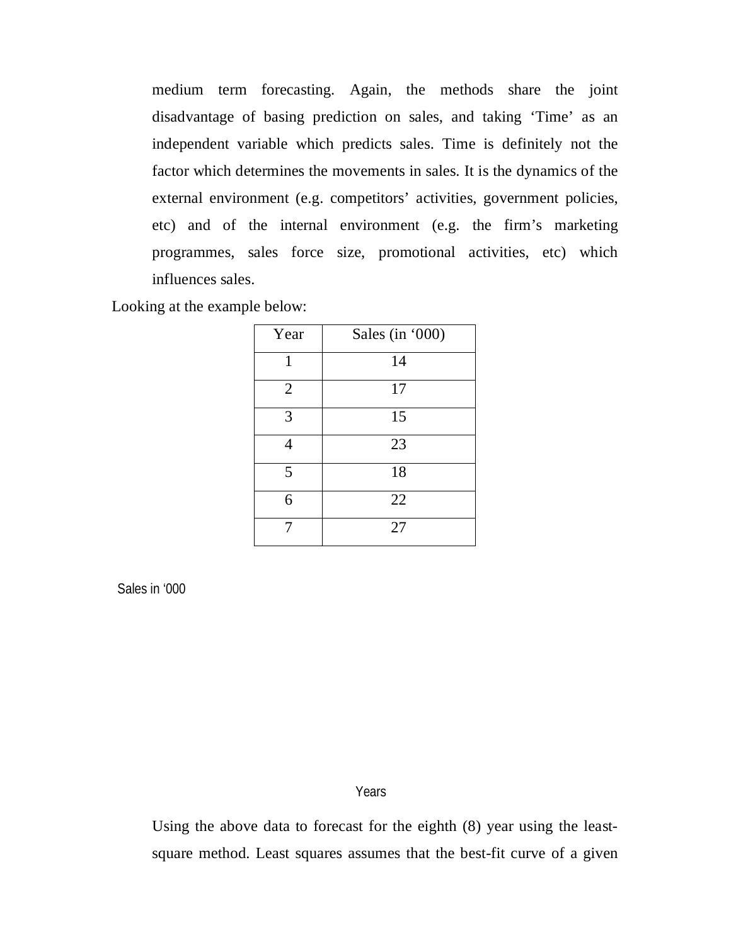medium term forecasting. Again, the methods share the joint disadvantage of basing prediction on sales, and taking 'Time' as an independent variable which predicts sales. Time is definitely not the factor which determines the movements in sales. It is the dynamics of the external environment (e.g. competitors' activities, government policies, etc) and of the internal environment (e.g. the firm's marketing programmes, sales force size, promotional activities, etc) which influences sales.

Looking at the example below:

| Year           | Sales (in '000) |
|----------------|-----------------|
| 1              | 14              |
| $\overline{2}$ | 17              |
| 3              | 15              |
| 4              | 23              |
| 5              | 18              |
| 6              | 22              |
|                | 27              |

Sales in '000

**Years** 

Using the above data to forecast for the eighth (8) year using the leastsquare method. Least squares assumes that the best-fit curve of a given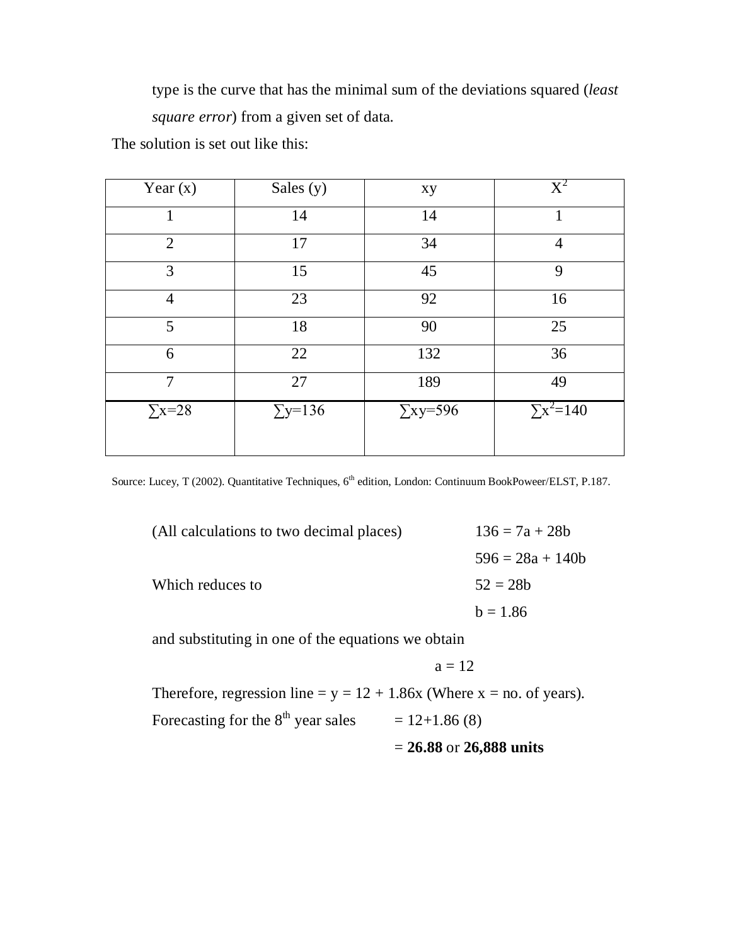type is the curve that has the minimal sum of the deviations squared (*least square error*) from a given set of data.

The solution is set out like this:

| Year $(x)$     | Sales (y)      | xy              | $\mathrm{X}^2$   |
|----------------|----------------|-----------------|------------------|
| 1              | 14             | 14              |                  |
| $\overline{2}$ | 17             | 34              | 4                |
| 3              | 15             | 45              | 9                |
| $\overline{4}$ | 23             | 92              | 16               |
| 5              | 18             | 90              | 25               |
| 6              | 22             | 132             | 36               |
| $\overline{7}$ | 27             | 189             | 49               |
| $\Sigma$ x=28  | $\Sigma$ y=136 | $\Sigma$ xy=596 | $\sum x^2 = 140$ |
|                |                |                 |                  |

Source: Lucey, T (2002). Quantitative Techniques, 6<sup>th</sup> edition, London: Continuum BookPoweer/ELST, P.187.

| (All calculations to two decimal places) | $136 = 7a + 28b$   |
|------------------------------------------|--------------------|
|                                          | $596 = 28a + 140b$ |
| Which reduces to                         | $52 = 28b$         |
|                                          | $b = 1.86$         |
|                                          |                    |

and substituting in one of the equations we obtain

$$
a=12\\
$$

Therefore, regression line =  $y = 12 + 1.86x$  (Where x = no. of years).

Forecasting for the  $8<sup>th</sup>$  year sales = 12+1.86 (8)

= **26.88** or **26,888 units**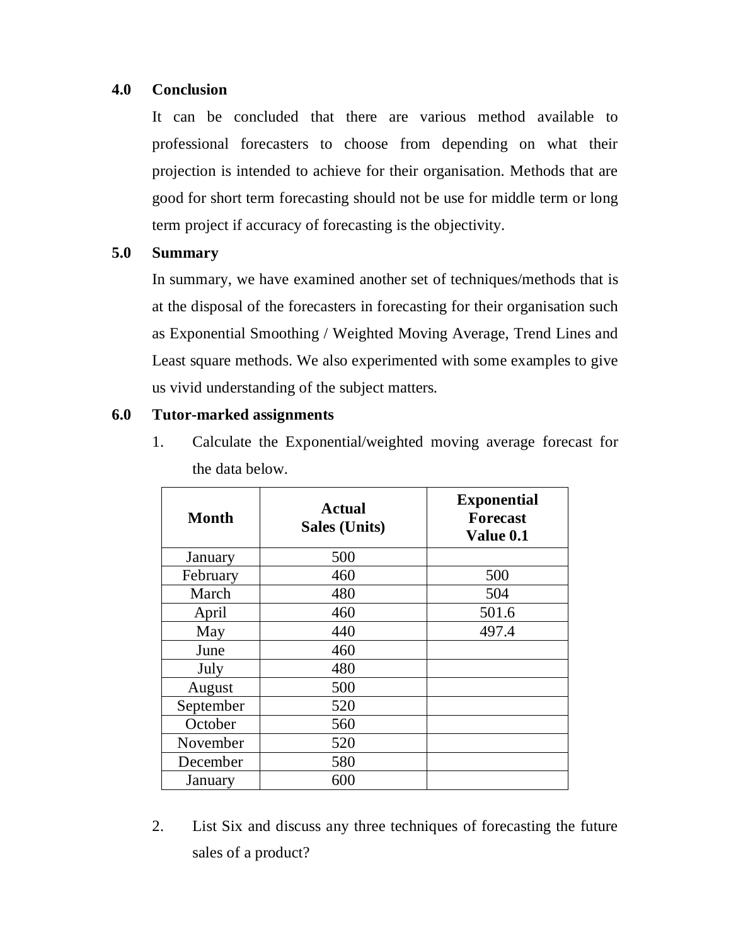## **4.0 Conclusion**

It can be concluded that there are various method available to professional forecasters to choose from depending on what their projection is intended to achieve for their organisation. Methods that are good for short term forecasting should not be use for middle term or long term project if accuracy of forecasting is the objectivity.

## **5.0 Summary**

In summary, we have examined another set of techniques/methods that is at the disposal of the forecasters in forecasting for their organisation such as Exponential Smoothing / Weighted Moving Average, Trend Lines and Least square methods. We also experimented with some examples to give us vivid understanding of the subject matters.

## **6.0 Tutor-marked assignments**

1. Calculate the Exponential/weighted moving average forecast for the data below.

| <b>Month</b> | <b>Actual</b><br><b>Sales (Units)</b> | <b>Exponential</b><br><b>Forecast</b><br>Value 0.1 |
|--------------|---------------------------------------|----------------------------------------------------|
| January      | 500                                   |                                                    |
| February     | 460                                   | 500                                                |
| March        | 480                                   | 504                                                |
| April        | 460                                   | 501.6                                              |
| May          | 440                                   | 497.4                                              |
| June         | 460                                   |                                                    |
| July         | 480                                   |                                                    |
| August       | 500                                   |                                                    |
| September    | 520                                   |                                                    |
| October      | 560                                   |                                                    |
| November     | 520                                   |                                                    |
| December     | 580                                   |                                                    |
| January      | 600                                   |                                                    |

2. List Six and discuss any three techniques of forecasting the future sales of a product?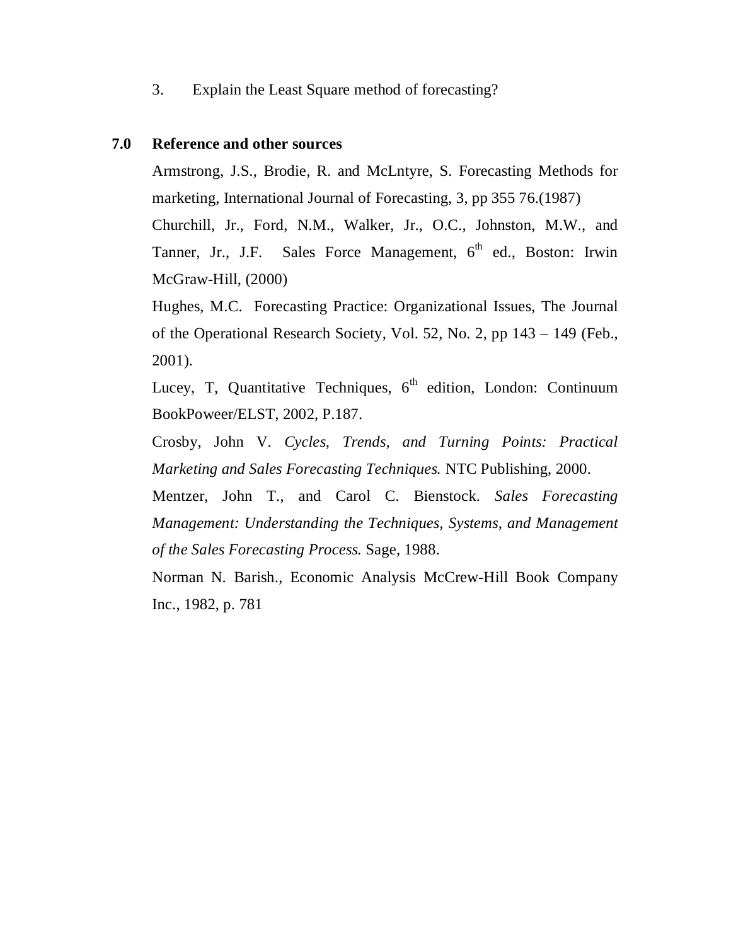3. Explain the Least Square method of forecasting?

#### **7.0 Reference and other sources**

Armstrong, J.S., Brodie, R. and McLntyre, S. Forecasting Methods for marketing, International Journal of Forecasting, 3, pp 355 76.(1987)

Churchill, Jr., Ford, N.M., Walker, Jr., O.C., Johnston, M.W., and Tanner, Jr., J.F. Sales Force Management,  $6<sup>th</sup>$  ed., Boston: Irwin McGraw-Hill, (2000)

Hughes, M.C. Forecasting Practice: Organizational Issues, The Journal of the Operational Research Society, Vol. 52, No. 2, pp 143 – 149 (Feb., 2001).

Lucey, T, Quantitative Techniques,  $6<sup>th</sup>$  edition, London: Continuum BookPoweer/ELST, 2002, P.187.

Crosby, John V. *Cycles, Trends, and Turning Points: Practical Marketing and Sales Forecasting Techniques.* NTC Publishing, 2000.

Mentzer, John T., and Carol C. Bienstock. *Sales Forecasting Management: Understanding the Techniques, Systems, and Management of the Sales Forecasting Process.* Sage, 1988.

Norman N. Barish., Economic Analysis McCrew-Hill Book Company Inc., 1982, p. 781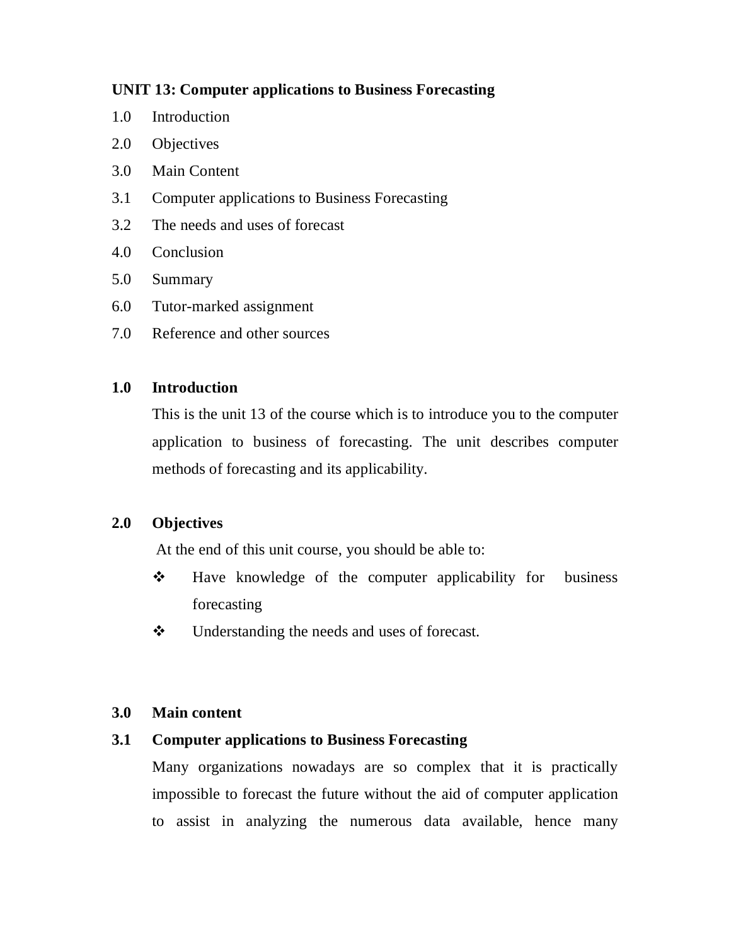## **UNIT 13: Computer applications to Business Forecasting**

- 1.0 Introduction
- 2.0 Objectives
- 3.0 Main Content
- 3.1 Computer applications to Business Forecasting
- 3.2 The needs and uses of forecast
- 4.0 Conclusion
- 5.0 Summary
- 6.0 Tutor-marked assignment
- 7.0 Reference and other sources

## **1.0 Introduction**

This is the unit 13 of the course which is to introduce you to the computer application to business of forecasting. The unit describes computer methods of forecasting and its applicability.

## **2.0 Objectives**

At the end of this unit course, you should be able to:

- ◆ Have knowledge of the computer applicability for business forecasting
- Understanding the needs and uses of forecast.

## **3.0 Main content**

## **3.1 Computer applications to Business Forecasting**

Many organizations nowadays are so complex that it is practically impossible to forecast the future without the aid of computer application to assist in analyzing the numerous data available, hence many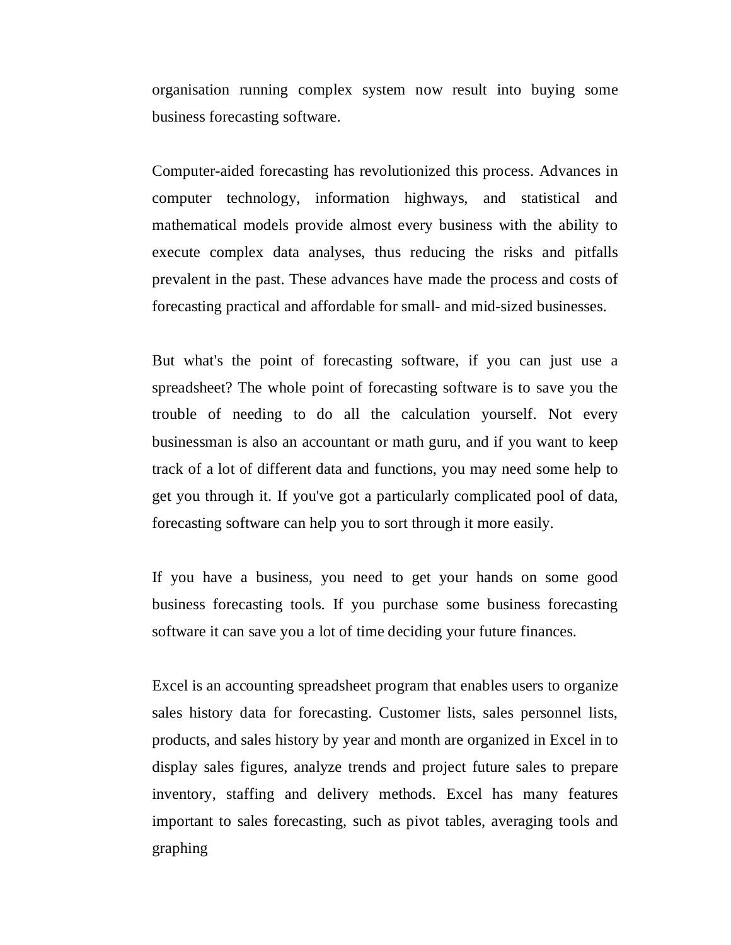organisation running complex system now result into buying some business forecasting software.

Computer-aided forecasting has revolutionized this process. Advances in computer technology, information highways, and statistical and mathematical models provide almost every business with the ability to execute complex data analyses, thus reducing the risks and pitfalls prevalent in the past. These advances have made the process and costs of forecasting practical and affordable for small- and mid-sized businesses.

But what's the point of forecasting software, if you can just use a spreadsheet? The whole point of forecasting software is to save you the trouble of needing to do all the calculation yourself. Not every businessman is also an accountant or math guru, and if you want to keep track of a lot of different data and functions, you may need some help to get you through it. If you've got a particularly complicated pool of data, forecasting software can help you to sort through it more easily.

If you have a business, you need to get your hands on some good business forecasting tools. If you purchase some business forecasting software it can save you a lot of time deciding your future finances.

Excel is an accounting spreadsheet program that enables users to organize sales history data for forecasting. Customer lists, sales personnel lists, products, and sales history by year and month are organized in Excel in to display sales figures, analyze trends and project future sales to prepare inventory, staffing and delivery methods. Excel has many features important to sales forecasting, such as pivot tables, averaging tools and graphing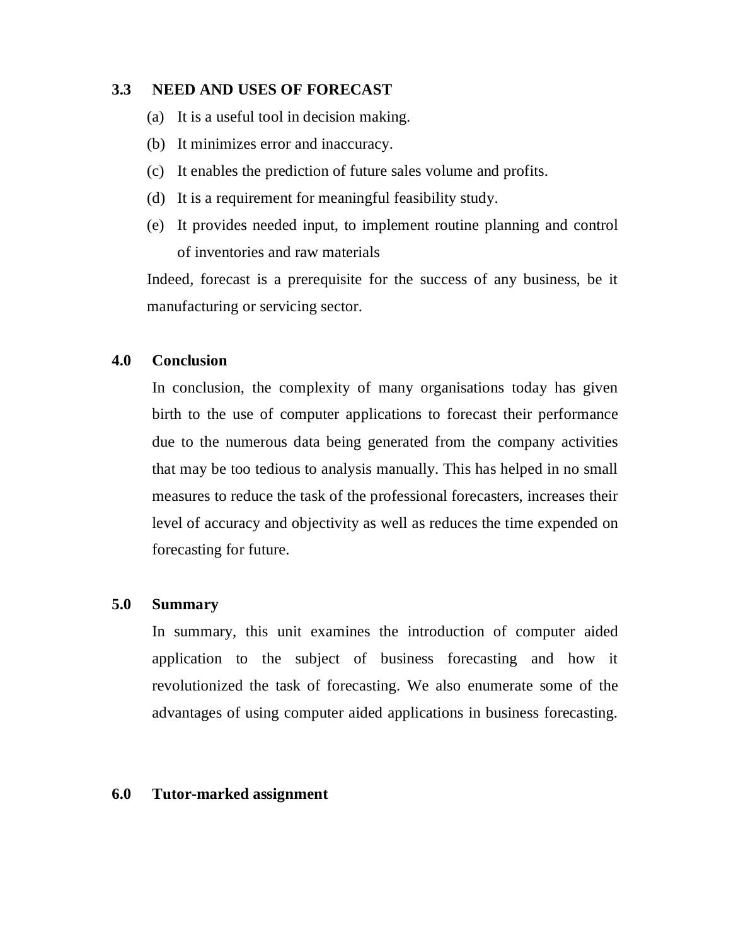## **3.3 NEED AND USES OF FORECAST**

- (a) It is a useful tool in decision making.
- (b) It minimizes error and inaccuracy.
- (c) It enables the prediction of future sales volume and profits.
- (d) It is a requirement for meaningful feasibility study.
- (e) It provides needed input, to implement routine planning and control of inventories and raw materials

Indeed, forecast is a prerequisite for the success of any business, be it manufacturing or servicing sector.

#### **4.0 Conclusion**

In conclusion, the complexity of many organisations today has given birth to the use of computer applications to forecast their performance due to the numerous data being generated from the company activities that may be too tedious to analysis manually. This has helped in no small measures to reduce the task of the professional forecasters, increases their level of accuracy and objectivity as well as reduces the time expended on forecasting for future.

## **5.0 Summary**

In summary, this unit examines the introduction of computer aided application to the subject of business forecasting and how it revolutionized the task of forecasting. We also enumerate some of the advantages of using computer aided applications in business forecasting.

#### **6.0 Tutor-marked assignment**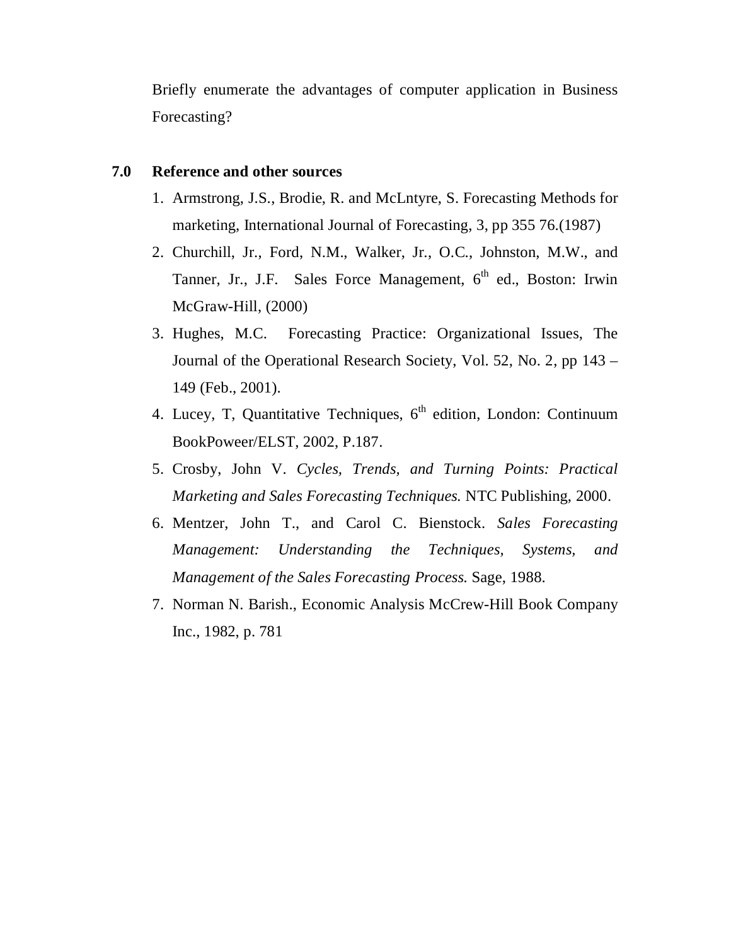Briefly enumerate the advantages of computer application in Business Forecasting?

#### **7.0 Reference and other sources**

- 1. Armstrong, J.S., Brodie, R. and McLntyre, S. Forecasting Methods for marketing, International Journal of Forecasting, 3, pp 355 76.(1987)
- 2. Churchill, Jr., Ford, N.M., Walker, Jr., O.C., Johnston, M.W., and Tanner, Jr., J.F. Sales Force Management,  $6<sup>th</sup>$  ed., Boston: Irwin McGraw-Hill, (2000)
- 3. Hughes, M.C. Forecasting Practice: Organizational Issues, The Journal of the Operational Research Society, Vol. 52, No. 2, pp 143 – 149 (Feb., 2001).
- 4. Lucey, T, Quantitative Techniques,  $6<sup>th</sup>$  edition, London: Continuum BookPoweer/ELST, 2002, P.187.
- 5. Crosby, John V. *Cycles, Trends, and Turning Points: Practical Marketing and Sales Forecasting Techniques.* NTC Publishing, 2000.
- 6. Mentzer, John T., and Carol C. Bienstock. *Sales Forecasting Management: Understanding the Techniques, Systems, and Management of the Sales Forecasting Process.* Sage, 1988.
- 7. Norman N. Barish., Economic Analysis McCrew-Hill Book Company Inc., 1982, p. 781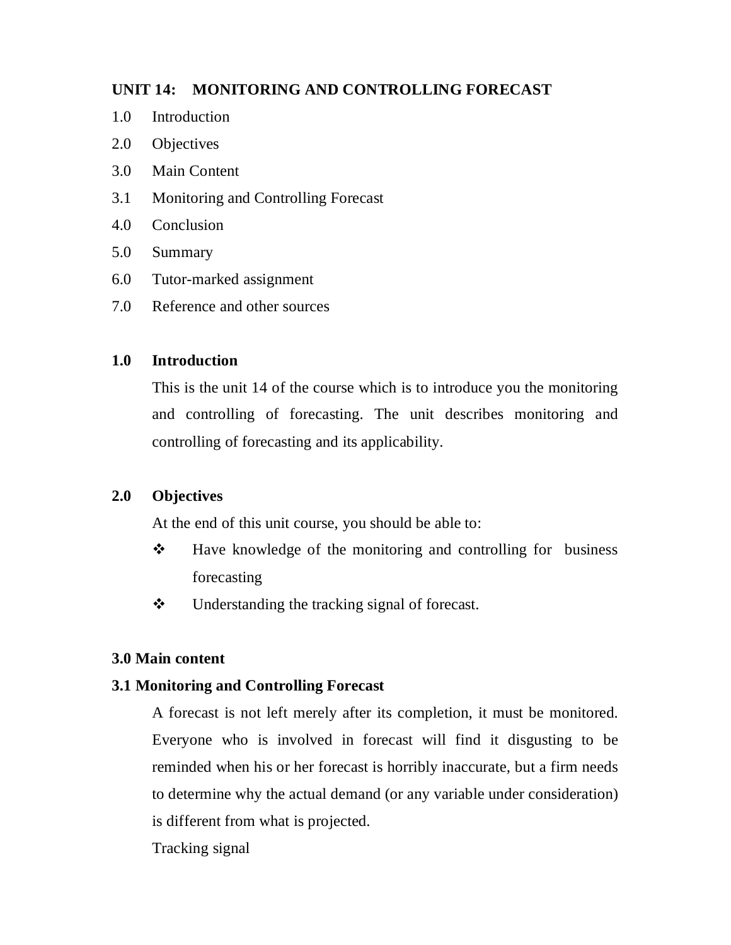## **UNIT 14: MONITORING AND CONTROLLING FORECAST**

- 1.0 Introduction
- 2.0 Objectives
- 3.0 Main Content
- 3.1 Monitoring and Controlling Forecast
- 4.0 Conclusion
- 5.0 Summary
- 6.0 Tutor-marked assignment
- 7.0 Reference and other sources

## **1.0 Introduction**

This is the unit 14 of the course which is to introduce you the monitoring and controlling of forecasting. The unit describes monitoring and controlling of forecasting and its applicability.

## **2.0 Objectives**

At the end of this unit course, you should be able to:

- $\triangleleft$  Have knowledge of the monitoring and controlling for business forecasting
- Understanding the tracking signal of forecast.

## **3.0 Main content**

## **3.1 Monitoring and Controlling Forecast**

A forecast is not left merely after its completion, it must be monitored. Everyone who is involved in forecast will find it disgusting to be reminded when his or her forecast is horribly inaccurate, but a firm needs to determine why the actual demand (or any variable under consideration) is different from what is projected.

Tracking signal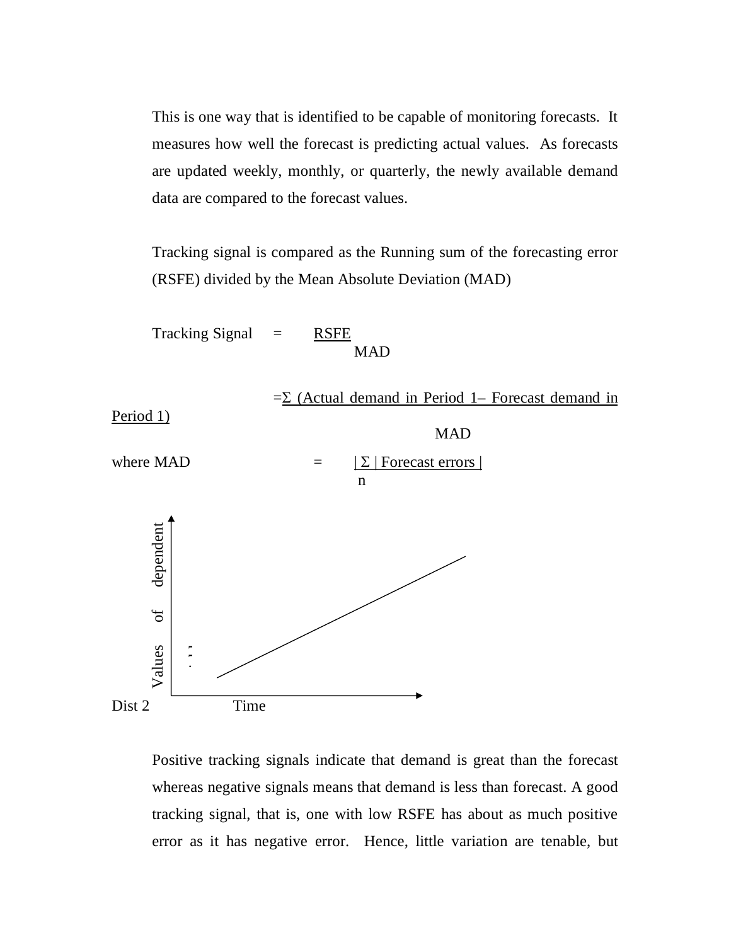This is one way that is identified to be capable of monitoring forecasts. It measures how well the forecast is predicting actual values. As forecasts are updated weekly, monthly, or quarterly, the newly available demand data are compared to the forecast values.

Tracking signal is compared as the Running sum of the forecasting error (RSFE) divided by the Mean Absolute Deviation (MAD)

 $Tracking Signal = RSFE$ MAD  $=\Sigma$  (Actual demand in Period 1– Forecast demand in Period 1) MAD where MAD  $= | \sum |$  Forecast errors | n Dist 2 Time France Controllers<br>
Time<br>
Positive tracking signals indicate that demand is great than the forecast<br>
whereas negative signals means that demand is less than forecast. A good<br>
tracking signal, that is, one with low RSFE has

Positive tracking signals indicate that demand is great than the forecast whereas negative signals means that demand is less than forecast. A good tracking signal, that is, one with low RSFE has about as much positive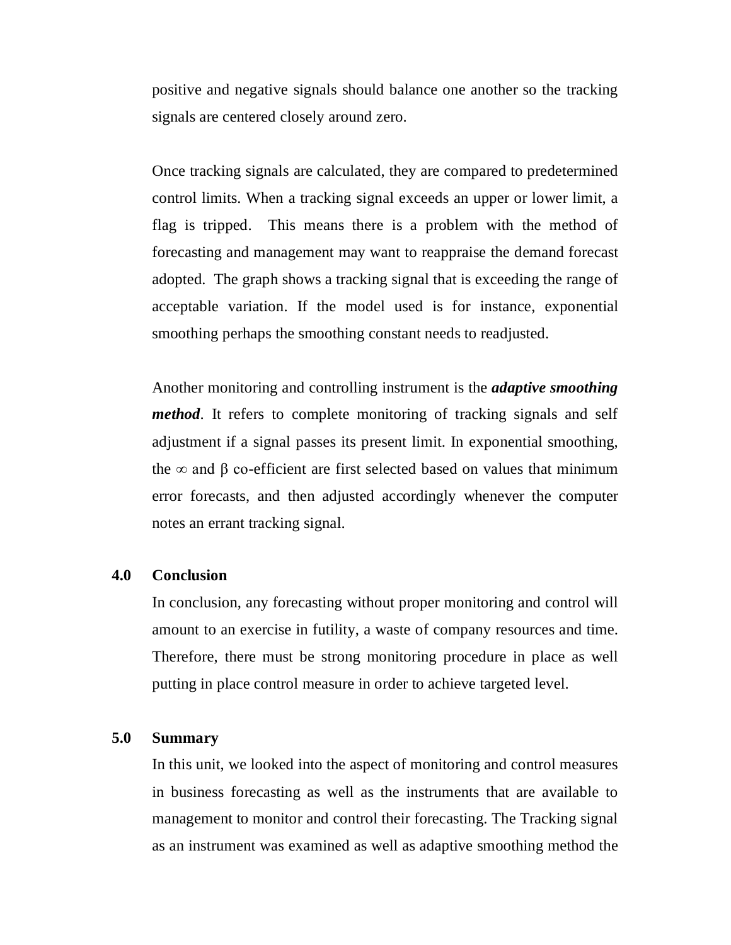positive and negative signals should balance one another so the tracking signals are centered closely around zero.

Once tracking signals are calculated, they are compared to predetermined control limits. When a tracking signal exceeds an upper or lower limit, a flag is tripped. This means there is a problem with the method of forecasting and management may want to reappraise the demand forecast adopted. The graph shows a tracking signal that is exceeding the range of acceptable variation. If the model used is for instance, exponential smoothing perhaps the smoothing constant needs to readjusted.

Another monitoring and controlling instrument is the *adaptive smoothing method*. It refers to complete monitoring of tracking signals and self adjustment if a signal passes its present limit. In exponential smoothing, the  $\infty$  and  $\beta$  co-efficient are first selected based on values that minimum error forecasts, and then adjusted accordingly whenever the computer notes an errant tracking signal.

## **4.0 Conclusion**

In conclusion, any forecasting without proper monitoring and control will amount to an exercise in futility, a waste of company resources and time. Therefore, there must be strong monitoring procedure in place as well putting in place control measure in order to achieve targeted level.

#### **5.0 Summary**

In this unit, we looked into the aspect of monitoring and control measures in business forecasting as well as the instruments that are available to management to monitor and control their forecasting. The Tracking signal as an instrument was examined as well as adaptive smoothing method the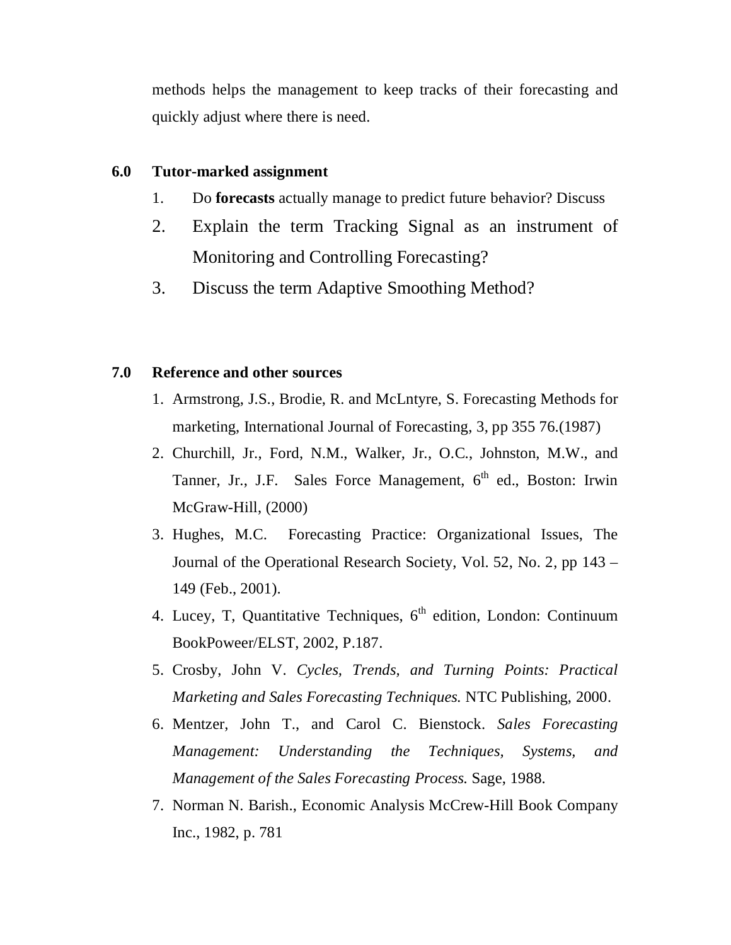methods helps the management to keep tracks of their forecasting and quickly adjust where there is need.

#### **6.0 Tutor-marked assignment**

- 1. Do **forecasts** actually manage to predict future behavior? Discuss
- 2. Explain the term Tracking Signal as an instrument of Monitoring and Controlling Forecasting?
- 3. Discuss the term Adaptive Smoothing Method?

#### **7.0 Reference and other sources**

- 1. Armstrong, J.S., Brodie, R. and McLntyre, S. Forecasting Methods for marketing, International Journal of Forecasting, 3, pp 355 76.(1987)
- 2. Churchill, Jr., Ford, N.M., Walker, Jr., O.C., Johnston, M.W., and Tanner, Jr., J.F. Sales Force Management,  $6<sup>th</sup>$  ed., Boston: Irwin McGraw-Hill, (2000)
- 3. Hughes, M.C. Forecasting Practice: Organizational Issues, The Journal of the Operational Research Society, Vol. 52, No. 2, pp 143 – 149 (Feb., 2001).
- 4. Lucey, T, Quantitative Techniques,  $6<sup>th</sup>$  edition, London: Continuum BookPoweer/ELST, 2002, P.187.
- 5. Crosby, John V. *Cycles, Trends, and Turning Points: Practical Marketing and Sales Forecasting Techniques.* NTC Publishing, 2000.
- 6. Mentzer, John T., and Carol C. Bienstock. *Sales Forecasting Management: Understanding the Techniques, Systems, and Management of the Sales Forecasting Process.* Sage, 1988.
- 7. Norman N. Barish., Economic Analysis McCrew-Hill Book Company Inc., 1982, p. 781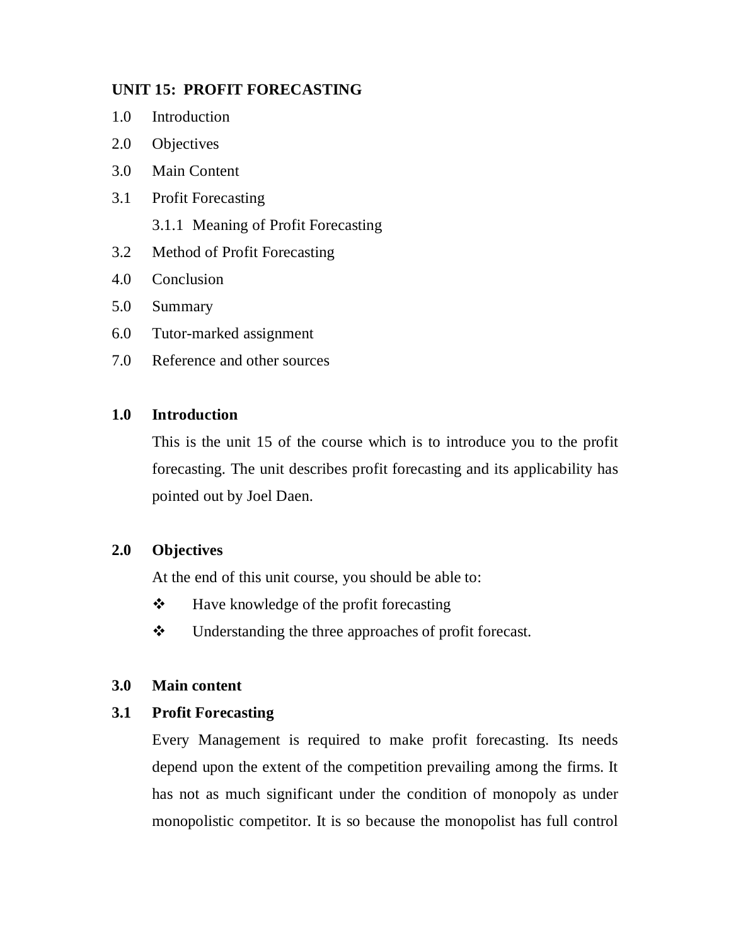## **UNIT 15: PROFIT FORECASTING**

- 1.0 Introduction
- 2.0 Objectives
- 3.0 Main Content
- 3.1 Profit Forecasting
	- 3.1.1 Meaning of Profit Forecasting
- 3.2 Method of Profit Forecasting
- 4.0 Conclusion
- 5.0 Summary
- 6.0 Tutor-marked assignment
- 7.0 Reference and other sources

## **1.0 Introduction**

This is the unit 15 of the course which is to introduce you to the profit forecasting. The unit describes profit forecasting and its applicability has pointed out by Joel Daen.

## **2.0 Objectives**

At the end of this unit course, you should be able to:

- $\mathbf{\hat{P}}$  Have knowledge of the profit forecasting
- $\mathbf{\hat{P}}$  Understanding the three approaches of profit forecast.

## **3.0 Main content**

## **3.1 Profit Forecasting**

Every Management is required to make profit forecasting. Its needs depend upon the extent of the competition prevailing among the firms. It has not as much significant under the condition of monopoly as under monopolistic competitor. It is so because the monopolist has full control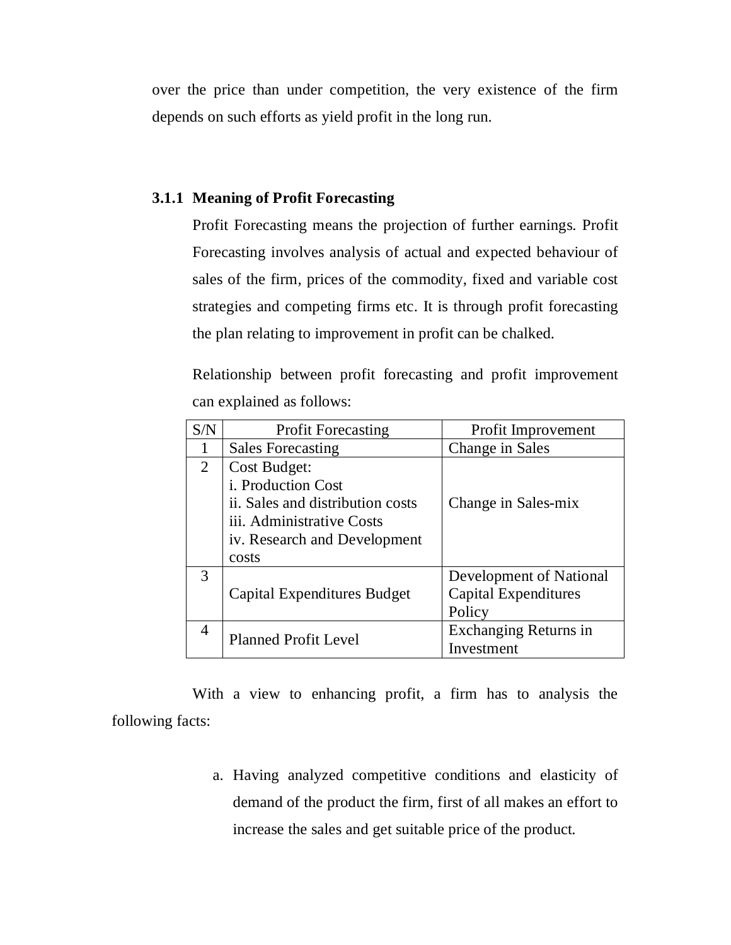over the price than under competition, the very existence of the firm depends on such efforts as yield profit in the long run.

#### **3.1.1 Meaning of Profit Forecasting**

Profit Forecasting means the projection of further earnings. Profit Forecasting involves analysis of actual and expected behaviour of sales of the firm, prices of the commodity, fixed and variable cost strategies and competing firms etc. It is through profit forecasting the plan relating to improvement in profit can be chalked.

Relationship between profit forecasting and profit improvement can explained as follows:

| S/N            | <b>Profit Forecasting</b>        | Profit Improvement      |
|----------------|----------------------------------|-------------------------|
|                | <b>Sales Forecasting</b>         | Change in Sales         |
| 2              | Cost Budget:                     |                         |
|                | i. Production Cost               |                         |
|                | ii. Sales and distribution costs | Change in Sales-mix     |
|                | iii. Administrative Costs        |                         |
|                | iv. Research and Development     |                         |
|                | costs                            |                         |
| 3              |                                  | Development of National |
|                | Capital Expenditures Budget      | Capital Expenditures    |
|                |                                  | Policy                  |
| $\overline{4}$ | <b>Planned Profit Level</b>      | Exchanging Returns in   |
|                |                                  | Investment              |

With a view to enhancing profit, a firm has to analysis the following facts:

> a. Having analyzed competitive conditions and elasticity of demand of the product the firm, first of all makes an effort to increase the sales and get suitable price of the product.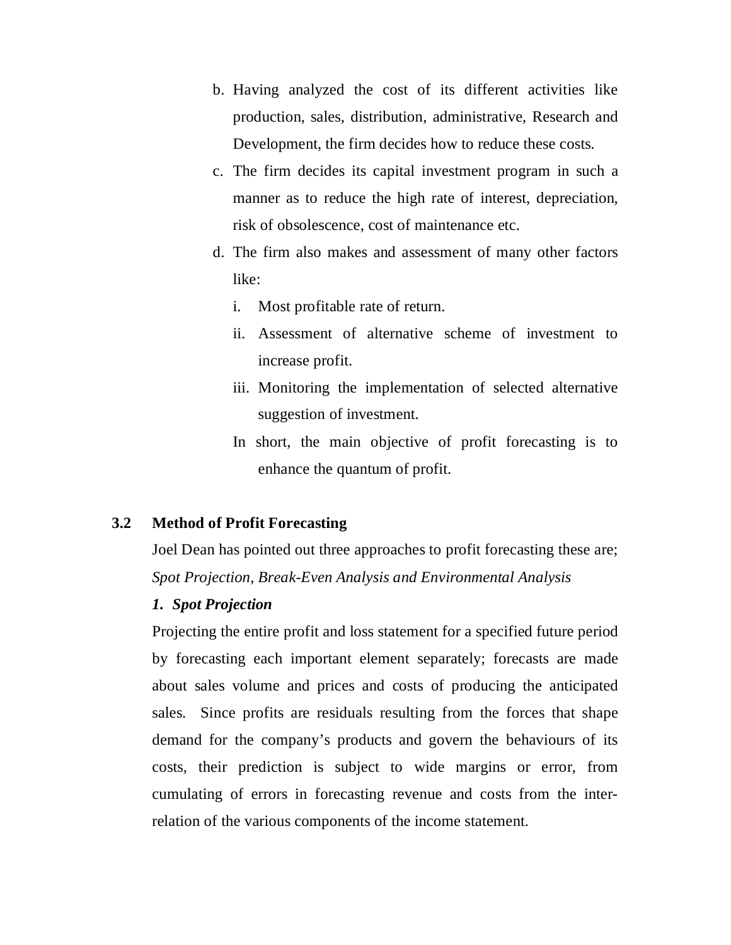- b. Having analyzed the cost of its different activities like production, sales, distribution, administrative, Research and Development, the firm decides how to reduce these costs.
- c. The firm decides its capital investment program in such a manner as to reduce the high rate of interest, depreciation, risk of obsolescence, cost of maintenance etc.
- d. The firm also makes and assessment of many other factors like:
	- i. Most profitable rate of return.
	- ii. Assessment of alternative scheme of investment to increase profit.
	- iii. Monitoring the implementation of selected alternative suggestion of investment.
	- In short, the main objective of profit forecasting is to enhance the quantum of profit.

## **3.2 Method of Profit Forecasting**

Joel Dean has pointed out three approaches to profit forecasting these are; *Spot Projection, Break-Even Analysis and Environmental Analysis*

## *1. Spot Projection*

Projecting the entire profit and loss statement for a specified future period by forecasting each important element separately; forecasts are made about sales volume and prices and costs of producing the anticipated sales. Since profits are residuals resulting from the forces that shape demand for the company's products and govern the behaviours of its costs, their prediction is subject to wide margins or error, from cumulating of errors in forecasting revenue and costs from the interrelation of the various components of the income statement.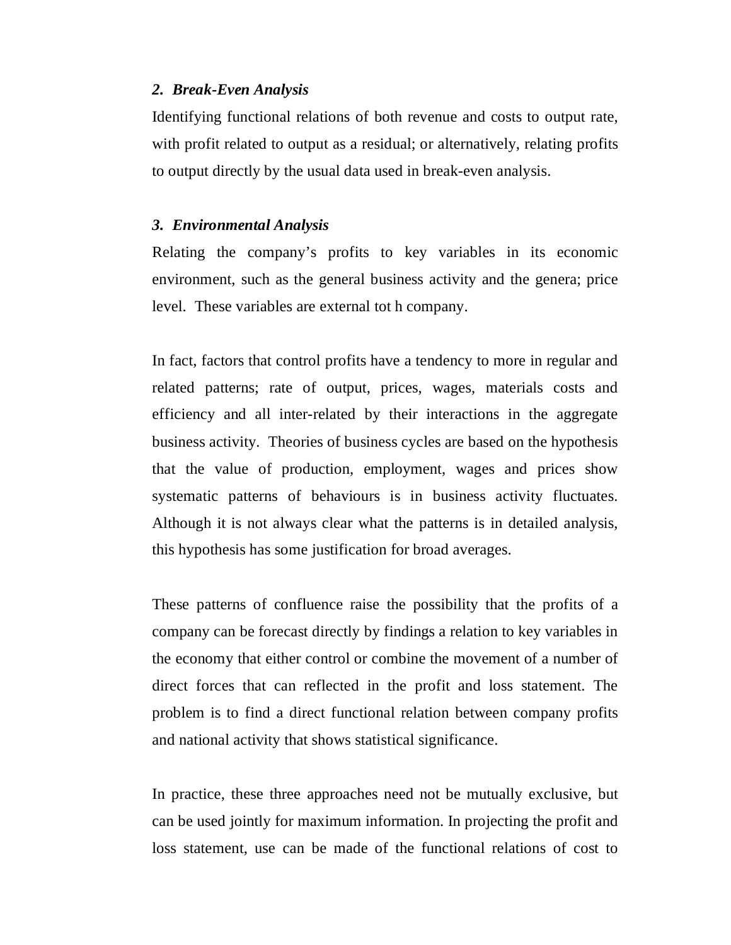#### *2. Break-Even Analysis*

Identifying functional relations of both revenue and costs to output rate, with profit related to output as a residual; or alternatively, relating profits to output directly by the usual data used in break-even analysis.

#### *3. Environmental Analysis*

Relating the company's profits to key variables in its economic environment, such as the general business activity and the genera; price level. These variables are external tot h company.

In fact, factors that control profits have a tendency to more in regular and related patterns; rate of output, prices, wages, materials costs and efficiency and all inter-related by their interactions in the aggregate business activity. Theories of business cycles are based on the hypothesis that the value of production, employment, wages and prices show systematic patterns of behaviours is in business activity fluctuates. Although it is not always clear what the patterns is in detailed analysis, this hypothesis has some justification for broad averages.

These patterns of confluence raise the possibility that the profits of a company can be forecast directly by findings a relation to key variables in the economy that either control or combine the movement of a number of direct forces that can reflected in the profit and loss statement. The problem is to find a direct functional relation between company profits and national activity that shows statistical significance.

In practice, these three approaches need not be mutually exclusive, but can be used jointly for maximum information. In projecting the profit and loss statement, use can be made of the functional relations of cost to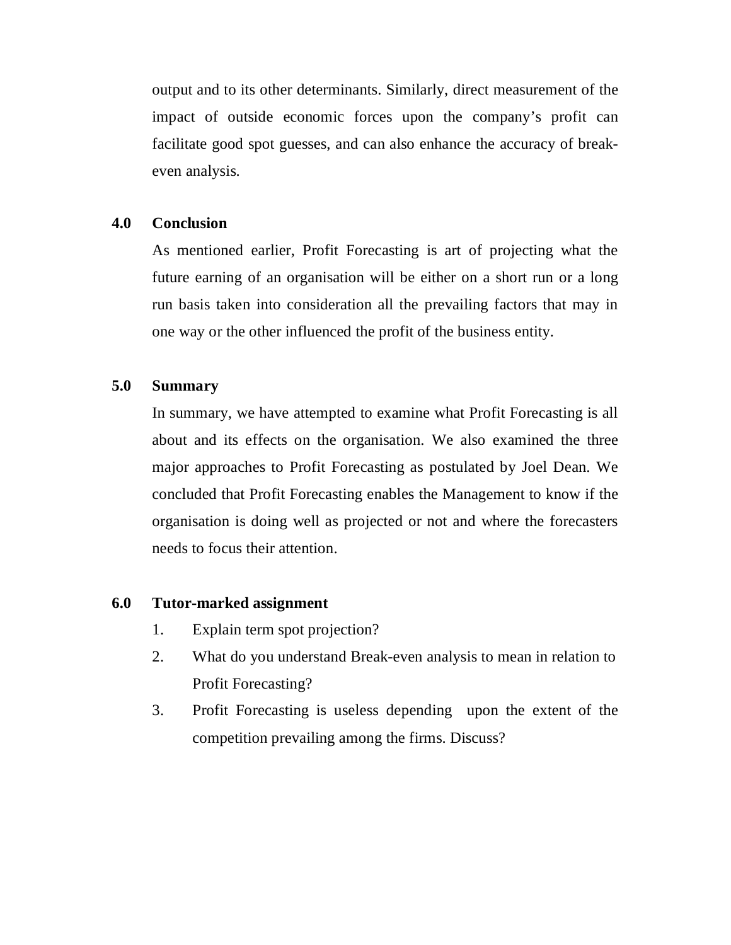output and to its other determinants. Similarly, direct measurement of the impact of outside economic forces upon the company's profit can facilitate good spot guesses, and can also enhance the accuracy of breakeven analysis.

#### **4.0 Conclusion**

As mentioned earlier, Profit Forecasting is art of projecting what the future earning of an organisation will be either on a short run or a long run basis taken into consideration all the prevailing factors that may in one way or the other influenced the profit of the business entity.

#### **5.0 Summary**

In summary, we have attempted to examine what Profit Forecasting is all about and its effects on the organisation. We also examined the three major approaches to Profit Forecasting as postulated by Joel Dean. We concluded that Profit Forecasting enables the Management to know if the organisation is doing well as projected or not and where the forecasters needs to focus their attention.

#### **6.0 Tutor-marked assignment**

- 1. Explain term spot projection?
- 2. What do you understand Break-even analysis to mean in relation to Profit Forecasting?
- 3. Profit Forecasting is useless depending upon the extent of the competition prevailing among the firms. Discuss?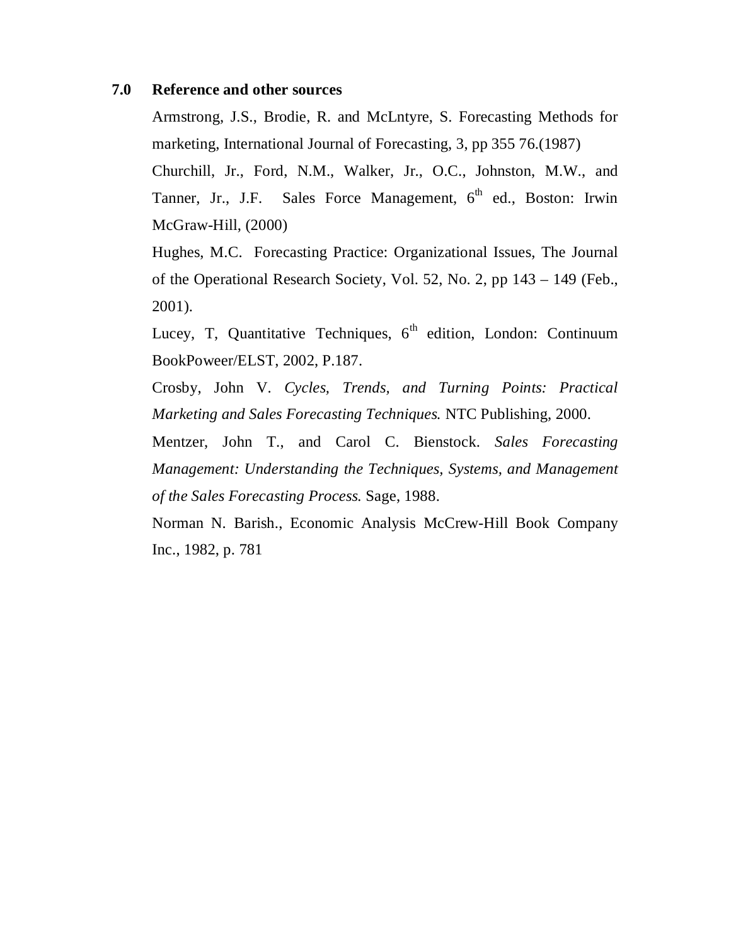#### **7.0 Reference and other sources**

Armstrong, J.S., Brodie, R. and McLntyre, S. Forecasting Methods for marketing, International Journal of Forecasting, 3, pp 355 76.(1987)

Churchill, Jr., Ford, N.M., Walker, Jr., O.C., Johnston, M.W., and Tanner, Jr., J.F. Sales Force Management,  $6<sup>th</sup>$  ed., Boston: Irwin McGraw-Hill, (2000)

Hughes, M.C. Forecasting Practice: Organizational Issues, The Journal of the Operational Research Society, Vol. 52, No. 2, pp 143 – 149 (Feb., 2001).

Lucey, T, Quantitative Techniques, 6<sup>th</sup> edition, London: Continuum BookPoweer/ELST, 2002, P.187.

Crosby, John V. *Cycles, Trends, and Turning Points: Practical Marketing and Sales Forecasting Techniques.* NTC Publishing, 2000.

Mentzer, John T., and Carol C. Bienstock. *Sales Forecasting Management: Understanding the Techniques, Systems, and Management of the Sales Forecasting Process.* Sage, 1988.

Norman N. Barish., Economic Analysis McCrew-Hill Book Company Inc., 1982, p. 781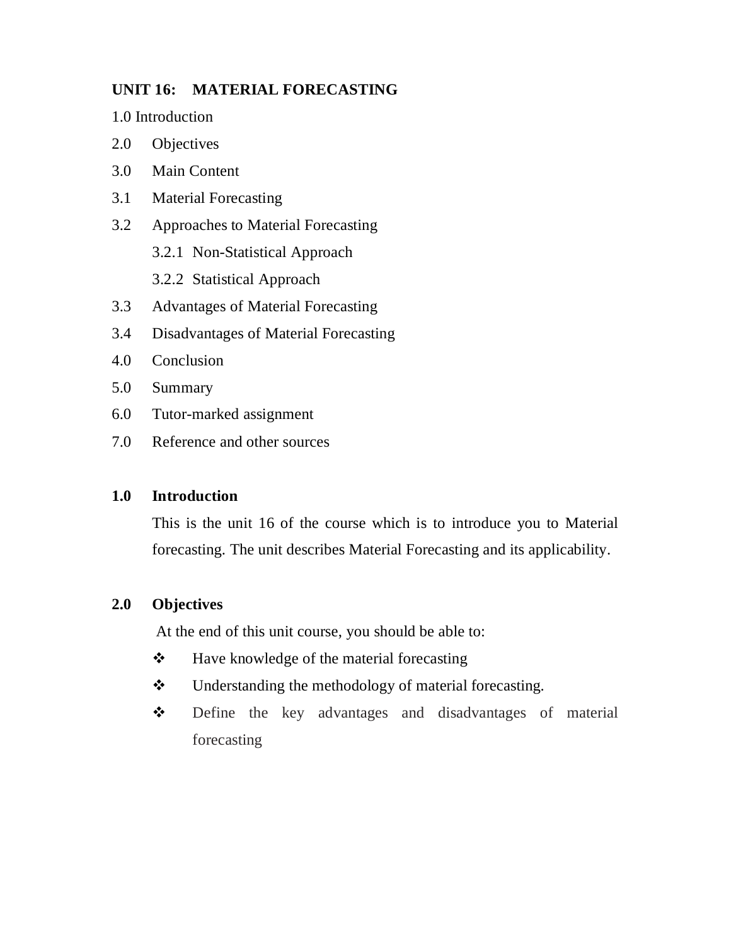## **UNIT 16: MATERIAL FORECASTING**

1.0 Introduction

- 2.0 Objectives
- 3.0 Main Content
- 3.1 Material Forecasting
- 3.2 Approaches to Material Forecasting
	- 3.2.1 Non-Statistical Approach
	- 3.2.2 Statistical Approach
- 3.3 Advantages of Material Forecasting
- 3.4 Disadvantages of Material Forecasting
- 4.0 Conclusion
- 5.0 Summary
- 6.0 Tutor-marked assignment
- 7.0 Reference and other sources

## **1.0 Introduction**

This is the unit 16 of the course which is to introduce you to Material forecasting. The unit describes Material Forecasting and its applicability.

## **2.0 Objectives**

At the end of this unit course, you should be able to:

- $\triangle$  Have knowledge of the material forecasting
- $\triangleleft$  Understanding the methodology of material forecasting.
- $\div$  Define the key advantages and disadvantages of material forecasting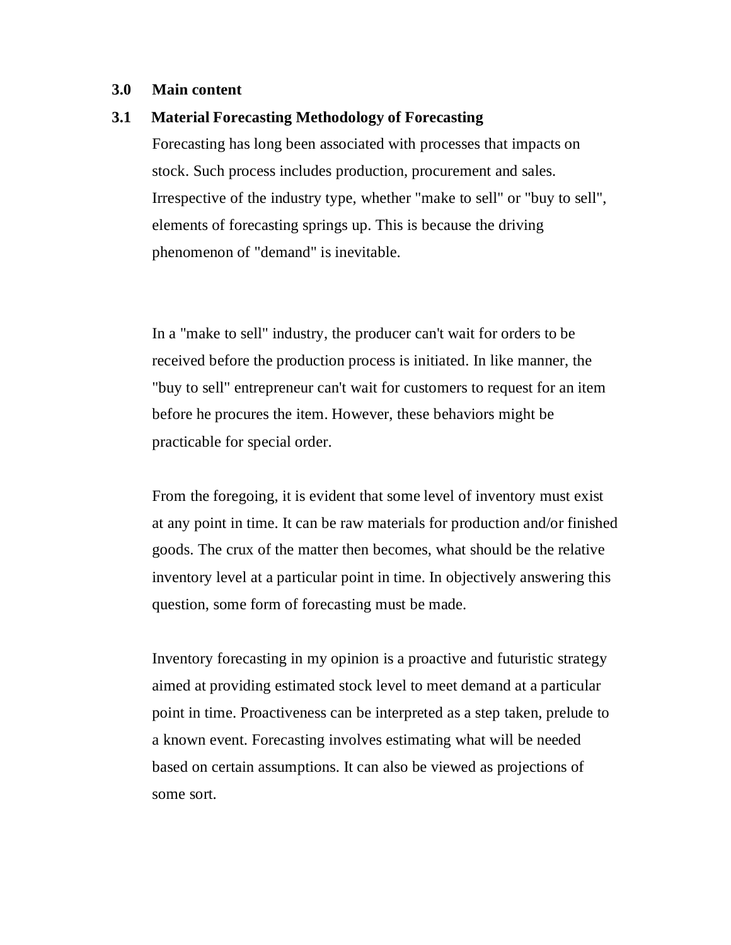#### **3.0 Main content**

#### **3.1 Material Forecasting Methodology of Forecasting**

Forecasting has long been associated with processes that impacts on stock. Such process includes production, procurement and sales. Irrespective of the industry type, whether "make to sell" or "buy to sell", elements of forecasting springs up. This is because the driving phenomenon of "demand" is inevitable.

In a "make to sell" industry, the producer can't wait for orders to be received before the production process is initiated. In like manner, the "buy to sell" entrepreneur can't wait for customers to request for an item before he procures the item. However, these behaviors might be practicable for special order.

From the foregoing, it is evident that some level of inventory must exist at any point in time. It can be raw materials for production and/or finished goods. The crux of the matter then becomes, what should be the relative inventory level at a particular point in time. In objectively answering this question, some form of forecasting must be made.

Inventory forecasting in my opinion is a proactive and futuristic strategy aimed at providing estimated stock level to meet demand at a particular point in time. Proactiveness can be interpreted as a step taken, prelude to a known event. Forecasting involves estimating what will be needed based on certain assumptions. It can also be viewed as projections of some sort.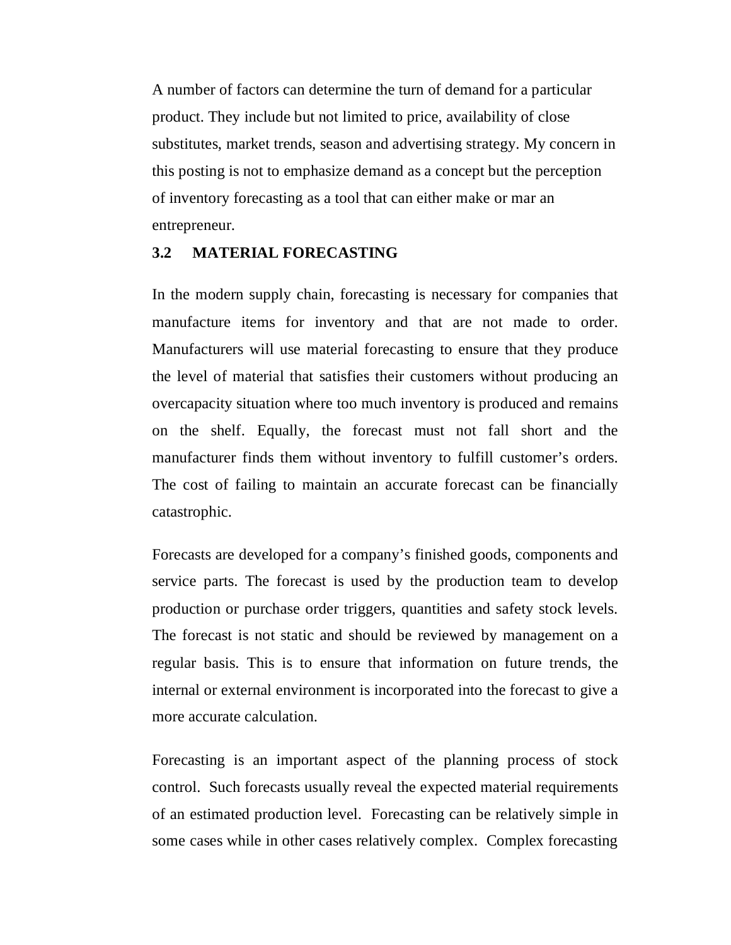A number of factors can determine the turn of demand for a particular product. They include but not limited to price, availability of close substitutes, market trends, season and advertising strategy. My concern in this posting is not to emphasize demand as a concept but the perception of inventory forecasting as a tool that can either make or mar an entrepreneur.

#### **3.2 MATERIAL FORECASTING**

In the modern supply chain, forecasting is necessary for companies that manufacture items for inventory and that are not made to order. Manufacturers will use material forecasting to ensure that they produce the level of material that satisfies their customers without producing an overcapacity situation where too much inventory is produced and remains on the shelf. Equally, the forecast must not fall short and the manufacturer finds them without inventory to fulfill customer's orders. The cost of failing to maintain an accurate forecast can be financially catastrophic.

Forecasts are developed for a company's finished goods, components and service parts. The forecast is used by the production team to develop production or purchase order triggers, quantities and safety stock levels. The forecast is not static and should be reviewed by management on a regular basis. This is to ensure that information on future trends, the internal or external environment is incorporated into the forecast to give a more accurate calculation.

Forecasting is an important aspect of the planning process of stock control. Such forecasts usually reveal the expected material requirements of an estimated production level. Forecasting can be relatively simple in some cases while in other cases relatively complex. Complex forecasting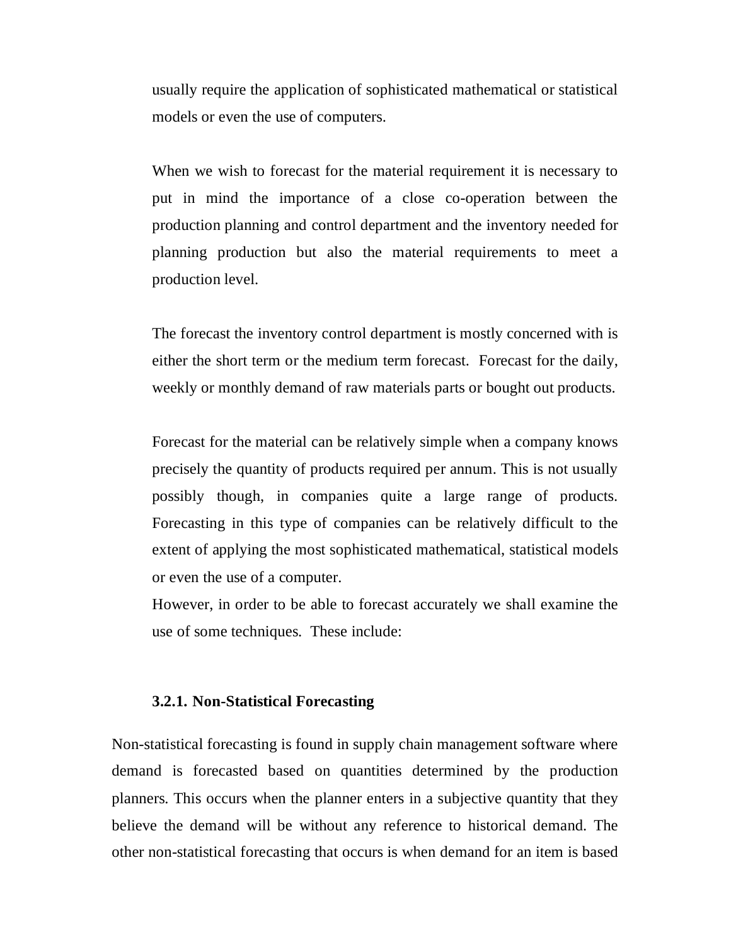usually require the application of sophisticated mathematical or statistical models or even the use of computers.

When we wish to forecast for the material requirement it is necessary to put in mind the importance of a close co-operation between the production planning and control department and the inventory needed for planning production but also the material requirements to meet a production level.

The forecast the inventory control department is mostly concerned with is either the short term or the medium term forecast. Forecast for the daily, weekly or monthly demand of raw materials parts or bought out products.

Forecast for the material can be relatively simple when a company knows precisely the quantity of products required per annum. This is not usually possibly though, in companies quite a large range of products. Forecasting in this type of companies can be relatively difficult to the extent of applying the most sophisticated mathematical, statistical models or even the use of a computer.

However, in order to be able to forecast accurately we shall examine the use of some techniques. These include:

#### **3.2.1. Non-Statistical Forecasting**

Non-statistical forecasting is found in supply chain management software where demand is forecasted based on quantities determined by the production planners. This occurs when the planner enters in a subjective quantity that they believe the demand will be without any reference to historical demand. The other non-statistical forecasting that occurs is when demand for an item is based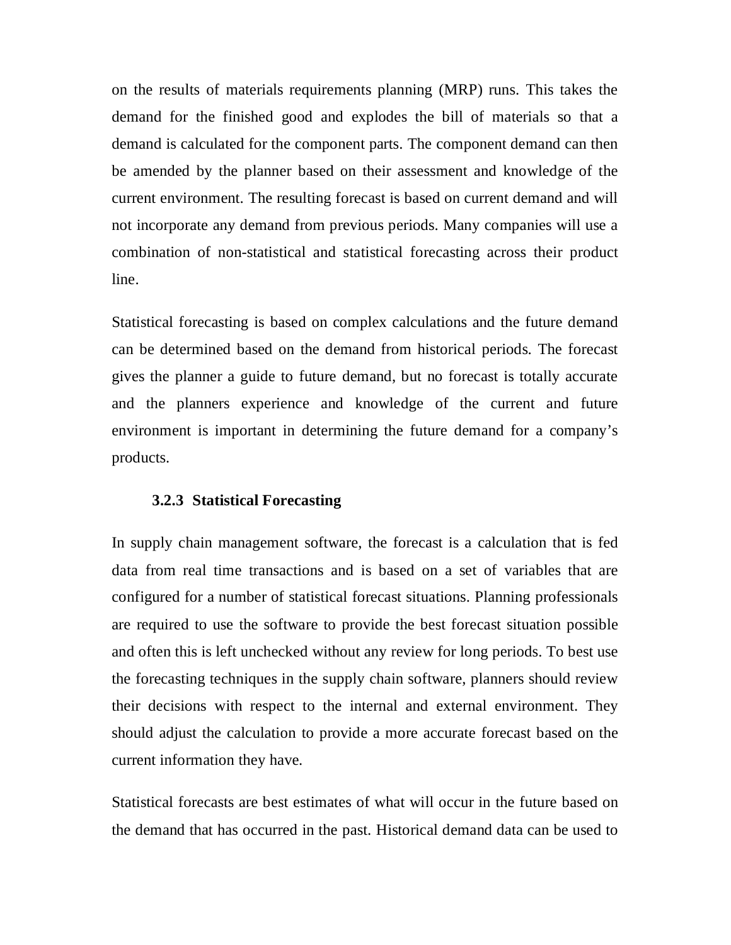on the results of materials requirements planning (MRP) runs. This takes the demand for the finished good and explodes the bill of materials so that a demand is calculated for the component parts. The component demand can then be amended by the planner based on their assessment and knowledge of the current environment. The resulting forecast is based on current demand and will not incorporate any demand from previous periods. Many companies will use a combination of non-statistical and statistical forecasting across their product line.

Statistical forecasting is based on complex calculations and the future demand can be determined based on the demand from historical periods. The forecast gives the planner a guide to future demand, but no forecast is totally accurate and the planners experience and knowledge of the current and future environment is important in determining the future demand for a company's products.

#### **3.2.3 Statistical Forecasting**

In supply chain management software, the forecast is a calculation that is fed data from real time transactions and is based on a set of variables that are configured for a number of statistical forecast situations. Planning professionals are required to use the software to provide the best forecast situation possible and often this is left unchecked without any review for long periods. To best use the forecasting techniques in the supply chain software, planners should review their decisions with respect to the internal and external environment. They should adjust the calculation to provide a more accurate forecast based on the current information they have.

Statistical forecasts are best estimates of what will occur in the future based on the demand that has occurred in the past. Historical demand data can be used to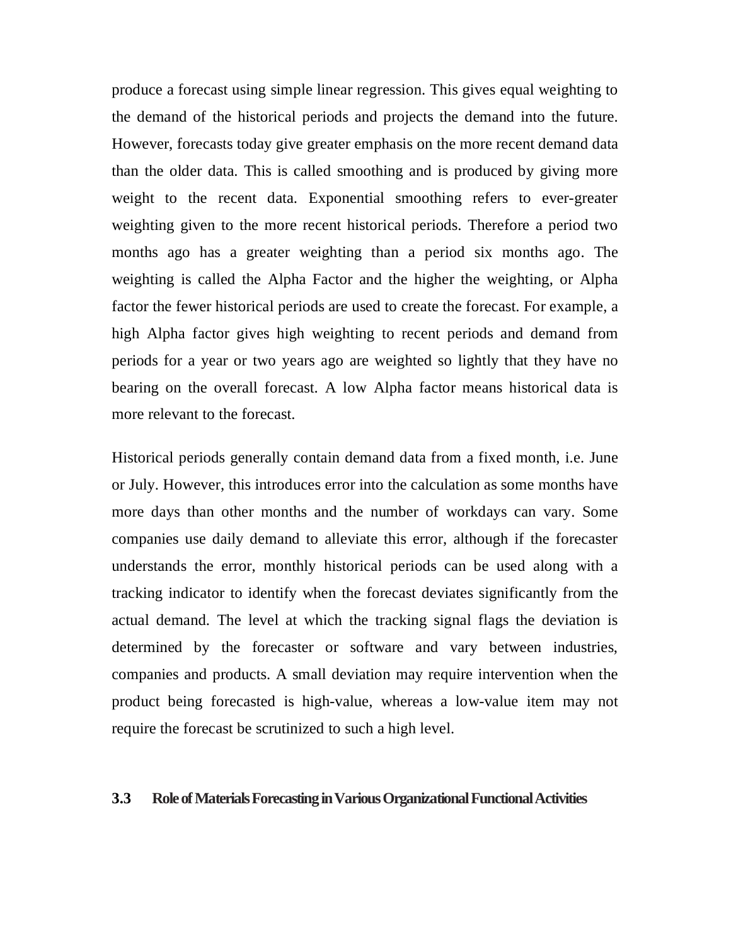produce a forecast using simple linear regression. This gives equal weighting to the demand of the historical periods and projects the demand into the future. However, forecasts today give greater emphasis on the more recent demand data than the older data. This is called smoothing and is produced by giving more weight to the recent data. Exponential smoothing refers to ever-greater weighting given to the more recent historical periods. Therefore a period two months ago has a greater weighting than a period six months ago. The weighting is called the Alpha Factor and the higher the weighting, or Alpha factor the fewer historical periods are used to create the forecast. For example, a high Alpha factor gives high weighting to recent periods and demand from periods for a year or two years ago are weighted so lightly that they have no bearing on the overall forecast. A low Alpha factor means historical data is more relevant to the forecast.

Historical periods generally contain demand data from a fixed month, i.e. June or July. However, this introduces error into the calculation as some months have more days than other months and the number of workdays can vary. Some companies use daily demand to alleviate this error, although if the forecaster understands the error, monthly historical periods can be used along with a tracking indicator to identify when the forecast deviates significantly from the actual demand. The level at which the tracking signal flags the deviation is determined by the forecaster or software and vary between industries, companies and products. A small deviation may require intervention when the product being forecasted is high-value, whereas a low-value item may not require the forecast be scrutinized to such a high level.

#### **3.3** Role of Materials Forecasting in Various Organizational Functional Activities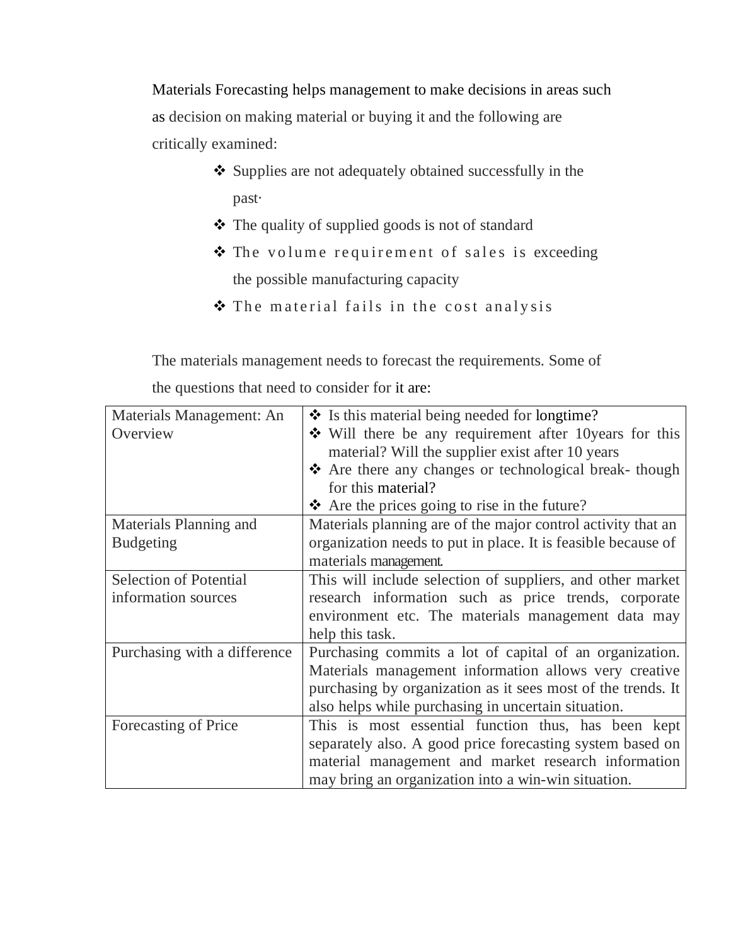Materials Forecasting helps management to make decisions in areas such as decision on making material or buying it and the following are critically examined:

- Supplies are not adequately obtained successfully in the past·
- The quality of supplied goods is not of standard
- \* The volume requirement of sales is exceeding the possible manufacturing capacity
- \* The material fails in the cost analysis

The materials management needs to forecast the requirements. Some of

the questions that need to consider for it are:

| Materials Management: An      | $\bullet$ Is this material being needed for longtime?         |
|-------------------------------|---------------------------------------------------------------|
| Overview                      | $\div$ Will there be any requirement after 10 years for this  |
|                               | material? Will the supplier exist after 10 years              |
|                               | ❖ Are there any changes or technological break-though         |
|                               | for this material?                                            |
|                               | $\triangle$ Are the prices going to rise in the future?       |
| Materials Planning and        | Materials planning are of the major control activity that an  |
| <b>Budgeting</b>              | organization needs to put in place. It is feasible because of |
|                               | materials management.                                         |
| <b>Selection of Potential</b> | This will include selection of suppliers, and other market    |
| information sources           | research information such as price trends, corporate          |
|                               | environment etc. The materials management data may            |
|                               | help this task.                                               |
| Purchasing with a difference  | Purchasing commits a lot of capital of an organization.       |
|                               | Materials management information allows very creative         |
|                               | purchasing by organization as it sees most of the trends. It  |
|                               | also helps while purchasing in uncertain situation.           |
| Forecasting of Price          | This is most essential function thus, has been kept           |
|                               | separately also. A good price forecasting system based on     |
|                               | material management and market research information           |
|                               | may bring an organization into a win-win situation.           |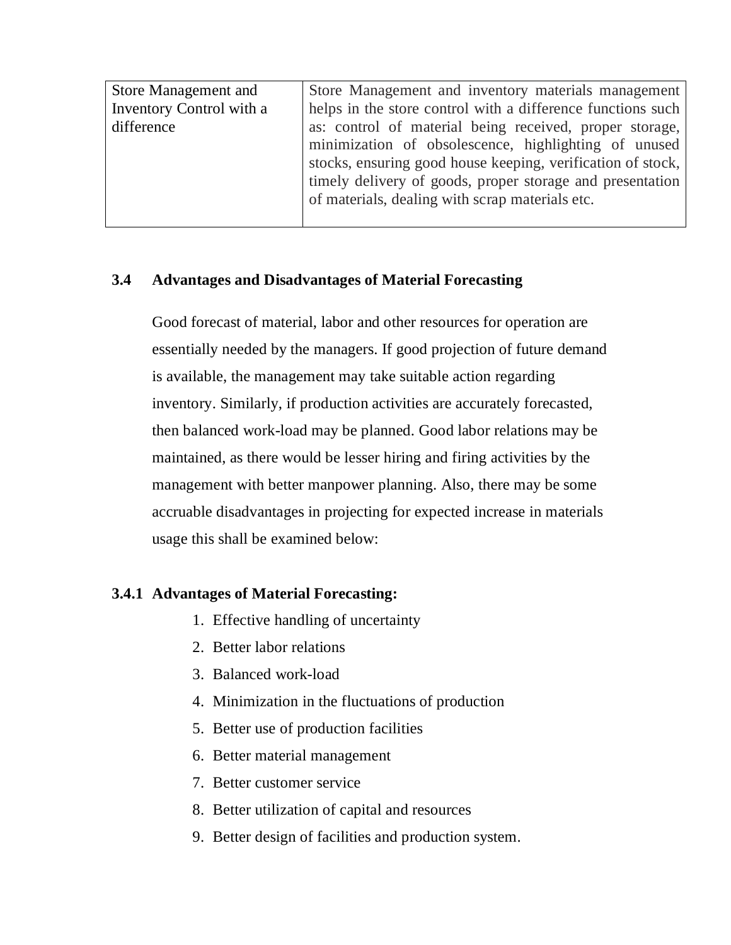| <b>Store Management and</b> | Store Management and inventory materials management         |
|-----------------------------|-------------------------------------------------------------|
| Inventory Control with a    | helps in the store control with a difference functions such |
| difference                  | as: control of material being received, proper storage,     |
|                             | minimization of obsolescence, highlighting of unused        |
|                             | stocks, ensuring good house keeping, verification of stock, |
|                             | timely delivery of goods, proper storage and presentation   |
|                             | of materials, dealing with scrap materials etc.             |
|                             |                                                             |

## **3.4 Advantages and Disadvantages of Material Forecasting**

Good forecast of material, labor and other resources for operation are essentially needed by the managers. If good projection of future demand is available, the management may take suitable action regarding inventory. Similarly, if production activities are accurately forecasted, then balanced work-load may be planned. Good labor relations may be maintained, as there would be lesser hiring and firing activities by the management with better manpower planning. Also, there may be some accruable disadvantages in projecting for expected increase in materials usage this shall be examined below:

## **3.4.1 Advantages of Material Forecasting:**

- 1. Effective handling of uncertainty
- 2. Better labor relations
- 3. Balanced work-load
- 4. Minimization in the fluctuations of production
- 5. Better use of production facilities
- 6. Better material management
- 7. Better customer service
- 8. Better utilization of capital and resources
- 9. Better design of facilities and production system.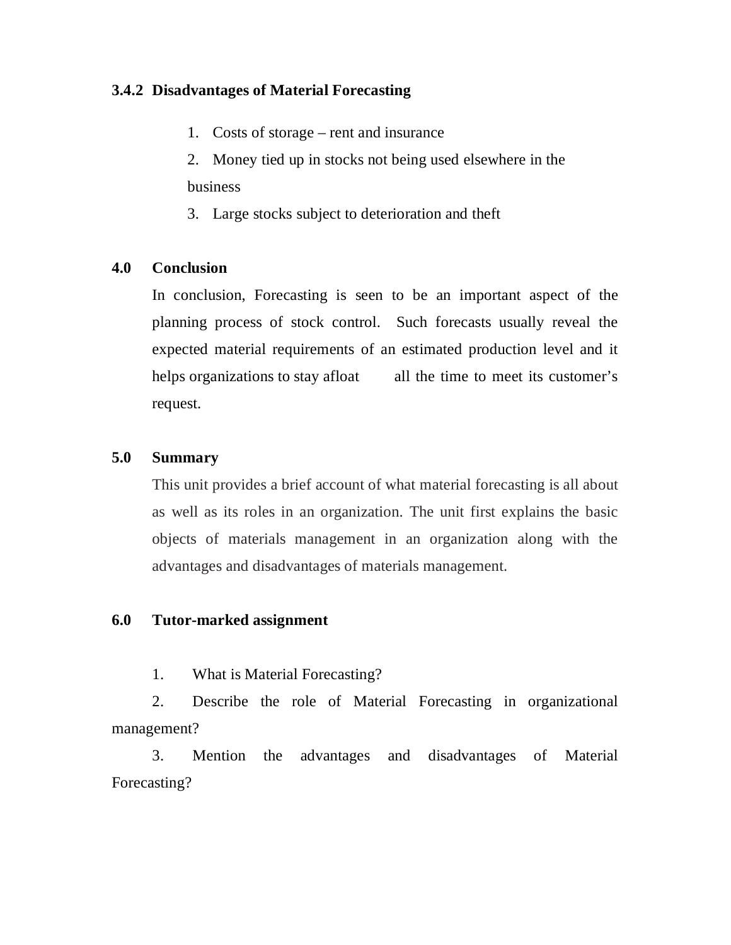## **3.4.2 Disadvantages of Material Forecasting**

- 1. Costs of storage rent and insurance
- 2. Money tied up in stocks not being used elsewhere in the business
- 3. Large stocks subject to deterioration and theft

## **4.0 Conclusion**

In conclusion, Forecasting is seen to be an important aspect of the planning process of stock control. Such forecasts usually reveal the expected material requirements of an estimated production level and it helps organizations to stay afloat all the time to meet its customer's request.

## **5.0 Summary**

This unit provides a brief account of what material forecasting is all about as well as its roles in an organization. The unit first explains the basic objects of materials management in an organization along with the advantages and disadvantages of materials management.

## **6.0 Tutor-marked assignment**

1. What is Material Forecasting?

2. Describe the role of Material Forecasting in organizational management?

3. Mention the advantages and disadvantages of Material Forecasting?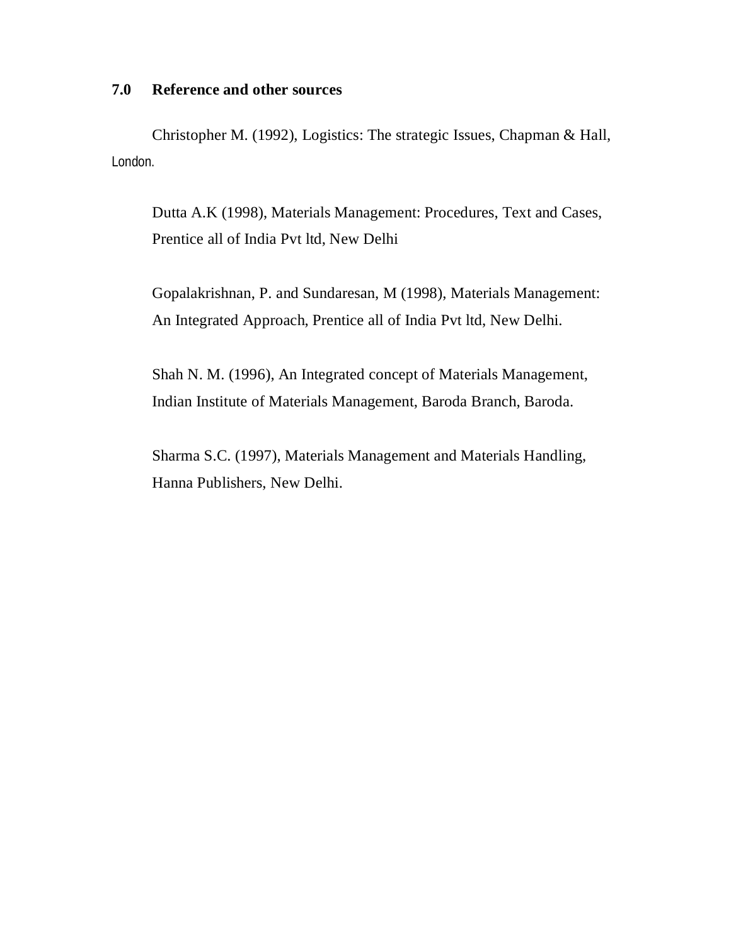#### **7.0 Reference and other sources**

Christopher M. (1992), Logistics: The strategic Issues, Chapman & Hall, London.

Dutta A.K (1998), Materials Management: Procedures, Text and Cases, Prentice all of India Pvt ltd, New Delhi

Gopalakrishnan, P. and Sundaresan, M (1998), Materials Management: An Integrated Approach, Prentice all of India Pvt ltd, New Delhi.

Shah N. M. (1996), An Integrated concept of Materials Management, Indian Institute of Materials Management, Baroda Branch, Baroda.

Sharma S.C. (1997), Materials Management and Materials Handling, Hanna Publishers, New Delhi.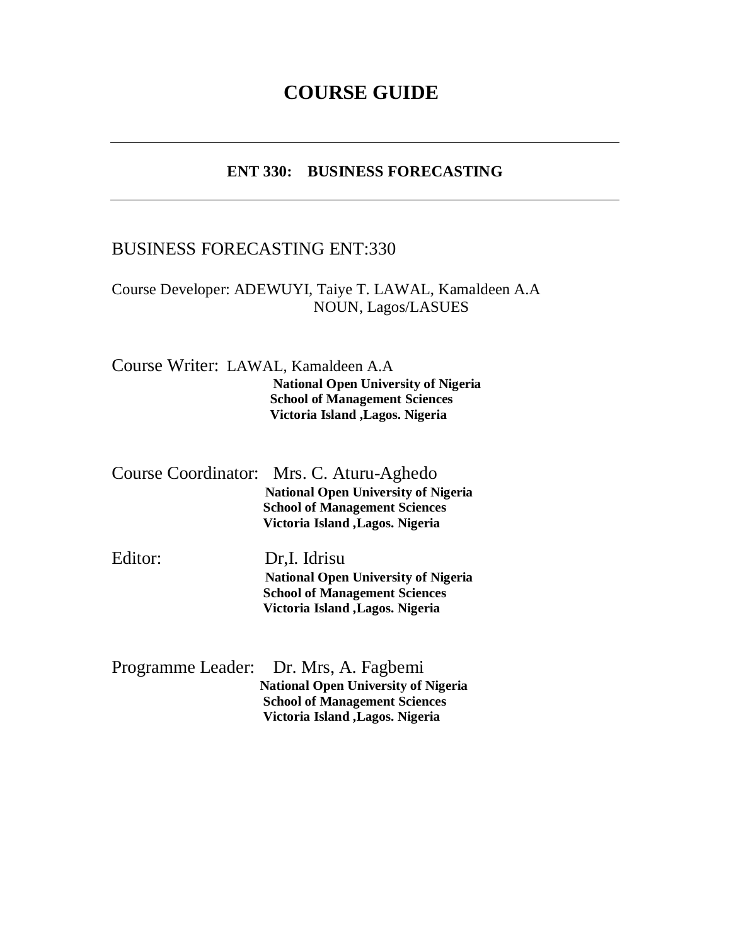## **COURSE GUIDE**

## **ENT 330: BUSINESS FORECASTING**

## BUSINESS FORECASTING ENT:330

## Course Developer: ADEWUYI, Taiye T. LAWAL, Kamaldeen A.A NOUN, Lagos/LASUES

Course Writer: LAWAL, Kamaldeen A.A **National Open University of Nigeria School of Management Sciences Victoria Island ,Lagos. Nigeria**

| Course Coordinator: Mrs. C. Aturu-Aghedo   |
|--------------------------------------------|
| <b>National Open University of Nigeria</b> |
| <b>School of Management Sciences</b>       |
| <b>Victoria Island , Lagos. Nigeria</b>    |
|                                            |

Editor: Dr,I. Idrisu **National Open University of Nigeria School of Management Sciences Victoria Island ,Lagos. Nigeria**

| Programme Leader: Dr. Mrs, A. Fagbemi      |
|--------------------------------------------|
| <b>National Open University of Nigeria</b> |
| <b>School of Management Sciences</b>       |
| Victoria Island , Lagos. Nigeria           |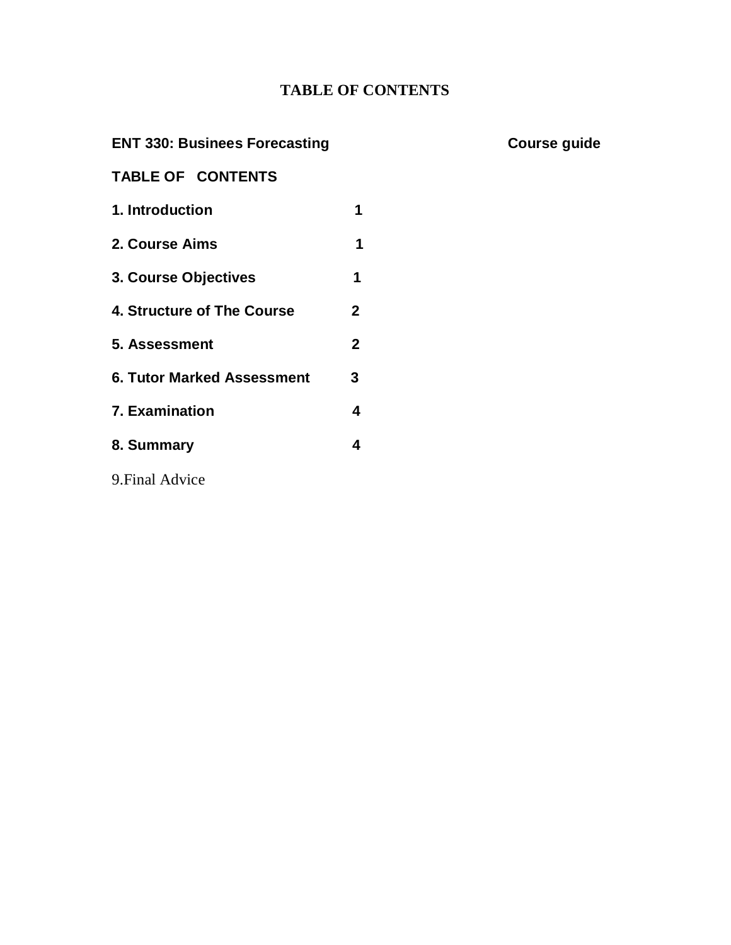## **TABLE OF CONTENTS**

## **ENT 330: Businees Forecasting Course guide**

## **TABLE OF CONTENTS**

**1. Introduction 1 2. Course Aims 1 3. Course Objectives 1 4. Structure of The Course 2 5. Assessment 2 6. Tutor Marked Assessment 3 7. Examination 4 8. Summary 4** 9.Final Advice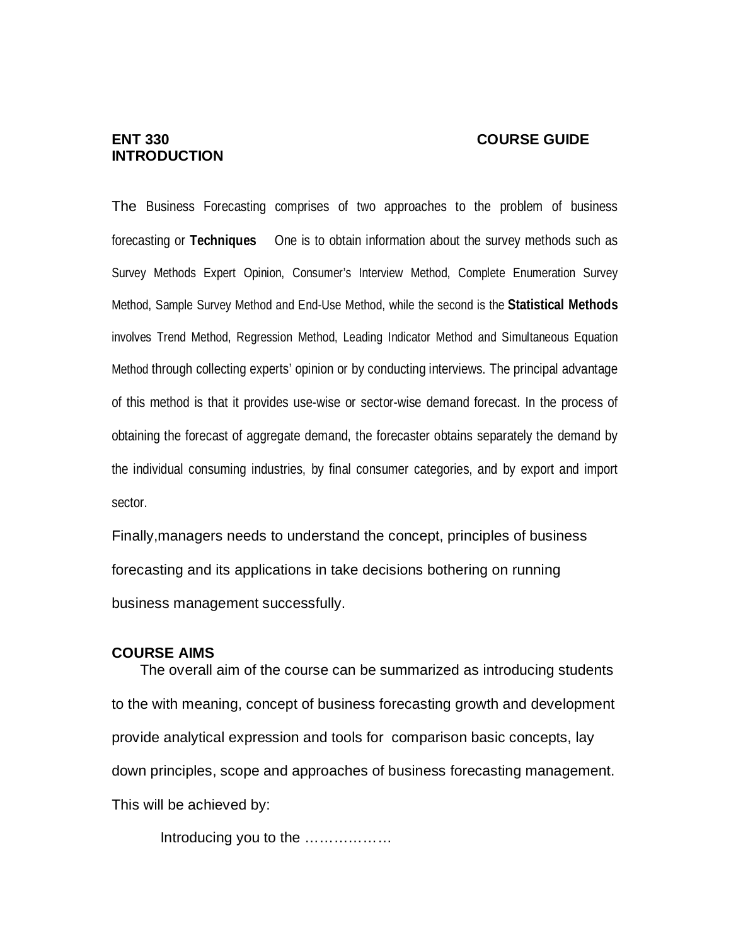#### **ENT 330 COURSE GUIDE**

# **INTRODUCTION**

The Business Forecasting comprises of two approaches to the problem of business forecasting or **Techniques** One is to obtain information about the survey methods such as Survey Methods Expert Opinion, Consumer's Interview Method, Complete Enumeration Survey Method, Sample Survey Method and End-Use Method, while the second is the **Statistical Methods**  involves Trend Method, Regression Method, Leading Indicator Method and Simultaneous Equation Method through collecting experts' opinion or by conducting interviews. The principal advantage of this method is that it provides use-wise or sector-wise demand forecast. In the process of obtaining the forecast of aggregate demand, the forecaster obtains separately the demand by the individual consuming industries, by final consumer categories, and by export and import sector.

Finally,managers needs to understand the concept, principles of business forecasting and its applications in take decisions bothering on running business management successfully.

#### **COURSE AIMS**

 The overall aim of the course can be summarized as introducing students to the with meaning, concept of business forecasting growth and development provide analytical expression and tools for comparison basic concepts, lay down principles, scope and approaches of business forecasting management. This will be achieved by:

Introducing you to the ………………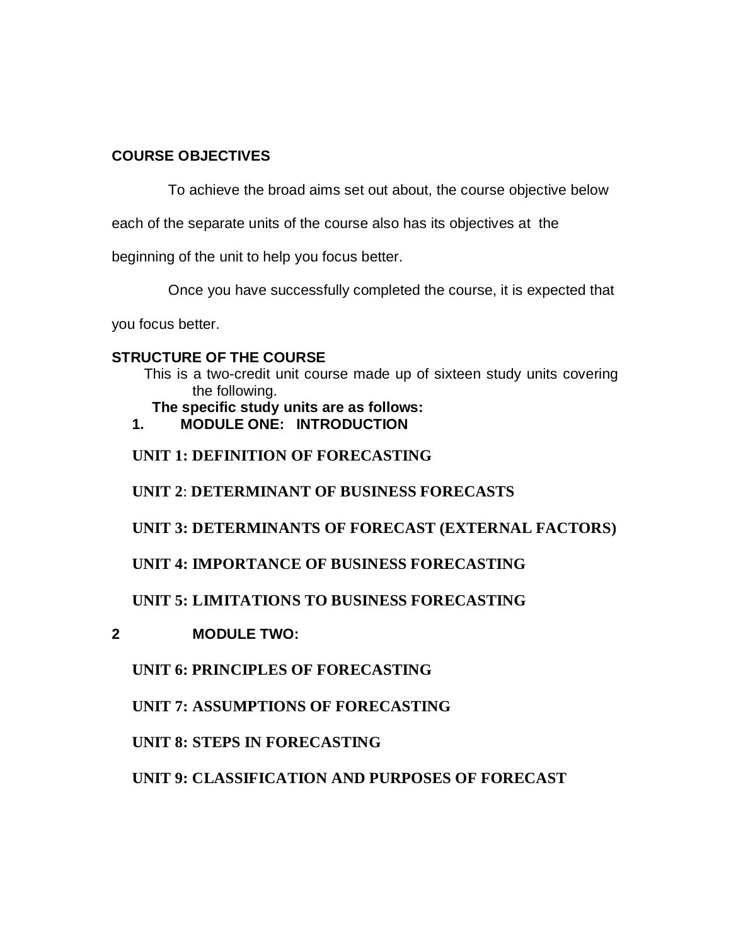## **COURSE OBJECTIVES**

To achieve the broad aims set out about, the course objective below

each of the separate units of the course also has its objectives at the

beginning of the unit to help you focus better.

Once you have successfully completed the course, it is expected that

you focus better.

## **STRUCTURE OF THE COURSE**

This is a two-credit unit course made up of sixteen study units covering the following.

 **The specific study units are as follows:**

**1. MODULE ONE: INTRODUCTION**

**UNIT 1: DEFINITION OF FORECASTING**

**UNIT 2**: **DETERMINANT OF BUSINESS FORECASTS**

**UNIT 3: DETERMINANTS OF FORECAST (EXTERNAL FACTORS)**

**UNIT 4: IMPORTANCE OF BUSINESS FORECASTING**

**UNIT 5: LIMITATIONS TO BUSINESS FORECASTING**

**2 MODULE TWO:** 

**UNIT 6: PRINCIPLES OF FORECASTING**

**UNIT 7: ASSUMPTIONS OF FORECASTING**

**UNIT 8: STEPS IN FORECASTING**

**UNIT 9: CLASSIFICATION AND PURPOSES OF FORECAST**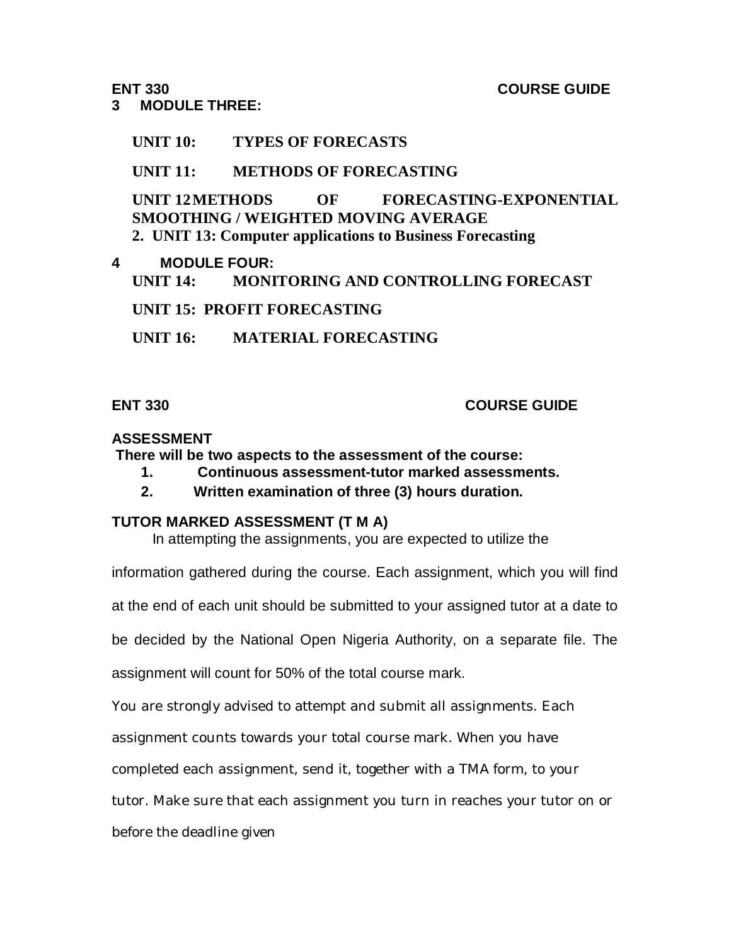### **ENT 330 COURSE GUIDE**

### **3 MODULE THREE:**

# **UNIT 10: TYPES OF FORECASTS**

## **UNIT 11: METHODS OF FORECASTING**

**UNIT 12METHODS OF FORECASTING-EXPONENTIAL SMOOTHING / WEIGHTED MOVING AVERAGE 2. UNIT 13: Computer applications to Business Forecasting**

### **4 MODULE FOUR:**

**UNIT 14: MONITORING AND CONTROLLING FORECAST**

**UNIT 15: PROFIT FORECASTING**

**UNIT 16: MATERIAL FORECASTING**

# **ENT 330 COURSE GUIDE**

### **ASSESSMENT**

**There will be two aspects to the assessment of the course:**

- **1. Continuous assessment-tutor marked assessments.**
- **2. Written examination of three (3) hours duration.**

## **TUTOR MARKED ASSESSMENT (T M A)**

In attempting the assignments, you are expected to utilize the

information gathered during the course. Each assignment, which you will find

at the end of each unit should be submitted to your assigned tutor at a date to

be decided by the National Open Nigeria Authority, on a separate file. The

assignment will count for 50% of the total course mark.

You are strongly advised to attempt and submit all assignments. Each

assignment counts towards your total course mark. When you have

completed each assignment, send it, together with a TMA form, to your

tutor. Make sure that each assignment you turn in reaches your tutor on or

before the deadline given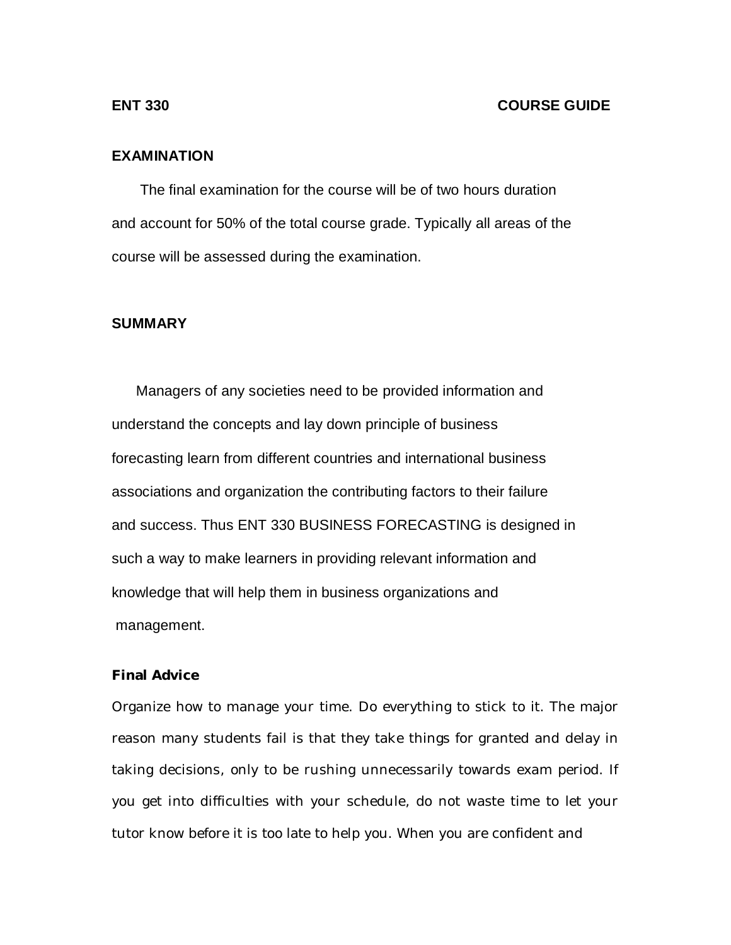#### **ENT 330 COURSE GUIDE**

#### **EXAMINATION**

 The final examination for the course will be of two hours duration and account for 50% of the total course grade. Typically all areas of the course will be assessed during the examination.

### **SUMMARY**

 Managers of any societies need to be provided information and understand the concepts and lay down principle of business forecasting learn from different countries and international business associations and organization the contributing factors to their failure and success. Thus ENT 330 BUSINESS FORECASTING is designed in such a way to make learners in providing relevant information and knowledge that will help them in business organizations and management.

#### **Final Advice**

Organize how to manage your time. Do everything to stick to it. The major reason many students fail is that they take things for granted and delay in taking decisions, only to be rushing unnecessarily towards exam period. If you get into difficulties with your schedule, do not waste time to let your tutor know before it is too late to help you. When you are confident and